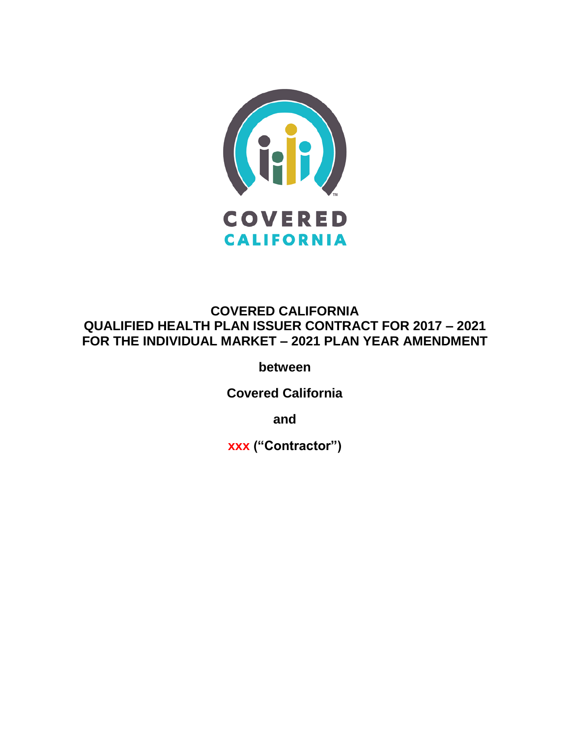

# **COVERED CALIFORNIA QUALIFIED HEALTH PLAN ISSUER CONTRACT FOR 2017 – 2021 FOR THE INDIVIDUAL MARKET – 2021 PLAN YEAR AMENDMENT**

**between**

**Covered California**

**and**

**xxx ("Contractor")**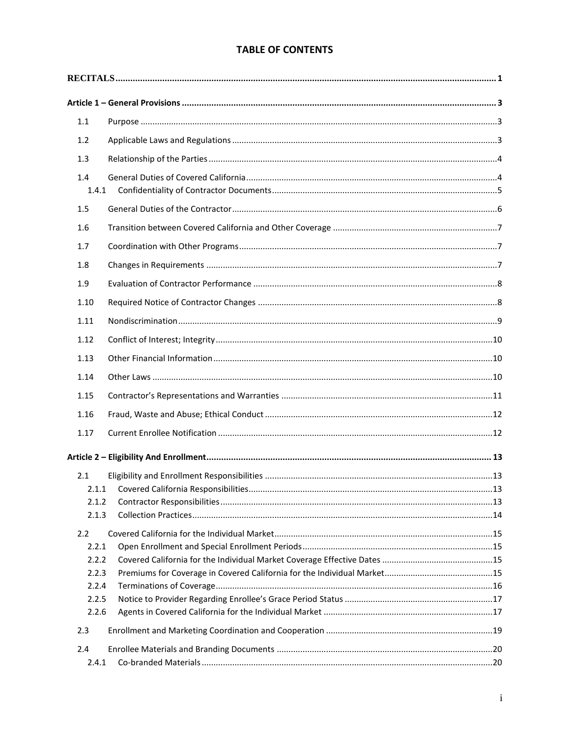# **TABLE OF CONTENTS**

| 1.1          |  |  |
|--------------|--|--|
| 1.2          |  |  |
| 1.3          |  |  |
| 1.4<br>1.4.1 |  |  |
| 1.5          |  |  |
| 1.6          |  |  |
| 1.7          |  |  |
| 1.8          |  |  |
| 1.9          |  |  |
| 1.10         |  |  |
| 1.11         |  |  |
| 1.12         |  |  |
| 1.13         |  |  |
| 1.14         |  |  |
| 1.15         |  |  |
|              |  |  |
| 1.16         |  |  |
| 1.17         |  |  |
|              |  |  |
| 2.1          |  |  |
|              |  |  |
| 2.1.2        |  |  |
| 2.1.3        |  |  |
| 2.2          |  |  |
| 2.2.1        |  |  |
| 2.2.2        |  |  |
| 2.2.3        |  |  |
| 2.2.4        |  |  |
| 2.2.5        |  |  |
| 2.2.6        |  |  |
| 2.3          |  |  |
| 2.4          |  |  |
| 2.4.1        |  |  |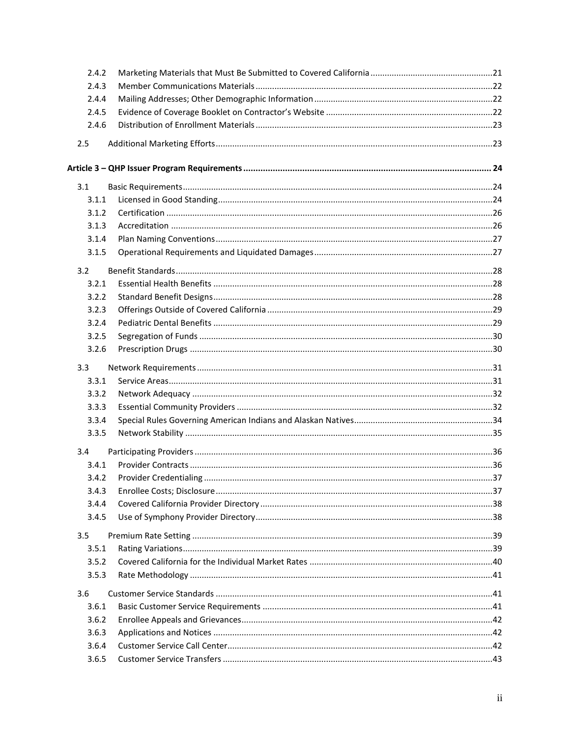| 2.4.2 |  |
|-------|--|
| 2.4.3 |  |
| 2.4.4 |  |
| 2.4.5 |  |
| 2.4.6 |  |
| 2.5   |  |
|       |  |
| 3.1   |  |
| 3.1.1 |  |
| 3.1.2 |  |
| 3.1.3 |  |
| 3.1.4 |  |
| 3.1.5 |  |
| 3.2   |  |
| 3.2.1 |  |
| 3.2.2 |  |
| 3.2.3 |  |
| 3.2.4 |  |
| 3.2.5 |  |
| 3.2.6 |  |
| 3.3   |  |
| 3.3.1 |  |
| 3.3.2 |  |
| 3.3.3 |  |
| 3.3.4 |  |
| 3.3.5 |  |
| 3.4   |  |
| 3.4.1 |  |
| 3.4.2 |  |
| 3.4.3 |  |
| 3.4.4 |  |
| 3.4.5 |  |
| 3.5   |  |
| 3.5.1 |  |
| 3.5.2 |  |
| 3.5.3 |  |
| 3.6   |  |
| 3.6.1 |  |
| 3.6.2 |  |
| 3.6.3 |  |
| 3.6.4 |  |
| 3.6.5 |  |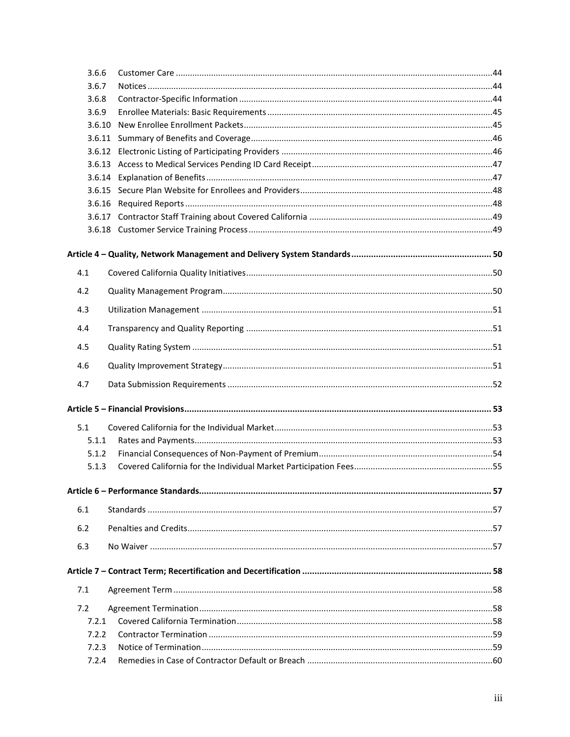| 3.6.6  |  |
|--------|--|
| 3.6.7  |  |
| 3.6.8  |  |
| 3.6.9  |  |
| 3.6.10 |  |
|        |  |
|        |  |
|        |  |
|        |  |
|        |  |
|        |  |
|        |  |
|        |  |
|        |  |
| 4.1    |  |
| 4.2    |  |
| 4.3    |  |
| 4.4    |  |
| 4.5    |  |
| 4.6    |  |
| 4.7    |  |
|        |  |
| 5.1    |  |
| 5.1.1  |  |
| 5.1.2  |  |
| 5.1.3  |  |
|        |  |
| 6.1    |  |
| 6.2    |  |
| 6.3    |  |
|        |  |
|        |  |
| 7.1    |  |
| 7.2    |  |
| 7.2.1  |  |
| 7.2.2  |  |
| 7.2.3  |  |
| 7.2.4  |  |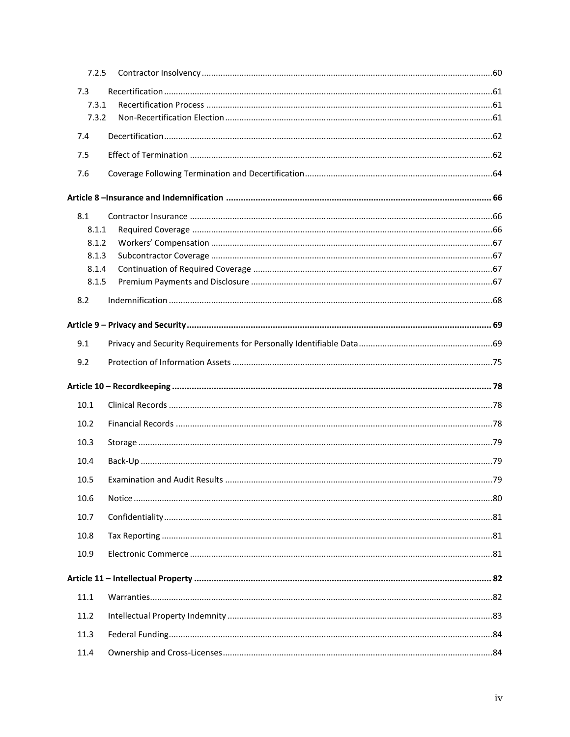| 7.2.5 |  |
|-------|--|
| 7.3   |  |
| 7.3.1 |  |
| 7.3.2 |  |
| 7.4   |  |
| 7.5   |  |
| 7.6   |  |
|       |  |
| 8.1   |  |
| 8.1.1 |  |
| 8.1.2 |  |
| 8.1.3 |  |
| 8.1.4 |  |
| 8.1.5 |  |
| 8.2   |  |
|       |  |
| 9.1   |  |
| 9.2   |  |
|       |  |
| 10.1  |  |
| 10.2  |  |
| 10.3  |  |
| 10.4  |  |
| 10.5  |  |
| 10.6  |  |
| 10.7  |  |
| 10.8  |  |
| 10.9  |  |
|       |  |
| 11.1  |  |
| 11.2  |  |
| 11.3  |  |
| 11.4  |  |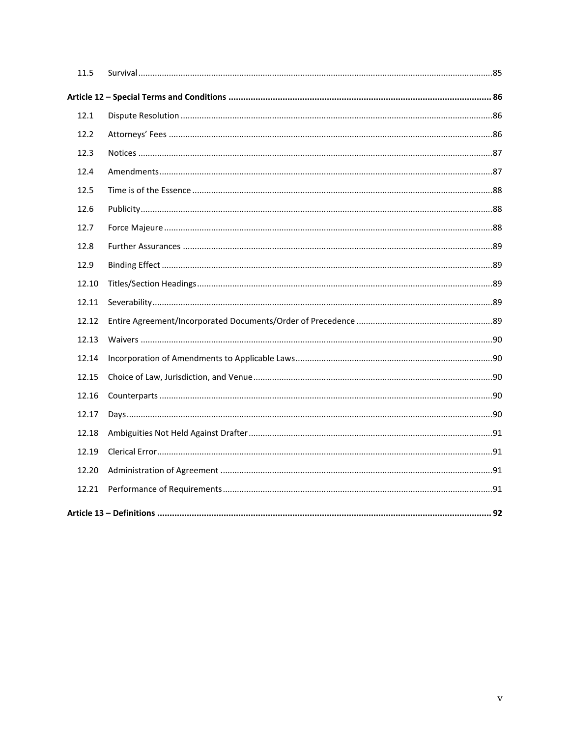| 11.5  |  |
|-------|--|
|       |  |
| 12.1  |  |
| 12.2  |  |
| 12.3  |  |
| 12.4  |  |
| 12.5  |  |
| 12.6  |  |
| 12.7  |  |
| 12.8  |  |
| 12.9  |  |
| 12.10 |  |
| 12.11 |  |
| 12.12 |  |
| 12.13 |  |
| 12.14 |  |
| 12.15 |  |
| 12.16 |  |
| 12.17 |  |
| 12.18 |  |
| 12.19 |  |
| 12.20 |  |
| 12.21 |  |
|       |  |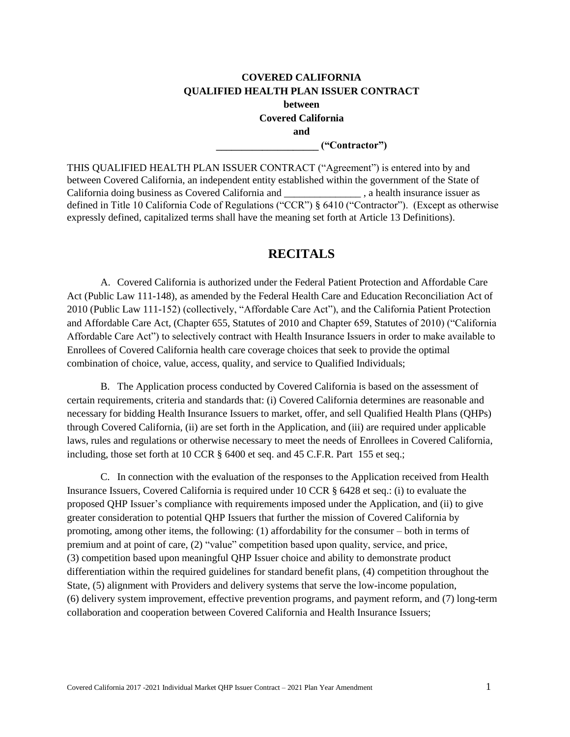# **COVERED CALIFORNIA QUALIFIED HEALTH PLAN ISSUER CONTRACT between Covered California and**

**\_\_\_\_\_\_\_\_\_\_\_\_\_\_\_\_\_\_\_\_ ("Contractor")**

THIS QUALIFIED HEALTH PLAN ISSUER CONTRACT ("Agreement") is entered into by and between Covered California, an independent entity established within the government of the State of California doing business as Covered California and \_\_\_\_\_\_\_\_\_\_\_\_\_\_\_ , a health insurance issuer as defined in Title 10 California Code of Regulations ("CCR") § 6410 ("Contractor"). (Except as otherwise expressly defined, capitalized terms shall have the meaning set forth at Article 13 Definitions).

# **RECITALS**

<span id="page-7-0"></span>A. Covered California is authorized under the Federal Patient Protection and Affordable Care Act (Public Law 111-148), as amended by the Federal Health Care and Education Reconciliation Act of 2010 (Public Law 111-152) (collectively, "Affordable Care Act"), and the California Patient Protection and Affordable Care Act, (Chapter 655, Statutes of 2010 and Chapter 659, Statutes of 2010) ("California Affordable Care Act") to selectively contract with Health Insurance Issuers in order to make available to Enrollees of Covered California health care coverage choices that seek to provide the optimal combination of choice, value, access, quality, and service to Qualified Individuals;

B. The Application process conducted by Covered California is based on the assessment of certain requirements, criteria and standards that: (i) Covered California determines are reasonable and necessary for bidding Health Insurance Issuers to market, offer, and sell Qualified Health Plans (QHPs) through Covered California, (ii) are set forth in the Application, and (iii) are required under applicable laws, rules and regulations or otherwise necessary to meet the needs of Enrollees in Covered California, including, those set forth at 10 CCR § 6400 et seq. and 45 C.F.R. Part 155 et seq.;

C. In connection with the evaluation of the responses to the Application received from Health Insurance Issuers, Covered California is required under 10 CCR § 6428 et seq.: (i) to evaluate the proposed QHP Issuer's compliance with requirements imposed under the Application, and (ii) to give greater consideration to potential QHP Issuers that further the mission of Covered California by promoting, among other items, the following: (1) affordability for the consumer – both in terms of premium and at point of care, (2) "value" competition based upon quality, service, and price, (3) competition based upon meaningful QHP Issuer choice and ability to demonstrate product differentiation within the required guidelines for standard benefit plans, (4) competition throughout the State, (5) alignment with Providers and delivery systems that serve the low-income population, (6) delivery system improvement, effective prevention programs, and payment reform, and (7) long-term collaboration and cooperation between Covered California and Health Insurance Issuers;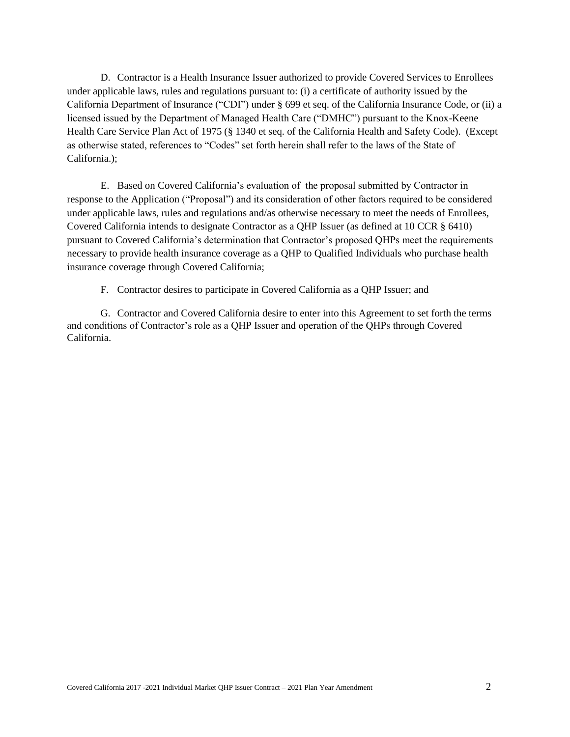D. Contractor is a Health Insurance Issuer authorized to provide Covered Services to Enrollees under applicable laws, rules and regulations pursuant to: (i) a certificate of authority issued by the California Department of Insurance ("CDI") under § 699 et seq. of the California Insurance Code, or (ii) a licensed issued by the Department of Managed Health Care ("DMHC") pursuant to the Knox-Keene Health Care Service Plan Act of 1975 (§ 1340 et seq. of the California Health and Safety Code). (Except as otherwise stated, references to "Codes" set forth herein shall refer to the laws of the State of California.);

E. Based on Covered California's evaluation of the proposal submitted by Contractor in response to the Application ("Proposal") and its consideration of other factors required to be considered under applicable laws, rules and regulations and/as otherwise necessary to meet the needs of Enrollees, Covered California intends to designate Contractor as a QHP Issuer (as defined at 10 CCR § 6410) pursuant to Covered California's determination that Contractor's proposed QHPs meet the requirements necessary to provide health insurance coverage as a QHP to Qualified Individuals who purchase health insurance coverage through Covered California;

F. Contractor desires to participate in Covered California as a QHP Issuer; and

G. Contractor and Covered California desire to enter into this Agreement to set forth the terms and conditions of Contractor's role as a QHP Issuer and operation of the QHPs through Covered California.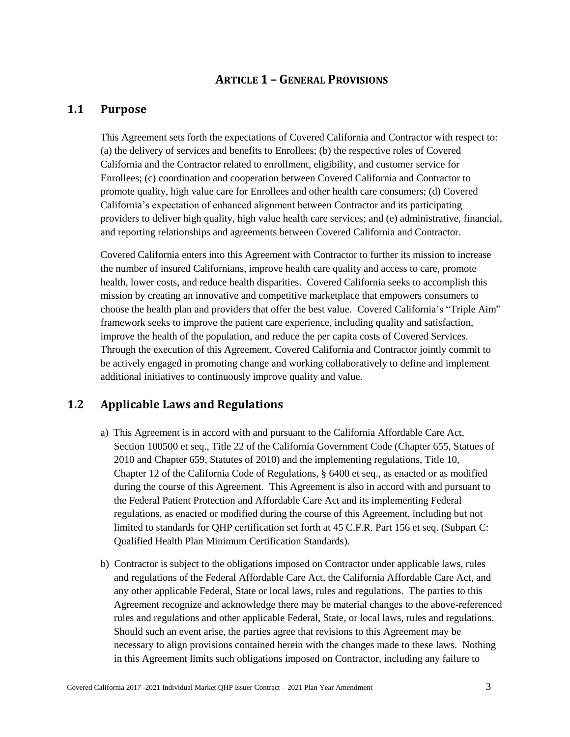# **ARTICLE 1 – GENERAL PROVISIONS**

## <span id="page-9-1"></span><span id="page-9-0"></span>**1.1 Purpose**

This Agreement sets forth the expectations of Covered California and Contractor with respect to: (a) the delivery of services and benefits to Enrollees; (b) the respective roles of Covered California and the Contractor related to enrollment, eligibility, and customer service for Enrollees; (c) coordination and cooperation between Covered California and Contractor to promote quality, high value care for Enrollees and other health care consumers; (d) Covered California's expectation of enhanced alignment between Contractor and its participating providers to deliver high quality, high value health care services; and (e) administrative, financial, and reporting relationships and agreements between Covered California and Contractor.

Covered California enters into this Agreement with Contractor to further its mission to increase the number of insured Californians, improve health care quality and access to care, promote health, lower costs, and reduce health disparities. Covered California seeks to accomplish this mission by creating an innovative and competitive marketplace that empowers consumers to choose the health plan and providers that offer the best value. Covered California's "Triple Aim" framework seeks to improve the patient care experience, including quality and satisfaction, improve the health of the population, and reduce the per capita costs of Covered Services. Through the execution of this Agreement, Covered California and Contractor jointly commit to be actively engaged in promoting change and working collaboratively to define and implement additional initiatives to continuously improve quality and value.

# <span id="page-9-2"></span>**1.2 Applicable Laws and Regulations**

- a) This Agreement is in accord with and pursuant to the California Affordable Care Act, Section 100500 et seq., Title 22 of the California Government Code (Chapter 655, Statues of 2010 and Chapter 659, Statutes of 2010) and the implementing regulations, Title 10, Chapter 12 of the California Code of Regulations, § 6400 et seq., as enacted or as modified during the course of this Agreement. This Agreement is also in accord with and pursuant to the Federal Patient Protection and Affordable Care Act and its implementing Federal regulations, as enacted or modified during the course of this Agreement, including but not limited to standards for QHP certification set forth at 45 C.F.R. Part 156 et seq. (Subpart C: Qualified Health Plan Minimum Certification Standards).
- b) Contractor is subject to the obligations imposed on Contractor under applicable laws, rules and regulations of the Federal Affordable Care Act, the California Affordable Care Act, and any other applicable Federal, State or local laws, rules and regulations. The parties to this Agreement recognize and acknowledge there may be material changes to the above-referenced rules and regulations and other applicable Federal, State, or local laws, rules and regulations. Should such an event arise, the parties agree that revisions to this Agreement may be necessary to align provisions contained herein with the changes made to these laws. Nothing in this Agreement limits such obligations imposed on Contractor, including any failure to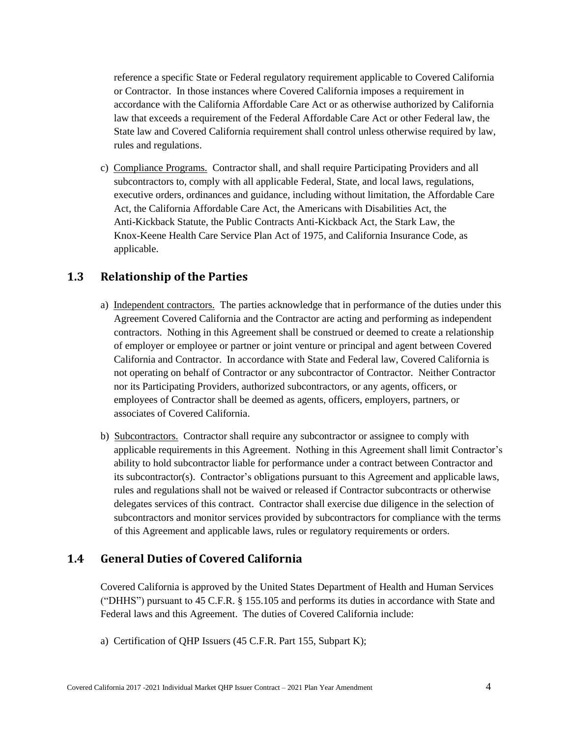reference a specific State or Federal regulatory requirement applicable to Covered California or Contractor. In those instances where Covered California imposes a requirement in accordance with the California Affordable Care Act or as otherwise authorized by California law that exceeds a requirement of the Federal Affordable Care Act or other Federal law, the State law and Covered California requirement shall control unless otherwise required by law, rules and regulations.

c) Compliance Programs. Contractor shall, and shall require Participating Providers and all subcontractors to, comply with all applicable Federal, State, and local laws, regulations, executive orders, ordinances and guidance, including without limitation, the Affordable Care Act, the California Affordable Care Act, the Americans with Disabilities Act, the Anti-Kickback Statute, the Public Contracts Anti-Kickback Act, the Stark Law, the Knox-Keene Health Care Service Plan Act of 1975, and California Insurance Code, as applicable.

# <span id="page-10-0"></span>**1.3 Relationship of the Parties**

- a) Independent contractors. The parties acknowledge that in performance of the duties under this Agreement Covered California and the Contractor are acting and performing as independent contractors. Nothing in this Agreement shall be construed or deemed to create a relationship of employer or employee or partner or joint venture or principal and agent between Covered California and Contractor. In accordance with State and Federal law, Covered California is not operating on behalf of Contractor or any subcontractor of Contractor. Neither Contractor nor its Participating Providers, authorized subcontractors, or any agents, officers, or employees of Contractor shall be deemed as agents, officers, employers, partners, or associates of Covered California.
- b) Subcontractors. Contractor shall require any subcontractor or assignee to comply with applicable requirements in this Agreement. Nothing in this Agreement shall limit Contractor's ability to hold subcontractor liable for performance under a contract between Contractor and its subcontractor(s). Contractor's obligations pursuant to this Agreement and applicable laws, rules and regulations shall not be waived or released if Contractor subcontracts or otherwise delegates services of this contract. Contractor shall exercise due diligence in the selection of subcontractors and monitor services provided by subcontractors for compliance with the terms of this Agreement and applicable laws, rules or regulatory requirements or orders.

# <span id="page-10-1"></span>**1.4 General Duties of Covered California**

Covered California is approved by the United States Department of Health and Human Services ("DHHS") pursuant to 45 C.F.R. § 155.105 and performs its duties in accordance with State and Federal laws and this Agreement. The duties of Covered California include:

a) Certification of QHP Issuers (45 C.F.R. Part 155, Subpart K);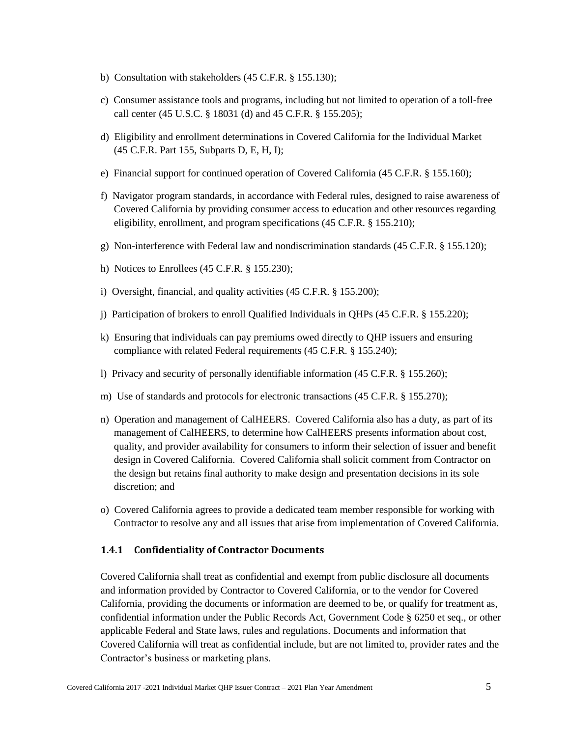- b) Consultation with stakeholders (45 C.F.R. § 155.130);
- c) Consumer assistance tools and programs, including but not limited to operation of a toll-free call center (45 U.S.C. § 18031 (d) and 45 C.F.R. § 155.205);
- d) Eligibility and enrollment determinations in Covered California for the Individual Market (45 C.F.R. Part 155, Subparts D, E, H, I);
- e) Financial support for continued operation of Covered California (45 C.F.R. § 155.160);
- f) Navigator program standards, in accordance with Federal rules, designed to raise awareness of Covered California by providing consumer access to education and other resources regarding eligibility, enrollment, and program specifications (45 C.F.R. § 155.210);
- g) Non-interference with Federal law and nondiscrimination standards (45 C.F.R. § 155.120);
- h) Notices to Enrollees (45 C.F.R. § 155.230);
- i) Oversight, financial, and quality activities (45 C.F.R. § 155.200);
- j) Participation of brokers to enroll Qualified Individuals in QHPs (45 C.F.R. § 155.220);
- k) Ensuring that individuals can pay premiums owed directly to QHP issuers and ensuring compliance with related Federal requirements (45 C.F.R. § 155.240);
- l) Privacy and security of personally identifiable information (45 C.F.R. § 155.260);
- m) Use of standards and protocols for electronic transactions (45 C.F.R. § 155.270);
- n) Operation and management of CalHEERS. Covered California also has a duty, as part of its management of CalHEERS, to determine how CalHEERS presents information about cost, quality, and provider availability for consumers to inform their selection of issuer and benefit design in Covered California. Covered California shall solicit comment from Contractor on the design but retains final authority to make design and presentation decisions in its sole discretion; and
- o) Covered California agrees to provide a dedicated team member responsible for working with Contractor to resolve any and all issues that arise from implementation of Covered California.

#### <span id="page-11-0"></span>**1.4.1 Confidentiality of Contractor Documents**

Covered California shall treat as confidential and exempt from public disclosure all documents and information provided by Contractor to Covered California, or to the vendor for Covered California, providing the documents or information are deemed to be, or qualify for treatment as, confidential information under the Public Records Act, Government Code § 6250 et seq., or other applicable Federal and State laws, rules and regulations. Documents and information that Covered California will treat as confidential include, but are not limited to, provider rates and the Contractor's business or marketing plans.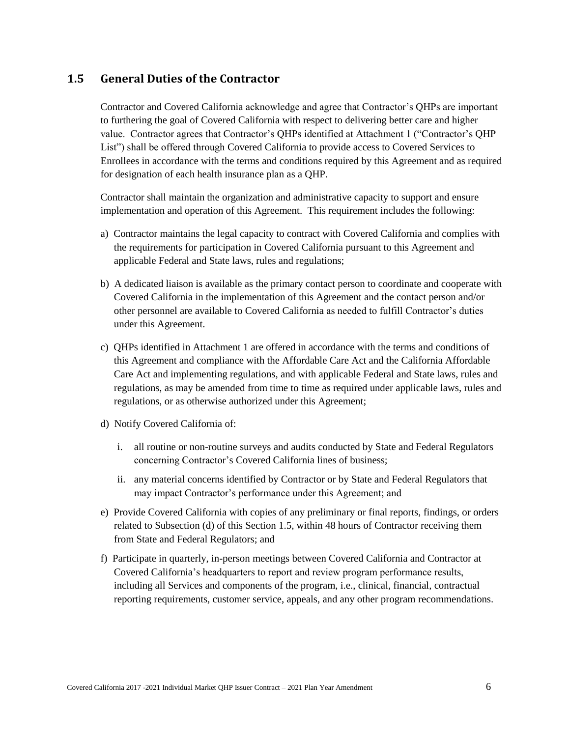# <span id="page-12-0"></span>**1.5 General Duties of the Contractor**

Contractor and Covered California acknowledge and agree that Contractor's QHPs are important to furthering the goal of Covered California with respect to delivering better care and higher value. Contractor agrees that Contractor's QHPs identified at Attachment 1 ("Contractor's QHP List") shall be offered through Covered California to provide access to Covered Services to Enrollees in accordance with the terms and conditions required by this Agreement and as required for designation of each health insurance plan as a QHP.

Contractor shall maintain the organization and administrative capacity to support and ensure implementation and operation of this Agreement. This requirement includes the following:

- a) Contractor maintains the legal capacity to contract with Covered California and complies with the requirements for participation in Covered California pursuant to this Agreement and applicable Federal and State laws, rules and regulations;
- b) A dedicated liaison is available as the primary contact person to coordinate and cooperate with Covered California in the implementation of this Agreement and the contact person and/or other personnel are available to Covered California as needed to fulfill Contractor's duties under this Agreement.
- c) QHPs identified in Attachment 1 are offered in accordance with the terms and conditions of this Agreement and compliance with the Affordable Care Act and the California Affordable Care Act and implementing regulations, and with applicable Federal and State laws, rules and regulations, as may be amended from time to time as required under applicable laws, rules and regulations, or as otherwise authorized under this Agreement;
- d) Notify Covered California of:
	- i. all routine or non-routine surveys and audits conducted by State and Federal Regulators concerning Contractor's Covered California lines of business;
	- ii. any material concerns identified by Contractor or by State and Federal Regulators that may impact Contractor's performance under this Agreement; and
- e) Provide Covered California with copies of any preliminary or final reports, findings, or orders related to Subsection (d) of this Section 1.5, within 48 hours of Contractor receiving them from State and Federal Regulators; and
- f) Participate in quarterly, in-person meetings between Covered California and Contractor at Covered California's headquarters to report and review program performance results, including all Services and components of the program, i.e., clinical, financial, contractual reporting requirements, customer service, appeals, and any other program recommendations.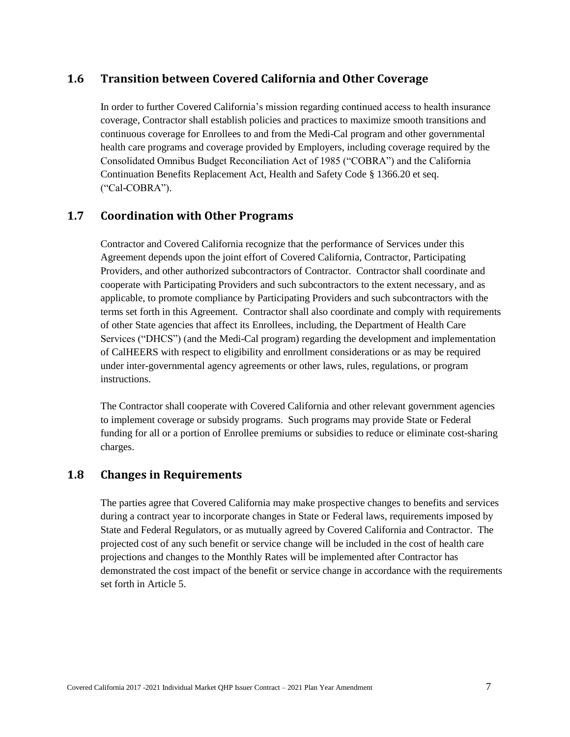# <span id="page-13-0"></span>**1.6 Transition between Covered California and Other Coverage**

In order to further Covered California's mission regarding continued access to health insurance coverage, Contractor shall establish policies and practices to maximize smooth transitions and continuous coverage for Enrollees to and from the Medi-Cal program and other governmental health care programs and coverage provided by Employers, including coverage required by the Consolidated Omnibus Budget Reconciliation Act of 1985 ("COBRA") and the California Continuation Benefits Replacement Act, Health and Safety Code § 1366.20 et seq. ("Cal-COBRA").

# <span id="page-13-1"></span>**1.7 Coordination with Other Programs**

Contractor and Covered California recognize that the performance of Services under this Agreement depends upon the joint effort of Covered California, Contractor, Participating Providers, and other authorized subcontractors of Contractor. Contractor shall coordinate and cooperate with Participating Providers and such subcontractors to the extent necessary, and as applicable, to promote compliance by Participating Providers and such subcontractors with the terms set forth in this Agreement. Contractor shall also coordinate and comply with requirements of other State agencies that affect its Enrollees, including, the Department of Health Care Services ("DHCS") (and the Medi-Cal program) regarding the development and implementation of CalHEERS with respect to eligibility and enrollment considerations or as may be required under inter-governmental agency agreements or other laws, rules, regulations, or program instructions.

The Contractor shall cooperate with Covered California and other relevant government agencies to implement coverage or subsidy programs. Such programs may provide State or Federal funding for all or a portion of Enrollee premiums or subsidies to reduce or eliminate cost-sharing charges.

### <span id="page-13-2"></span>**1.8 Changes in Requirements**

The parties agree that Covered California may make prospective changes to benefits and services during a contract year to incorporate changes in State or Federal laws, requirements imposed by State and Federal Regulators, or as mutually agreed by Covered California and Contractor. The projected cost of any such benefit or service change will be included in the cost of health care projections and changes to the Monthly Rates will be implemented after Contractor has demonstrated the cost impact of the benefit or service change in accordance with the requirements set forth in Article 5.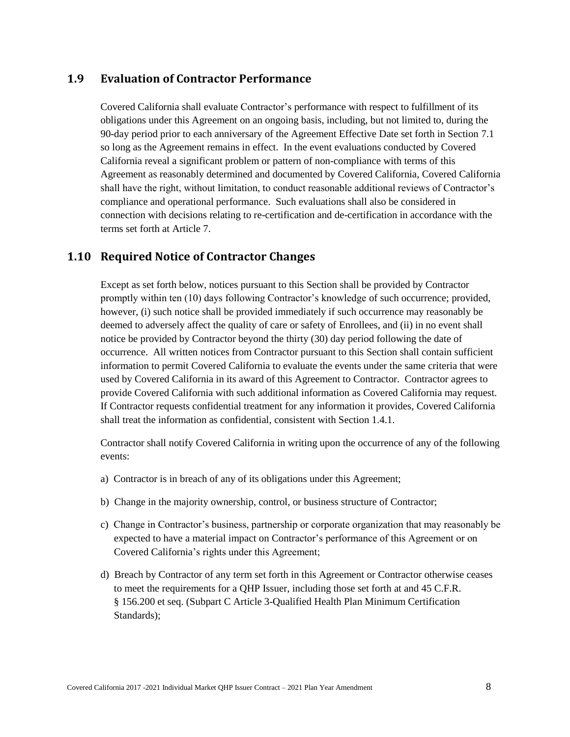# <span id="page-14-0"></span>**1.9 Evaluation of Contractor Performance**

Covered California shall evaluate Contractor's performance with respect to fulfillment of its obligations under this Agreement on an ongoing basis, including, but not limited to, during the 90-day period prior to each anniversary of the Agreement Effective Date set forth in Section 7.1 so long as the Agreement remains in effect. In the event evaluations conducted by Covered California reveal a significant problem or pattern of non-compliance with terms of this Agreement as reasonably determined and documented by Covered California, Covered California shall have the right, without limitation, to conduct reasonable additional reviews of Contractor's compliance and operational performance. Such evaluations shall also be considered in connection with decisions relating to re-certification and de-certification in accordance with the terms set forth at Article 7.

# <span id="page-14-1"></span>**1.10 Required Notice of Contractor Changes**

Except as set forth below, notices pursuant to this Section shall be provided by Contractor promptly within ten (10) days following Contractor's knowledge of such occurrence; provided, however, (i) such notice shall be provided immediately if such occurrence may reasonably be deemed to adversely affect the quality of care or safety of Enrollees, and (ii) in no event shall notice be provided by Contractor beyond the thirty (30) day period following the date of occurrence. All written notices from Contractor pursuant to this Section shall contain sufficient information to permit Covered California to evaluate the events under the same criteria that were used by Covered California in its award of this Agreement to Contractor. Contractor agrees to provide Covered California with such additional information as Covered California may request. If Contractor requests confidential treatment for any information it provides, Covered California shall treat the information as confidential, consistent with Section 1.4.1.

Contractor shall notify Covered California in writing upon the occurrence of any of the following events:

- a) Contractor is in breach of any of its obligations under this Agreement;
- b) Change in the majority ownership, control, or business structure of Contractor;
- c) Change in Contractor's business, partnership or corporate organization that may reasonably be expected to have a material impact on Contractor's performance of this Agreement or on Covered California's rights under this Agreement;
- d) Breach by Contractor of any term set forth in this Agreement or Contractor otherwise ceases to meet the requirements for a QHP Issuer, including those set forth at and 45 C.F.R. § 156.200 et seq. (Subpart C Article 3-Qualified Health Plan Minimum Certification Standards);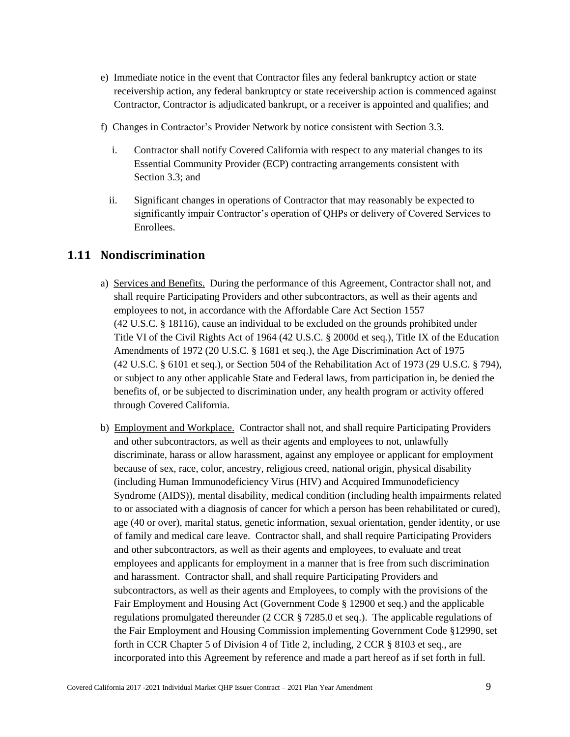- e) Immediate notice in the event that Contractor files any federal bankruptcy action or state receivership action, any federal bankruptcy or state receivership action is commenced against Contractor, Contractor is adjudicated bankrupt, or a receiver is appointed and qualifies; and
- f) Changes in Contractor's Provider Network by notice consistent with Section 3.3.
	- i. Contractor shall notify Covered California with respect to any material changes to its Essential Community Provider (ECP) contracting arrangements consistent with Section 3.3; and
	- ii. Significant changes in operations of Contractor that may reasonably be expected to significantly impair Contractor's operation of QHPs or delivery of Covered Services to Enrollees.

# <span id="page-15-0"></span>**1.11 Nondiscrimination**

- a) Services and Benefits. During the performance of this Agreement, Contractor shall not, and shall require Participating Providers and other subcontractors, as well as their agents and employees to not, in accordance with the Affordable Care Act Section 1557 (42 U.S.C. § 18116), cause an individual to be excluded on the grounds prohibited under Title VI of the Civil Rights Act of 1964 (42 U.S.C. § 2000d et seq.), Title IX of the Education Amendments of 1972 (20 U.S.C. § 1681 et seq.), the Age Discrimination Act of 1975 (42 U.S.C. § 6101 et seq.), or Section 504 of the Rehabilitation Act of 1973 (29 U.S.C. § 794), or subject to any other applicable State and Federal laws, from participation in, be denied the benefits of, or be subjected to discrimination under, any health program or activity offered through Covered California.
- b) Employment and Workplace. Contractor shall not, and shall require Participating Providers and other subcontractors, as well as their agents and employees to not, unlawfully discriminate, harass or allow harassment, against any employee or applicant for employment because of sex, race, color, ancestry, religious creed, national origin, physical disability (including Human Immunodeficiency Virus (HIV) and Acquired Immunodeficiency Syndrome (AIDS)), mental disability, medical condition (including health impairments related to or associated with a diagnosis of cancer for which a person has been rehabilitated or cured), age (40 or over), marital status, genetic information, sexual orientation, gender identity, or use of family and medical care leave. Contractor shall, and shall require Participating Providers and other subcontractors, as well as their agents and employees, to evaluate and treat employees and applicants for employment in a manner that is free from such discrimination and harassment. Contractor shall, and shall require Participating Providers and subcontractors, as well as their agents and Employees, to comply with the provisions of the Fair Employment and Housing Act (Government Code § 12900 et seq.) and the applicable regulations promulgated thereunder (2 CCR § 7285.0 et seq.). The applicable regulations of the Fair Employment and Housing Commission implementing Government Code §12990, set forth in CCR Chapter 5 of Division 4 of Title 2, including, 2 CCR § 8103 et seq., are incorporated into this Agreement by reference and made a part hereof as if set forth in full.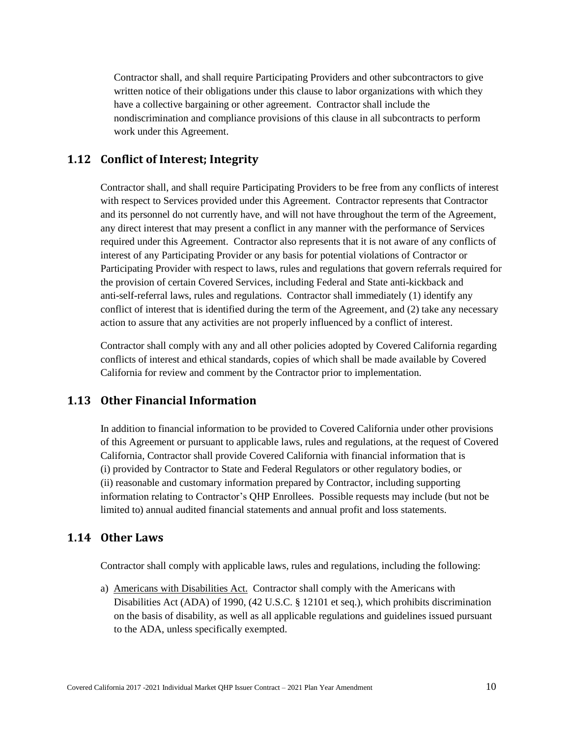Contractor shall, and shall require Participating Providers and other subcontractors to give written notice of their obligations under this clause to labor organizations with which they have a collective bargaining or other agreement. Contractor shall include the nondiscrimination and compliance provisions of this clause in all subcontracts to perform work under this Agreement.

## <span id="page-16-0"></span>**1.12 Conflict of Interest; Integrity**

Contractor shall, and shall require Participating Providers to be free from any conflicts of interest with respect to Services provided under this Agreement. Contractor represents that Contractor and its personnel do not currently have, and will not have throughout the term of the Agreement, any direct interest that may present a conflict in any manner with the performance of Services required under this Agreement. Contractor also represents that it is not aware of any conflicts of interest of any Participating Provider or any basis for potential violations of Contractor or Participating Provider with respect to laws, rules and regulations that govern referrals required for the provision of certain Covered Services, including Federal and State anti-kickback and anti-self-referral laws, rules and regulations. Contractor shall immediately (1) identify any conflict of interest that is identified during the term of the Agreement, and (2) take any necessary action to assure that any activities are not properly influenced by a conflict of interest.

Contractor shall comply with any and all other policies adopted by Covered California regarding conflicts of interest and ethical standards, copies of which shall be made available by Covered California for review and comment by the Contractor prior to implementation.

## <span id="page-16-1"></span>**1.13 Other Financial Information**

In addition to financial information to be provided to Covered California under other provisions of this Agreement or pursuant to applicable laws, rules and regulations, at the request of Covered California, Contractor shall provide Covered California with financial information that is (i) provided by Contractor to State and Federal Regulators or other regulatory bodies, or (ii) reasonable and customary information prepared by Contractor, including supporting information relating to Contractor's QHP Enrollees. Possible requests may include (but not be limited to) annual audited financial statements and annual profit and loss statements.

# <span id="page-16-2"></span>**1.14 Other Laws**

Contractor shall comply with applicable laws, rules and regulations, including the following:

a) Americans with Disabilities Act. Contractor shall comply with the Americans with Disabilities Act (ADA) of 1990, (42 U.S.C. § 12101 et seq.), which prohibits discrimination on the basis of disability, as well as all applicable regulations and guidelines issued pursuant to the ADA, unless specifically exempted.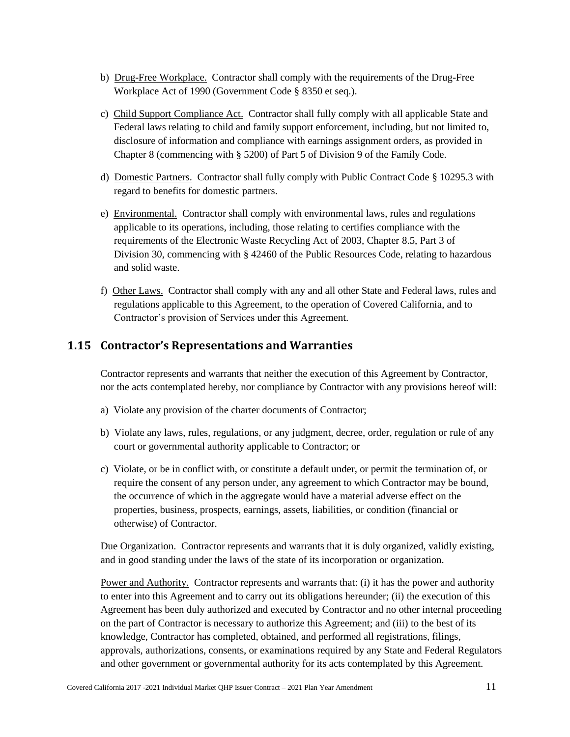- b) Drug-Free Workplace. Contractor shall comply with the requirements of the Drug-Free Workplace Act of 1990 (Government Code § 8350 et seq.).
- c) Child Support Compliance Act. Contractor shall fully comply with all applicable State and Federal laws relating to child and family support enforcement, including, but not limited to, disclosure of information and compliance with earnings assignment orders, as provided in Chapter 8 (commencing with § 5200) of Part 5 of Division 9 of the Family Code.
- d) Domestic Partners. Contractor shall fully comply with Public Contract Code § 10295.3 with regard to benefits for domestic partners.
- e) Environmental. Contractor shall comply with environmental laws, rules and regulations applicable to its operations, including, those relating to certifies compliance with the requirements of the Electronic Waste Recycling Act of 2003, Chapter 8.5, Part 3 of Division 30, commencing with § 42460 of the Public Resources Code, relating to hazardous and solid waste.
- f) Other Laws. Contractor shall comply with any and all other State and Federal laws, rules and regulations applicable to this Agreement, to the operation of Covered California, and to Contractor's provision of Services under this Agreement.

# <span id="page-17-0"></span>**1.15 Contractor's Representations and Warranties**

Contractor represents and warrants that neither the execution of this Agreement by Contractor, nor the acts contemplated hereby, nor compliance by Contractor with any provisions hereof will:

- a) Violate any provision of the charter documents of Contractor;
- b) Violate any laws, rules, regulations, or any judgment, decree, order, regulation or rule of any court or governmental authority applicable to Contractor; or
- c) Violate, or be in conflict with, or constitute a default under, or permit the termination of, or require the consent of any person under, any agreement to which Contractor may be bound, the occurrence of which in the aggregate would have a material adverse effect on the properties, business, prospects, earnings, assets, liabilities, or condition (financial or otherwise) of Contractor.

Due Organization. Contractor represents and warrants that it is duly organized, validly existing, and in good standing under the laws of the state of its incorporation or organization.

Power and Authority. Contractor represents and warrants that: (i) it has the power and authority to enter into this Agreement and to carry out its obligations hereunder; (ii) the execution of this Agreement has been duly authorized and executed by Contractor and no other internal proceeding on the part of Contractor is necessary to authorize this Agreement; and (iii) to the best of its knowledge, Contractor has completed, obtained, and performed all registrations, filings, approvals, authorizations, consents, or examinations required by any State and Federal Regulators and other government or governmental authority for its acts contemplated by this Agreement.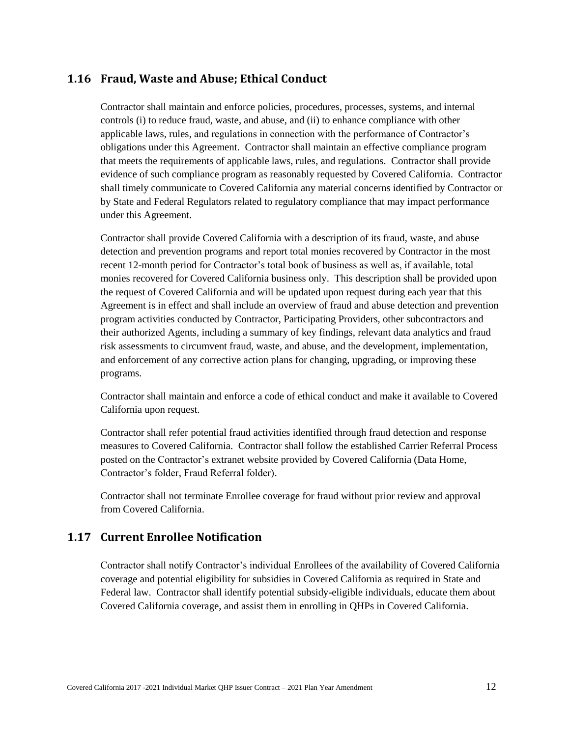## <span id="page-18-0"></span>**1.16 Fraud, Waste and Abuse; Ethical Conduct**

Contractor shall maintain and enforce policies, procedures, processes, systems, and internal controls (i) to reduce fraud, waste, and abuse, and (ii) to enhance compliance with other applicable laws, rules, and regulations in connection with the performance of Contractor's obligations under this Agreement. Contractor shall maintain an effective compliance program that meets the requirements of applicable laws, rules, and regulations. Contractor shall provide evidence of such compliance program as reasonably requested by Covered California. Contractor shall timely communicate to Covered California any material concerns identified by Contractor or by State and Federal Regulators related to regulatory compliance that may impact performance under this Agreement.

Contractor shall provide Covered California with a description of its fraud, waste, and abuse detection and prevention programs and report total monies recovered by Contractor in the most recent 12-month period for Contractor's total book of business as well as, if available, total monies recovered for Covered California business only. This description shall be provided upon the request of Covered California and will be updated upon request during each year that this Agreement is in effect and shall include an overview of fraud and abuse detection and prevention program activities conducted by Contractor, Participating Providers, other subcontractors and their authorized Agents, including a summary of key findings, relevant data analytics and fraud risk assessments to circumvent fraud, waste, and abuse, and the development, implementation, and enforcement of any corrective action plans for changing, upgrading, or improving these programs.

Contractor shall maintain and enforce a code of ethical conduct and make it available to Covered California upon request.

Contractor shall refer potential fraud activities identified through fraud detection and response measures to Covered California. Contractor shall follow the established Carrier Referral Process posted on the Contractor's extranet website provided by Covered California (Data Home, Contractor's folder, Fraud Referral folder).

Contractor shall not terminate Enrollee coverage for fraud without prior review and approval from Covered California.

# <span id="page-18-1"></span>**1.17 Current Enrollee Notification**

Contractor shall notify Contractor's individual Enrollees of the availability of Covered California coverage and potential eligibility for subsidies in Covered California as required in State and Federal law. Contractor shall identify potential subsidy-eligible individuals, educate them about Covered California coverage, and assist them in enrolling in QHPs in Covered California.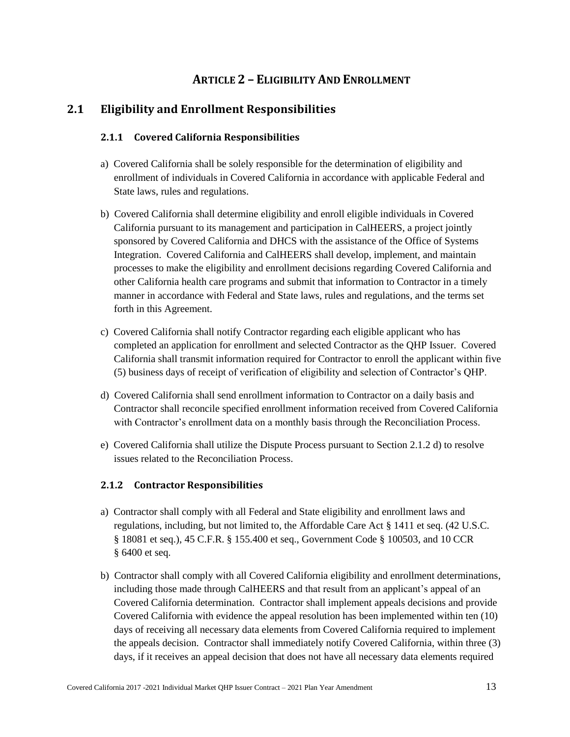# **ARTICLE 2 – ELIGIBILITY AND ENROLLMENT**

# <span id="page-19-2"></span><span id="page-19-1"></span><span id="page-19-0"></span>**2.1 Eligibility and Enrollment Responsibilities**

### **2.1.1 Covered California Responsibilities**

- a) Covered California shall be solely responsible for the determination of eligibility and enrollment of individuals in Covered California in accordance with applicable Federal and State laws, rules and regulations.
- b) Covered California shall determine eligibility and enroll eligible individuals in Covered California pursuant to its management and participation in CalHEERS, a project jointly sponsored by Covered California and DHCS with the assistance of the Office of Systems Integration. Covered California and CalHEERS shall develop, implement, and maintain processes to make the eligibility and enrollment decisions regarding Covered California and other California health care programs and submit that information to Contractor in a timely manner in accordance with Federal and State laws, rules and regulations, and the terms set forth in this Agreement.
- c) Covered California shall notify Contractor regarding each eligible applicant who has completed an application for enrollment and selected Contractor as the QHP Issuer. Covered California shall transmit information required for Contractor to enroll the applicant within five (5) business days of receipt of verification of eligibility and selection of Contractor's QHP.
- d) Covered California shall send enrollment information to Contractor on a daily basis and Contractor shall reconcile specified enrollment information received from Covered California with Contractor's enrollment data on a monthly basis through the Reconciliation Process.
- e) Covered California shall utilize the Dispute Process pursuant to Section 2.1.2 d) to resolve issues related to the Reconciliation Process.

#### <span id="page-19-3"></span>**2.1.2 Contractor Responsibilities**

- a) Contractor shall comply with all Federal and State eligibility and enrollment laws and regulations, including, but not limited to, the Affordable Care Act § 1411 et seq. (42 U.S.C. § 18081 et seq.), 45 C.F.R. § 155.400 et seq., Government Code § 100503, and 10 CCR § 6400 et seq.
- b) Contractor shall comply with all Covered California eligibility and enrollment determinations, including those made through CalHEERS and that result from an applicant's appeal of an Covered California determination. Contractor shall implement appeals decisions and provide Covered California with evidence the appeal resolution has been implemented within ten (10) days of receiving all necessary data elements from Covered California required to implement the appeals decision. Contractor shall immediately notify Covered California, within three (3) days, if it receives an appeal decision that does not have all necessary data elements required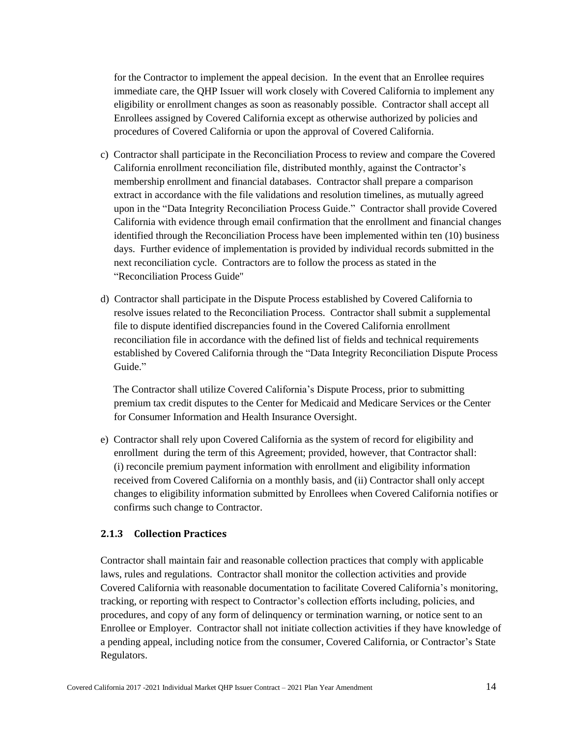for the Contractor to implement the appeal decision. In the event that an Enrollee requires immediate care, the QHP Issuer will work closely with Covered California to implement any eligibility or enrollment changes as soon as reasonably possible. Contractor shall accept all Enrollees assigned by Covered California except as otherwise authorized by policies and procedures of Covered California or upon the approval of Covered California.

- c) Contractor shall participate in the Reconciliation Process to review and compare the Covered California enrollment reconciliation file, distributed monthly, against the Contractor's membership enrollment and financial databases. Contractor shall prepare a comparison extract in accordance with the file validations and resolution timelines, as mutually agreed upon in the "Data Integrity Reconciliation Process Guide." Contractor shall provide Covered California with evidence through email confirmation that the enrollment and financial changes identified through the Reconciliation Process have been implemented within ten (10) business days. Further evidence of implementation is provided by individual records submitted in the next reconciliation cycle. Contractors are to follow the process as stated in the "Reconciliation Process Guide"
- d) Contractor shall participate in the Dispute Process established by Covered California to resolve issues related to the Reconciliation Process. Contractor shall submit a supplemental file to dispute identified discrepancies found in the Covered California enrollment reconciliation file in accordance with the defined list of fields and technical requirements established by Covered California through the "Data Integrity Reconciliation Dispute Process Guide<sup>"</sup>

The Contractor shall utilize Covered California's Dispute Process, prior to submitting premium tax credit disputes to the Center for Medicaid and Medicare Services or the Center for Consumer Information and Health Insurance Oversight.

e) Contractor shall rely upon Covered California as the system of record for eligibility and enrollment during the term of this Agreement; provided, however, that Contractor shall: (i) reconcile premium payment information with enrollment and eligibility information received from Covered California on a monthly basis, and (ii) Contractor shall only accept changes to eligibility information submitted by Enrollees when Covered California notifies or confirms such change to Contractor.

#### <span id="page-20-0"></span>**2.1.3 Collection Practices**

Contractor shall maintain fair and reasonable collection practices that comply with applicable laws, rules and regulations. Contractor shall monitor the collection activities and provide Covered California with reasonable documentation to facilitate Covered California's monitoring, tracking, or reporting with respect to Contractor's collection efforts including, policies, and procedures, and copy of any form of delinquency or termination warning, or notice sent to an Enrollee or Employer. Contractor shall not initiate collection activities if they have knowledge of a pending appeal, including notice from the consumer, Covered California, or Contractor's State Regulators.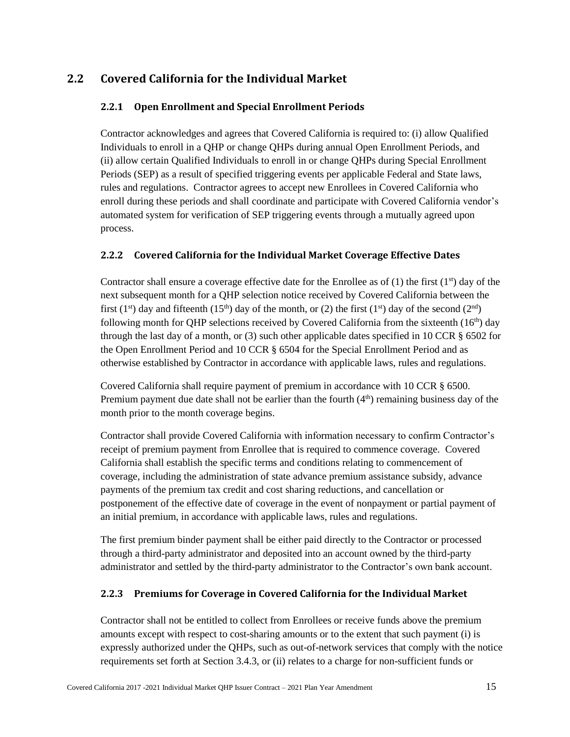# <span id="page-21-1"></span><span id="page-21-0"></span>**2.2 Covered California for the Individual Market**

# **2.2.1 Open Enrollment and Special Enrollment Periods**

Contractor acknowledges and agrees that Covered California is required to: (i) allow Qualified Individuals to enroll in a QHP or change QHPs during annual Open Enrollment Periods, and (ii) allow certain Qualified Individuals to enroll in or change QHPs during Special Enrollment Periods (SEP) as a result of specified triggering events per applicable Federal and State laws, rules and regulations. Contractor agrees to accept new Enrollees in Covered California who enroll during these periods and shall coordinate and participate with Covered California vendor's automated system for verification of SEP triggering events through a mutually agreed upon process.

## <span id="page-21-2"></span>**2.2.2 Covered California for the Individual Market Coverage Effective Dates**

Contractor shall ensure a coverage effective date for the Enrollee as of  $(1)$  the first  $(1^{st})$  day of the next subsequent month for a QHP selection notice received by Covered California between the first (1<sup>st</sup>) day and fifteenth (15<sup>th</sup>) day of the month, or (2) the first (1<sup>st</sup>) day of the second (2<sup>nd</sup>) following month for QHP selections received by Covered California from the sixteenth  $(16<sup>th</sup>)$  day through the last day of a month, or  $(3)$  such other applicable dates specified in 10 CCR  $\S$  6502 for the Open Enrollment Period and 10 CCR § 6504 for the Special Enrollment Period and as otherwise established by Contractor in accordance with applicable laws, rules and regulations.

Covered California shall require payment of premium in accordance with 10 CCR § 6500. Premium payment due date shall not be earlier than the fourth  $(4<sup>th</sup>)$  remaining business day of the month prior to the month coverage begins.

Contractor shall provide Covered California with information necessary to confirm Contractor's receipt of premium payment from Enrollee that is required to commence coverage. Covered California shall establish the specific terms and conditions relating to commencement of coverage, including the administration of state advance premium assistance subsidy, advance payments of the premium tax credit and cost sharing reductions, and cancellation or postponement of the effective date of coverage in the event of nonpayment or partial payment of an initial premium, in accordance with applicable laws, rules and regulations.

The first premium binder payment shall be either paid directly to the Contractor or processed through a third-party administrator and deposited into an account owned by the third-party administrator and settled by the third-party administrator to the Contractor's own bank account.

# <span id="page-21-3"></span>**2.2.3 Premiums for Coverage in Covered California for the Individual Market**

Contractor shall not be entitled to collect from Enrollees or receive funds above the premium amounts except with respect to cost-sharing amounts or to the extent that such payment (i) is expressly authorized under the QHPs, such as out-of-network services that comply with the notice requirements set forth at Section 3.4.3, or (ii) relates to a charge for non-sufficient funds or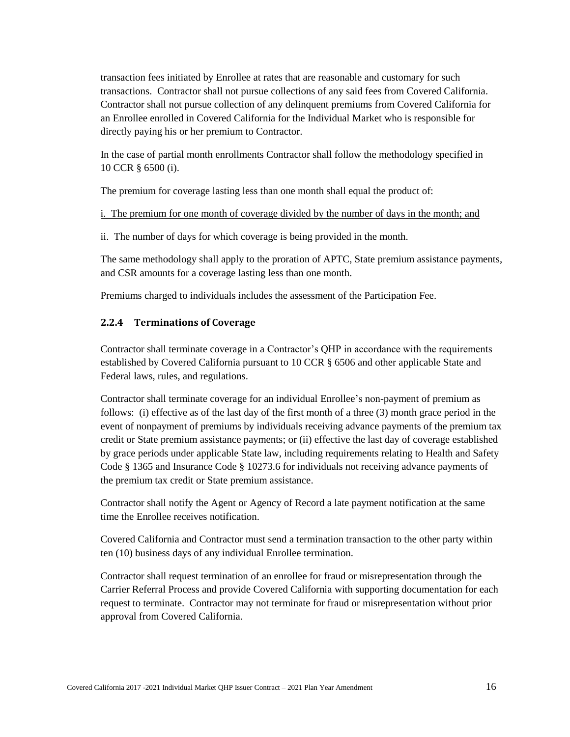transaction fees initiated by Enrollee at rates that are reasonable and customary for such transactions. Contractor shall not pursue collections of any said fees from Covered California. Contractor shall not pursue collection of any delinquent premiums from Covered California for an Enrollee enrolled in Covered California for the Individual Market who is responsible for directly paying his or her premium to Contractor.

In the case of partial month enrollments Contractor shall follow the methodology specified in 10 CCR § 6500 (i).

The premium for coverage lasting less than one month shall equal the product of:

i. The premium for one month of coverage divided by the number of days in the month; and

ii. The number of days for which coverage is being provided in the month.

The same methodology shall apply to the proration of APTC, State premium assistance payments, and CSR amounts for a coverage lasting less than one month.

Premiums charged to individuals includes the assessment of the Participation Fee.

### <span id="page-22-0"></span>**2.2.4 Terminations of Coverage**

Contractor shall terminate coverage in a Contractor's QHP in accordance with the requirements established by Covered California pursuant to 10 CCR § 6506 and other applicable State and Federal laws, rules, and regulations.

Contractor shall terminate coverage for an individual Enrollee's non-payment of premium as follows: (i) effective as of the last day of the first month of a three (3) month grace period in the event of nonpayment of premiums by individuals receiving advance payments of the premium tax credit or State premium assistance payments; or (ii) effective the last day of coverage established by grace periods under applicable State law, including requirements relating to Health and Safety Code § 1365 and Insurance Code § 10273.6 for individuals not receiving advance payments of the premium tax credit or State premium assistance.

Contractor shall notify the Agent or Agency of Record a late payment notification at the same time the Enrollee receives notification.

Covered California and Contractor must send a termination transaction to the other party within ten (10) business days of any individual Enrollee termination.

Contractor shall request termination of an enrollee for fraud or misrepresentation through the Carrier Referral Process and provide Covered California with supporting documentation for each request to terminate. Contractor may not terminate for fraud or misrepresentation without prior approval from Covered California.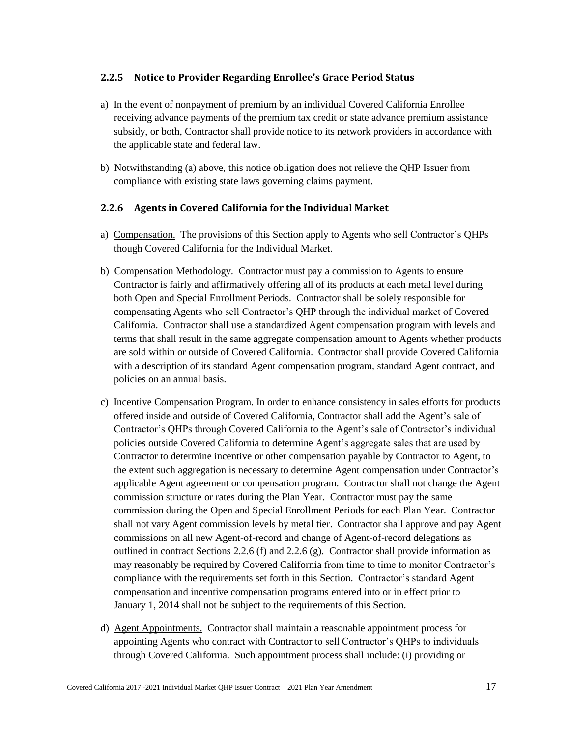#### <span id="page-23-0"></span>**2.2.5 Notice to Provider Regarding Enrollee's Grace Period Status**

- a) In the event of nonpayment of premium by an individual Covered California Enrollee receiving advance payments of the premium tax credit or state advance premium assistance subsidy, or both, Contractor shall provide notice to its network providers in accordance with the applicable state and federal law.
- b) Notwithstanding (a) above, this notice obligation does not relieve the QHP Issuer from compliance with existing state laws governing claims payment.

#### <span id="page-23-1"></span>**2.2.6 Agents in Covered California for the Individual Market**

- a) Compensation. The provisions of this Section apply to Agents who sell Contractor's QHPs though Covered California for the Individual Market.
- b) Compensation Methodology. Contractor must pay a commission to Agents to ensure Contractor is fairly and affirmatively offering all of its products at each metal level during both Open and Special Enrollment Periods. Contractor shall be solely responsible for compensating Agents who sell Contractor's QHP through the individual market of Covered California. Contractor shall use a standardized Agent compensation program with levels and terms that shall result in the same aggregate compensation amount to Agents whether products are sold within or outside of Covered California. Contractor shall provide Covered California with a description of its standard Agent compensation program, standard Agent contract, and policies on an annual basis.
- c) Incentive Compensation Program. In order to enhance consistency in sales efforts for products offered inside and outside of Covered California, Contractor shall add the Agent's sale of Contractor's QHPs through Covered California to the Agent's sale of Contractor's individual policies outside Covered California to determine Agent's aggregate sales that are used by Contractor to determine incentive or other compensation payable by Contractor to Agent, to the extent such aggregation is necessary to determine Agent compensation under Contractor's applicable Agent agreement or compensation program. Contractor shall not change the Agent commission structure or rates during the Plan Year. Contractor must pay the same commission during the Open and Special Enrollment Periods for each Plan Year. Contractor shall not vary Agent commission levels by metal tier. Contractor shall approve and pay Agent commissions on all new Agent-of-record and change of Agent-of-record delegations as outlined in contract Sections 2.2.6 (f) and 2.2.6 (g). Contractor shall provide information as may reasonably be required by Covered California from time to time to monitor Contractor's compliance with the requirements set forth in this Section. Contractor's standard Agent compensation and incentive compensation programs entered into or in effect prior to January 1, 2014 shall not be subject to the requirements of this Section.
- d) Agent Appointments. Contractor shall maintain a reasonable appointment process for appointing Agents who contract with Contractor to sell Contractor's QHPs to individuals through Covered California. Such appointment process shall include: (i) providing or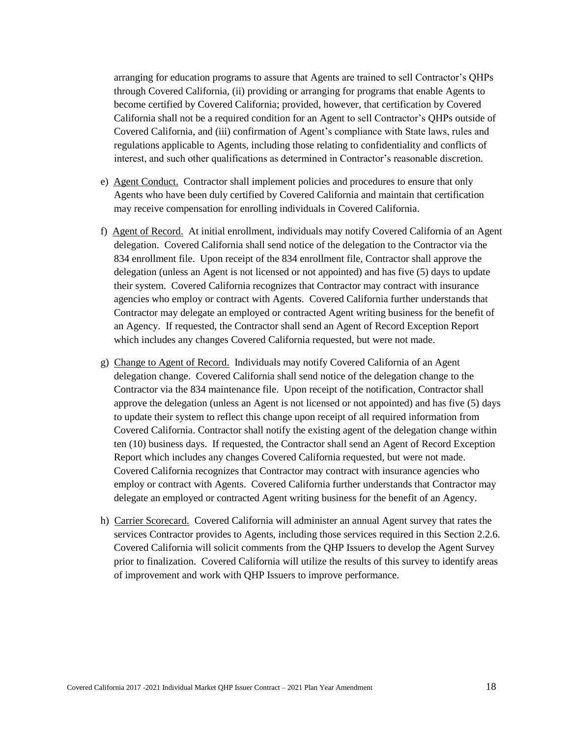arranging for education programs to assure that Agents are trained to sell Contractor's QHPs through Covered California, (ii) providing or arranging for programs that enable Agents to become certified by Covered California; provided, however, that certification by Covered California shall not be a required condition for an Agent to sell Contractor's QHPs outside of Covered California, and (iii) confirmation of Agent's compliance with State laws, rules and regulations applicable to Agents, including those relating to confidentiality and conflicts of interest, and such other qualifications as determined in Contractor's reasonable discretion.

- e) Agent Conduct. Contractor shall implement policies and procedures to ensure that only Agents who have been duly certified by Covered California and maintain that certification may receive compensation for enrolling individuals in Covered California.
- f) Agent of Record. At initial enrollment, individuals may notify Covered California of an Agent delegation. Covered California shall send notice of the delegation to the Contractor via the 834 enrollment file. Upon receipt of the 834 enrollment file, Contractor shall approve the delegation (unless an Agent is not licensed or not appointed) and has five (5) days to update their system. Covered California recognizes that Contractor may contract with insurance agencies who employ or contract with Agents. Covered California further understands that Contractor may delegate an employed or contracted Agent writing business for the benefit of an Agency. If requested, the Contractor shall send an Agent of Record Exception Report which includes any changes Covered California requested, but were not made.
- g) Change to Agent of Record. Individuals may notify Covered California of an Agent delegation change. Covered California shall send notice of the delegation change to the Contractor via the 834 maintenance file. Upon receipt of the notification, Contractor shall approve the delegation (unless an Agent is not licensed or not appointed) and has five (5) days to update their system to reflect this change upon receipt of all required information from Covered California. Contractor shall notify the existing agent of the delegation change within ten (10) business days. If requested, the Contractor shall send an Agent of Record Exception Report which includes any changes Covered California requested, but were not made. Covered California recognizes that Contractor may contract with insurance agencies who employ or contract with Agents. Covered California further understands that Contractor may delegate an employed or contracted Agent writing business for the benefit of an Agency.
- h) Carrier Scorecard. Covered California will administer an annual Agent survey that rates the services Contractor provides to Agents, including those services required in this Section 2.2.6. Covered California will solicit comments from the QHP Issuers to develop the Agent Survey prior to finalization. Covered California will utilize the results of this survey to identify areas of improvement and work with QHP Issuers to improve performance.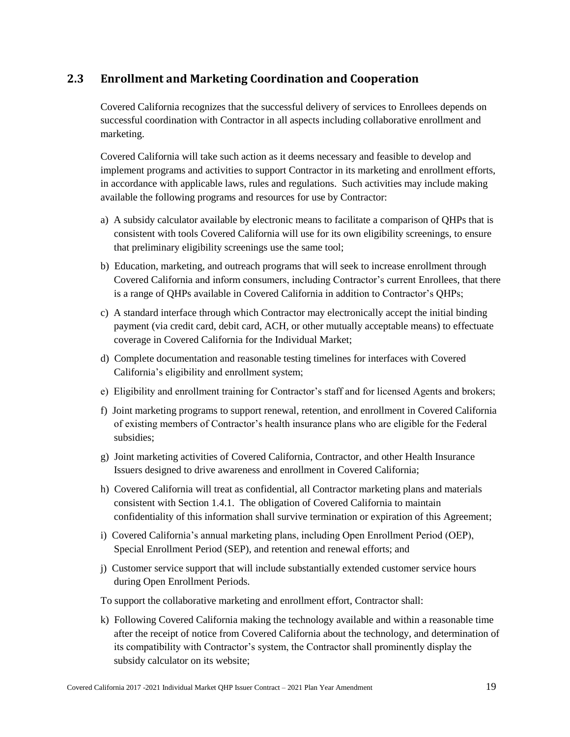# <span id="page-25-0"></span>**2.3 Enrollment and Marketing Coordination and Cooperation**

Covered California recognizes that the successful delivery of services to Enrollees depends on successful coordination with Contractor in all aspects including collaborative enrollment and marketing.

Covered California will take such action as it deems necessary and feasible to develop and implement programs and activities to support Contractor in its marketing and enrollment efforts, in accordance with applicable laws, rules and regulations. Such activities may include making available the following programs and resources for use by Contractor:

- a) A subsidy calculator available by electronic means to facilitate a comparison of QHPs that is consistent with tools Covered California will use for its own eligibility screenings, to ensure that preliminary eligibility screenings use the same tool;
- b) Education, marketing, and outreach programs that will seek to increase enrollment through Covered California and inform consumers, including Contractor's current Enrollees, that there is a range of QHPs available in Covered California in addition to Contractor's QHPs;
- c) A standard interface through which Contractor may electronically accept the initial binding payment (via credit card, debit card, ACH, or other mutually acceptable means) to effectuate coverage in Covered California for the Individual Market;
- d) Complete documentation and reasonable testing timelines for interfaces with Covered California's eligibility and enrollment system;
- e) Eligibility and enrollment training for Contractor's staff and for licensed Agents and brokers;
- f) Joint marketing programs to support renewal, retention, and enrollment in Covered California of existing members of Contractor's health insurance plans who are eligible for the Federal subsidies;
- g) Joint marketing activities of Covered California, Contractor, and other Health Insurance Issuers designed to drive awareness and enrollment in Covered California;
- h) Covered California will treat as confidential, all Contractor marketing plans and materials consistent with Section 1.4.1. The obligation of Covered California to maintain confidentiality of this information shall survive termination or expiration of this Agreement;
- i) Covered California's annual marketing plans, including Open Enrollment Period (OEP), Special Enrollment Period (SEP), and retention and renewal efforts; and
- j) Customer service support that will include substantially extended customer service hours during Open Enrollment Periods.

To support the collaborative marketing and enrollment effort, Contractor shall:

k) Following Covered California making the technology available and within a reasonable time after the receipt of notice from Covered California about the technology, and determination of its compatibility with Contractor's system, the Contractor shall prominently display the subsidy calculator on its website;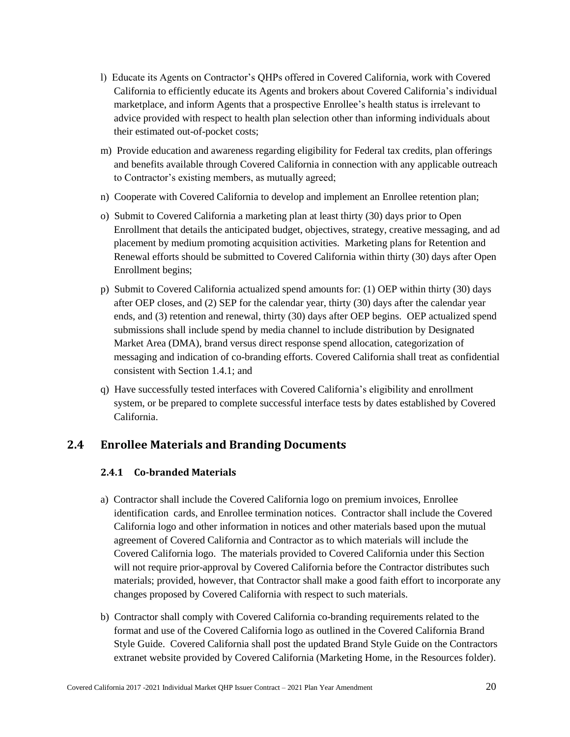- l) Educate its Agents on Contractor's QHPs offered in Covered California, work with Covered California to efficiently educate its Agents and brokers about Covered California's individual marketplace, and inform Agents that a prospective Enrollee's health status is irrelevant to advice provided with respect to health plan selection other than informing individuals about their estimated out-of-pocket costs;
- m) Provide education and awareness regarding eligibility for Federal tax credits, plan offerings and benefits available through Covered California in connection with any applicable outreach to Contractor's existing members, as mutually agreed;
- n) Cooperate with Covered California to develop and implement an Enrollee retention plan;
- o) Submit to Covered California a marketing plan at least thirty (30) days prior to Open Enrollment that details the anticipated budget, objectives, strategy, creative messaging, and ad placement by medium promoting acquisition activities. Marketing plans for Retention and Renewal efforts should be submitted to Covered California within thirty (30) days after Open Enrollment begins;
- p) Submit to Covered California actualized spend amounts for: (1) OEP within thirty (30) days after OEP closes, and (2) SEP for the calendar year, thirty (30) days after the calendar year ends, and (3) retention and renewal, thirty (30) days after OEP begins. OEP actualized spend submissions shall include spend by media channel to include distribution by Designated Market Area (DMA), brand versus direct response spend allocation, categorization of messaging and indication of co-branding efforts. Covered California shall treat as confidential consistent with Section 1.4.1; and
- q) Have successfully tested interfaces with Covered California's eligibility and enrollment system, or be prepared to complete successful interface tests by dates established by Covered California.

# <span id="page-26-1"></span><span id="page-26-0"></span>**2.4 Enrollee Materials and Branding Documents**

### **2.4.1 Co-branded Materials**

- a) Contractor shall include the Covered California logo on premium invoices, Enrollee identification cards, and Enrollee termination notices. Contractor shall include the Covered California logo and other information in notices and other materials based upon the mutual agreement of Covered California and Contractor as to which materials will include the Covered California logo. The materials provided to Covered California under this Section will not require prior-approval by Covered California before the Contractor distributes such materials; provided, however, that Contractor shall make a good faith effort to incorporate any changes proposed by Covered California with respect to such materials.
- b) Contractor shall comply with Covered California co-branding requirements related to the format and use of the Covered California logo as outlined in the Covered California Brand Style Guide. Covered California shall post the updated Brand Style Guide on the Contractors extranet website provided by Covered California (Marketing Home, in the Resources folder).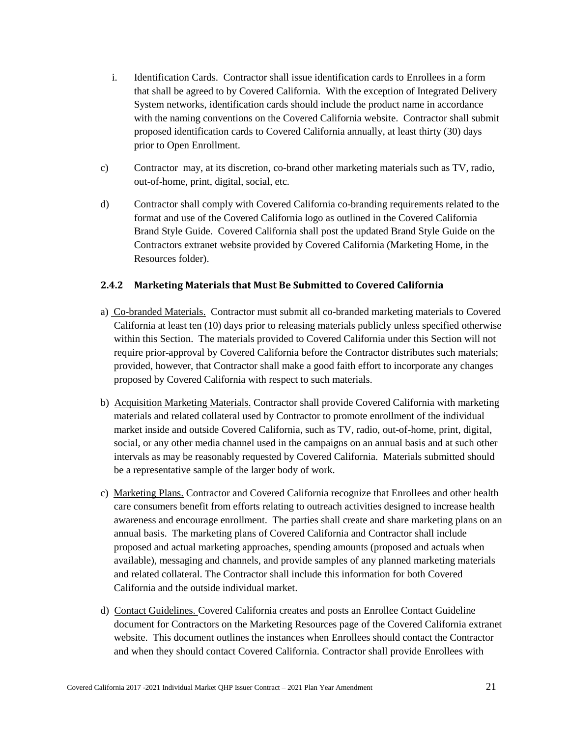- i. Identification Cards. Contractor shall issue identification cards to Enrollees in a form that shall be agreed to by Covered California. With the exception of Integrated Delivery System networks, identification cards should include the product name in accordance with the naming conventions on the Covered California website. Contractor shall submit proposed identification cards to Covered California annually, at least thirty (30) days prior to Open Enrollment.
- c) Contractor may, at its discretion, co-brand other marketing materials such as TV, radio, out-of-home, print, digital, social, etc.
- d) Contractor shall comply with Covered California co-branding requirements related to the format and use of the Covered California logo as outlined in the Covered California Brand Style Guide. Covered California shall post the updated Brand Style Guide on the Contractors extranet website provided by Covered California (Marketing Home, in the Resources folder).

#### <span id="page-27-0"></span>**2.4.2 Marketing Materials that Must Be Submitted to Covered California**

- a) Co-branded Materials. Contractor must submit all co-branded marketing materials to Covered California at least ten (10) days prior to releasing materials publicly unless specified otherwise within this Section. The materials provided to Covered California under this Section will not require prior-approval by Covered California before the Contractor distributes such materials; provided, however, that Contractor shall make a good faith effort to incorporate any changes proposed by Covered California with respect to such materials.
- b) Acquisition Marketing Materials. Contractor shall provide Covered California with marketing materials and related collateral used by Contractor to promote enrollment of the individual market inside and outside Covered California, such as TV, radio, out-of-home, print, digital, social, or any other media channel used in the campaigns on an annual basis and at such other intervals as may be reasonably requested by Covered California. Materials submitted should be a representative sample of the larger body of work.
- c) Marketing Plans. Contractor and Covered California recognize that Enrollees and other health care consumers benefit from efforts relating to outreach activities designed to increase health awareness and encourage enrollment. The parties shall create and share marketing plans on an annual basis. The marketing plans of Covered California and Contractor shall include proposed and actual marketing approaches, spending amounts (proposed and actuals when available), messaging and channels, and provide samples of any planned marketing materials and related collateral. The Contractor shall include this information for both Covered California and the outside individual market.
- d) Contact Guidelines. Covered California creates and posts an Enrollee Contact Guideline document for Contractors on the Marketing Resources page of the Covered California extranet website. This document outlines the instances when Enrollees should contact the Contractor and when they should contact Covered California. Contractor shall provide Enrollees with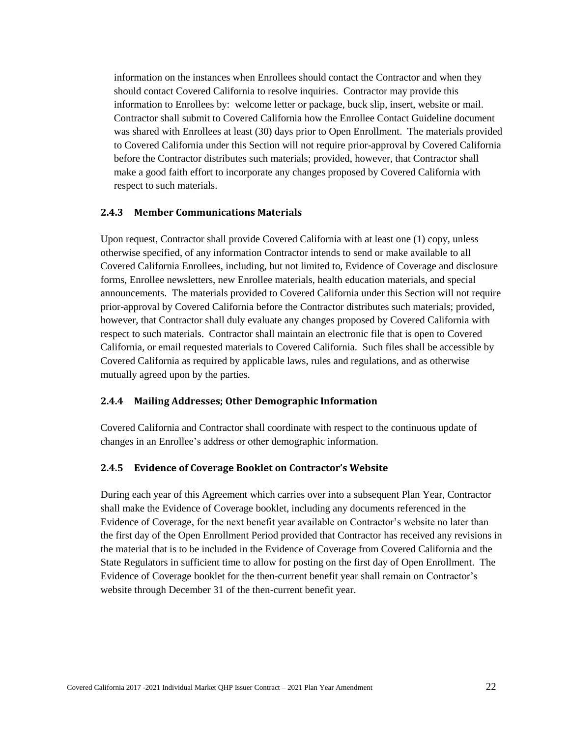information on the instances when Enrollees should contact the Contractor and when they should contact Covered California to resolve inquiries. Contractor may provide this information to Enrollees by: welcome letter or package, buck slip, insert, website or mail. Contractor shall submit to Covered California how the Enrollee Contact Guideline document was shared with Enrollees at least (30) days prior to Open Enrollment. The materials provided to Covered California under this Section will not require prior-approval by Covered California before the Contractor distributes such materials; provided, however, that Contractor shall make a good faith effort to incorporate any changes proposed by Covered California with respect to such materials.

#### <span id="page-28-0"></span>**2.4.3 Member Communications Materials**

Upon request, Contractor shall provide Covered California with at least one (1) copy, unless otherwise specified, of any information Contractor intends to send or make available to all Covered California Enrollees, including, but not limited to, Evidence of Coverage and disclosure forms, Enrollee newsletters, new Enrollee materials, health education materials, and special announcements. The materials provided to Covered California under this Section will not require prior-approval by Covered California before the Contractor distributes such materials; provided, however, that Contractor shall duly evaluate any changes proposed by Covered California with respect to such materials. Contractor shall maintain an electronic file that is open to Covered California, or email requested materials to Covered California. Such files shall be accessible by Covered California as required by applicable laws, rules and regulations, and as otherwise mutually agreed upon by the parties.

#### <span id="page-28-1"></span>**2.4.4 Mailing Addresses; Other Demographic Information**

Covered California and Contractor shall coordinate with respect to the continuous update of changes in an Enrollee's address or other demographic information.

#### <span id="page-28-2"></span>**2.4.5 Evidence of Coverage Booklet on Contractor's Website**

During each year of this Agreement which carries over into a subsequent Plan Year, Contractor shall make the Evidence of Coverage booklet, including any documents referenced in the Evidence of Coverage, for the next benefit year available on Contractor's website no later than the first day of the Open Enrollment Period provided that Contractor has received any revisions in the material that is to be included in the Evidence of Coverage from Covered California and the State Regulators in sufficient time to allow for posting on the first day of Open Enrollment. The Evidence of Coverage booklet for the then-current benefit year shall remain on Contractor's website through December 31 of the then-current benefit year.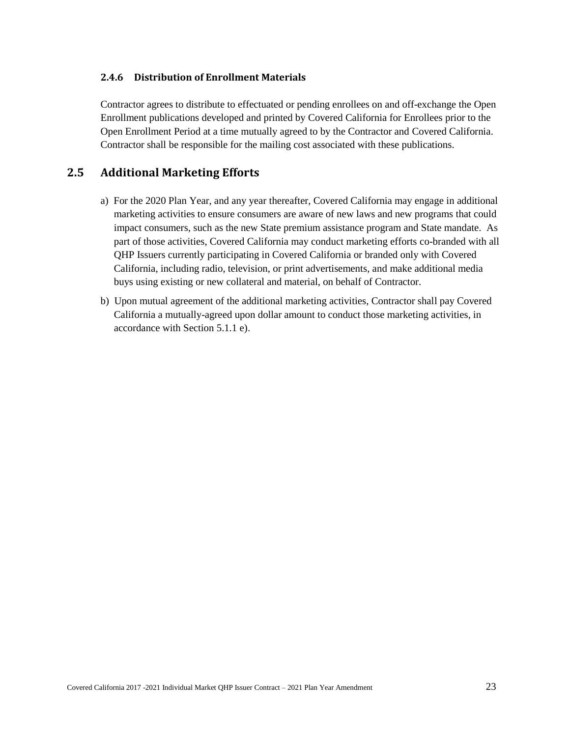### <span id="page-29-0"></span>**2.4.6 Distribution of Enrollment Materials**

Contractor agrees to distribute to effectuated or pending enrollees on and off-exchange the Open Enrollment publications developed and printed by Covered California for Enrollees prior to the Open Enrollment Period at a time mutually agreed to by the Contractor and Covered California. Contractor shall be responsible for the mailing cost associated with these publications.

# <span id="page-29-1"></span>**2.5 Additional Marketing Efforts**

- a) For the 2020 Plan Year, and any year thereafter, Covered California may engage in additional marketing activities to ensure consumers are aware of new laws and new programs that could impact consumers, such as the new State premium assistance program and State mandate. As part of those activities, Covered California may conduct marketing efforts co-branded with all QHP Issuers currently participating in Covered California or branded only with Covered California, including radio, television, or print advertisements, and make additional media buys using existing or new collateral and material, on behalf of Contractor.
- b) Upon mutual agreement of the additional marketing activities, Contractor shall pay Covered California a mutually-agreed upon dollar amount to conduct those marketing activities, in accordance with Section 5.1.1 e).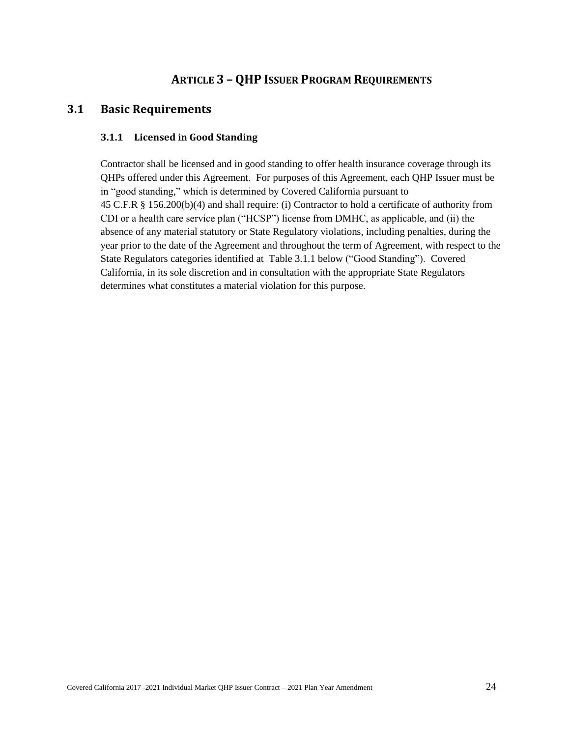# **ARTICLE 3 – QHP ISSUER PROGRAM REQUIREMENTS**

# <span id="page-30-2"></span><span id="page-30-1"></span><span id="page-30-0"></span>**3.1 Basic Requirements**

#### **3.1.1 Licensed in Good Standing**

Contractor shall be licensed and in good standing to offer health insurance coverage through its QHPs offered under this Agreement. For purposes of this Agreement, each QHP Issuer must be in "good standing," which is determined by Covered California pursuant to 45 C.F.R § 156.200(b)(4) and shall require: (i) Contractor to hold a certificate of authority from CDI or a health care service plan ("HCSP") license from DMHC, as applicable, and (ii) the absence of any material statutory or State Regulatory violations, including penalties, during the year prior to the date of the Agreement and throughout the term of Agreement, with respect to the State Regulators categories identified at Table 3.1.1 below ("Good Standing"). Covered California, in its sole discretion and in consultation with the appropriate State Regulators determines what constitutes a material violation for this purpose.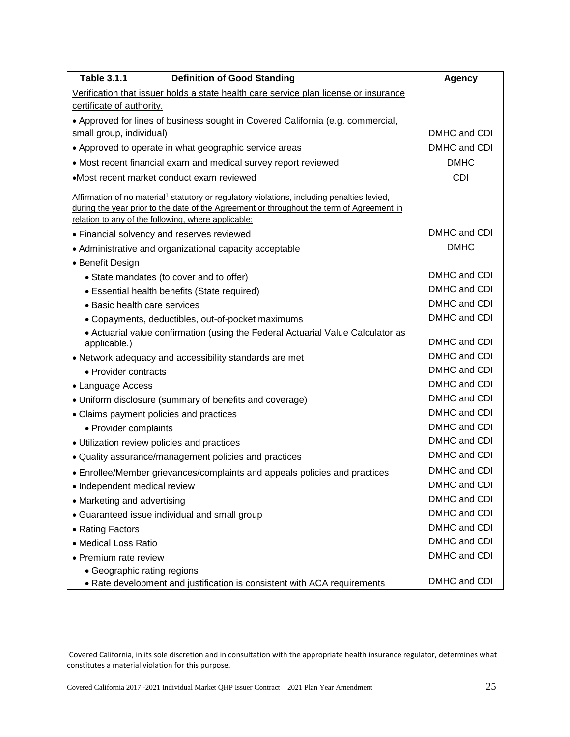| <b>Table 3.1.1</b><br><b>Definition of Good Standing</b>                                                | <b>Agency</b> |
|---------------------------------------------------------------------------------------------------------|---------------|
| Verification that issuer holds a state health care service plan license or insurance                    |               |
| certificate of authority.                                                                               |               |
| • Approved for lines of business sought in Covered California (e.g. commercial,                         |               |
| small group, individual)                                                                                | DMHC and CDI  |
| • Approved to operate in what geographic service areas                                                  | DMHC and CDI  |
| • Most recent financial exam and medical survey report reviewed                                         | <b>DMHC</b>   |
| •Most recent market conduct exam reviewed                                                               | <b>CDI</b>    |
| Affirmation of no material <sup>1</sup> statutory or regulatory violations, including penalties levied, |               |
| during the year prior to the date of the Agreement or throughout the term of Agreement in               |               |
| relation to any of the following, where applicable:                                                     |               |
| • Financial solvency and reserves reviewed                                                              | DMHC and CDI  |
| • Administrative and organizational capacity acceptable                                                 | <b>DMHC</b>   |
| • Benefit Design                                                                                        |               |
| • State mandates (to cover and to offer)                                                                | DMHC and CDI  |
| • Essential health benefits (State required)                                                            | DMHC and CDI  |
| • Basic health care services                                                                            | DMHC and CDI  |
| • Copayments, deductibles, out-of-pocket maximums                                                       | DMHC and CDI  |
| • Actuarial value confirmation (using the Federal Actuarial Value Calculator as<br>applicable.)         | DMHC and CDI  |
| • Network adequacy and accessibility standards are met                                                  | DMHC and CDI  |
| • Provider contracts                                                                                    | DMHC and CDI  |
| • Language Access                                                                                       | DMHC and CDI  |
| • Uniform disclosure (summary of benefits and coverage)                                                 | DMHC and CDI  |
| • Claims payment policies and practices                                                                 | DMHC and CDI  |
| • Provider complaints                                                                                   | DMHC and CDI  |
| • Utilization review policies and practices                                                             | DMHC and CDI  |
| • Quality assurance/management policies and practices                                                   | DMHC and CDI  |
| • Enrollee/Member grievances/complaints and appeals policies and practices                              | DMHC and CDI  |
| • Independent medical review                                                                            | DMHC and CDI  |
| • Marketing and advertising                                                                             | DMHC and CDI  |
| • Guaranteed issue individual and small group                                                           | DMHC and CDI  |
| • Rating Factors                                                                                        | DMHC and CDI  |
| • Medical Loss Ratio                                                                                    | DMHC and CDI  |
| • Premium rate review                                                                                   | DMHC and CDI  |
| • Geographic rating regions                                                                             |               |
| • Rate development and justification is consistent with ACA requirements                                | DMHC and CDI  |

 $\overline{a}$ 

<sup>1</sup>Covered California, in its sole discretion and in consultation with the appropriate health insurance regulator, determines what constitutes a material violation for this purpose.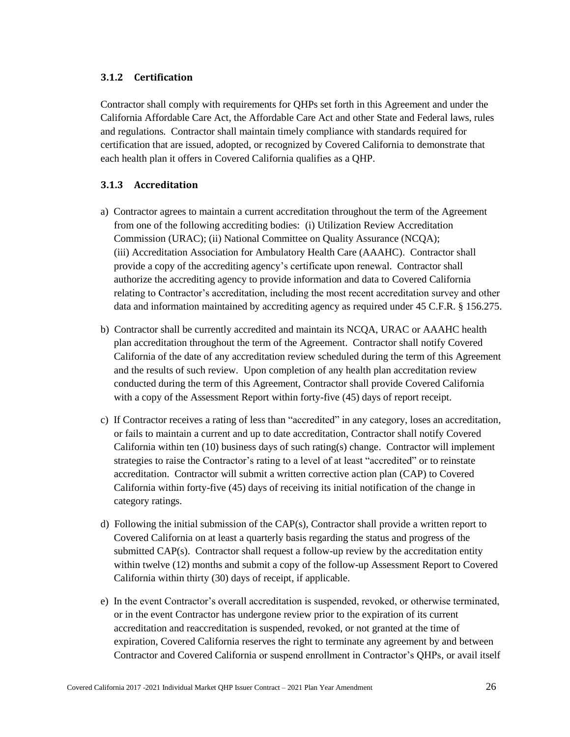### <span id="page-32-0"></span>**3.1.2 Certification**

Contractor shall comply with requirements for QHPs set forth in this Agreement and under the California Affordable Care Act, the Affordable Care Act and other State and Federal laws, rules and regulations*.* Contractor shall maintain timely compliance with standards required for certification that are issued, adopted, or recognized by Covered California to demonstrate that each health plan it offers in Covered California qualifies as a QHP.

### <span id="page-32-1"></span>**3.1.3 Accreditation**

- a) Contractor agrees to maintain a current accreditation throughout the term of the Agreement from one of the following accrediting bodies: (i) Utilization Review Accreditation Commission (URAC); (ii) National Committee on Quality Assurance (NCQA); (iii) Accreditation Association for Ambulatory Health Care (AAAHC). Contractor shall provide a copy of the accrediting agency's certificate upon renewal. Contractor shall authorize the accrediting agency to provide information and data to Covered California relating to Contractor's accreditation, including the most recent accreditation survey and other data and information maintained by accrediting agency as required under 45 C.F.R. § 156.275.
- b) Contractor shall be currently accredited and maintain its NCQA, URAC or AAAHC health plan accreditation throughout the term of the Agreement. Contractor shall notify Covered California of the date of any accreditation review scheduled during the term of this Agreement and the results of such review. Upon completion of any health plan accreditation review conducted during the term of this Agreement, Contractor shall provide Covered California with a copy of the Assessment Report within forty-five (45) days of report receipt.
- c) If Contractor receives a rating of less than "accredited" in any category, loses an accreditation, or fails to maintain a current and up to date accreditation, Contractor shall notify Covered California within ten  $(10)$  business days of such rating(s) change. Contractor will implement strategies to raise the Contractor's rating to a level of at least "accredited" or to reinstate accreditation. Contractor will submit a written corrective action plan (CAP) to Covered California within forty-five (45) days of receiving its initial notification of the change in category ratings.
- d) Following the initial submission of the CAP(s), Contractor shall provide a written report to Covered California on at least a quarterly basis regarding the status and progress of the submitted CAP(s). Contractor shall request a follow-up review by the accreditation entity within twelve (12) months and submit a copy of the follow-up Assessment Report to Covered California within thirty (30) days of receipt, if applicable.
- e) In the event Contractor's overall accreditation is suspended, revoked, or otherwise terminated, or in the event Contractor has undergone review prior to the expiration of its current accreditation and reaccreditation is suspended, revoked, or not granted at the time of expiration, Covered California reserves the right to terminate any agreement by and between Contractor and Covered California or suspend enrollment in Contractor's QHPs, or avail itself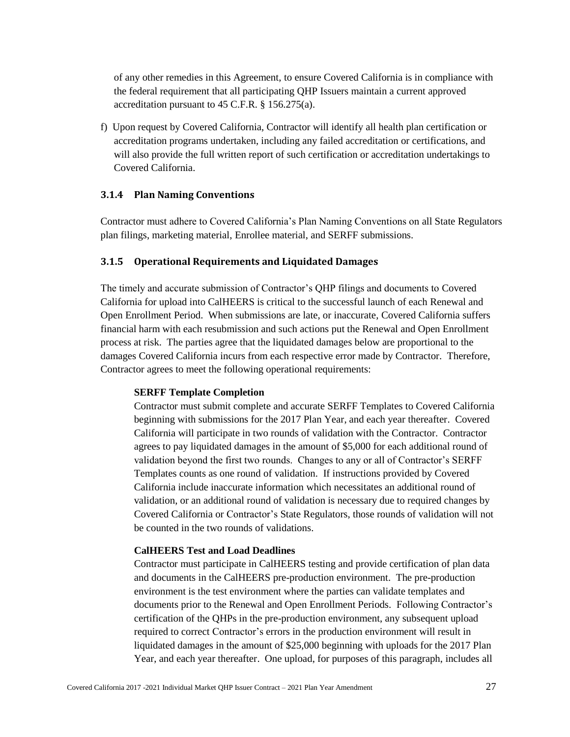of any other remedies in this Agreement, to ensure Covered California is in compliance with the federal requirement that all participating QHP Issuers maintain a current approved accreditation pursuant to 45 C.F.R. § 156.275(a).

f) Upon request by Covered California, Contractor will identify all health plan certification or accreditation programs undertaken, including any failed accreditation or certifications, and will also provide the full written report of such certification or accreditation undertakings to Covered California.

#### <span id="page-33-0"></span>**3.1.4 Plan Naming Conventions**

Contractor must adhere to Covered California's Plan Naming Conventions on all State Regulators plan filings, marketing material, Enrollee material, and SERFF submissions.

#### <span id="page-33-1"></span>**3.1.5 Operational Requirements and Liquidated Damages**

The timely and accurate submission of Contractor's QHP filings and documents to Covered California for upload into CalHEERS is critical to the successful launch of each Renewal and Open Enrollment Period. When submissions are late, or inaccurate, Covered California suffers financial harm with each resubmission and such actions put the Renewal and Open Enrollment process at risk. The parties agree that the liquidated damages below are proportional to the damages Covered California incurs from each respective error made by Contractor. Therefore, Contractor agrees to meet the following operational requirements:

#### **SERFF Template Completion**

Contractor must submit complete and accurate SERFF Templates to Covered California beginning with submissions for the 2017 Plan Year, and each year thereafter. Covered California will participate in two rounds of validation with the Contractor. Contractor agrees to pay liquidated damages in the amount of \$5,000 for each additional round of validation beyond the first two rounds. Changes to any or all of Contractor's SERFF Templates counts as one round of validation. If instructions provided by Covered California include inaccurate information which necessitates an additional round of validation, or an additional round of validation is necessary due to required changes by Covered California or Contractor's State Regulators, those rounds of validation will not be counted in the two rounds of validations.

#### **CalHEERS Test and Load Deadlines**

Contractor must participate in CalHEERS testing and provide certification of plan data and documents in the CalHEERS pre-production environment. The pre-production environment is the test environment where the parties can validate templates and documents prior to the Renewal and Open Enrollment Periods. Following Contractor's certification of the QHPs in the pre-production environment, any subsequent upload required to correct Contractor's errors in the production environment will result in liquidated damages in the amount of \$25,000 beginning with uploads for the 2017 Plan Year, and each year thereafter. One upload, for purposes of this paragraph, includes all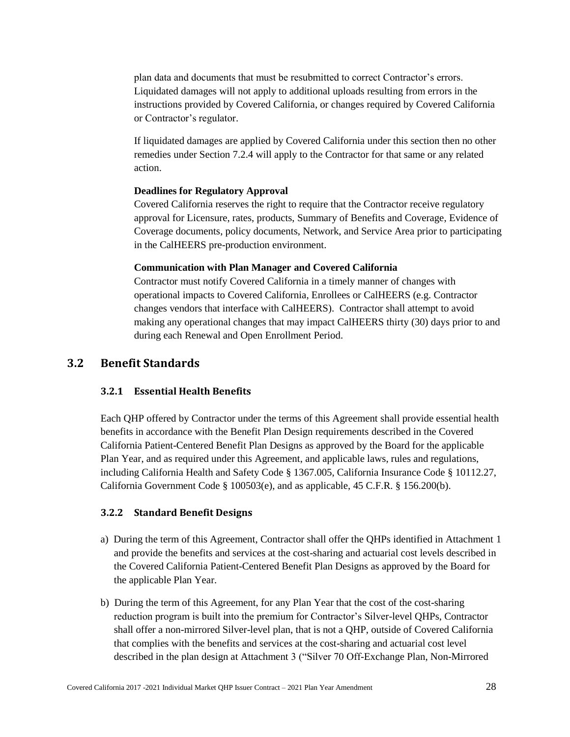plan data and documents that must be resubmitted to correct Contractor's errors. Liquidated damages will not apply to additional uploads resulting from errors in the instructions provided by Covered California, or changes required by Covered California or Contractor's regulator.

If liquidated damages are applied by Covered California under this section then no other remedies under Section 7.2.4 will apply to the Contractor for that same or any related action.

#### **Deadlines for Regulatory Approval**

Covered California reserves the right to require that the Contractor receive regulatory approval for Licensure, rates, products, Summary of Benefits and Coverage, Evidence of Coverage documents, policy documents, Network, and Service Area prior to participating in the CalHEERS pre-production environment.

#### **Communication with Plan Manager and Covered California**

Contractor must notify Covered California in a timely manner of changes with operational impacts to Covered California, Enrollees or CalHEERS (e.g. Contractor changes vendors that interface with CalHEERS). Contractor shall attempt to avoid making any operational changes that may impact CalHEERS thirty (30) days prior to and during each Renewal and Open Enrollment Period.

## <span id="page-34-1"></span><span id="page-34-0"></span>**3.2 Benefit Standards**

#### **3.2.1 Essential Health Benefits**

Each QHP offered by Contractor under the terms of this Agreement shall provide essential health benefits in accordance with the Benefit Plan Design requirements described in the Covered California Patient-Centered Benefit Plan Designs as approved by the Board for the applicable Plan Year, and as required under this Agreement, and applicable laws, rules and regulations, including California Health and Safety Code § 1367.005, California Insurance Code § 10112.27, California Government Code § 100503(e), and as applicable, 45 C.F.R. § 156.200(b).

#### <span id="page-34-2"></span>**3.2.2 Standard Benefit Designs**

- a) During the term of this Agreement, Contractor shall offer the QHPs identified in Attachment 1 and provide the benefits and services at the cost-sharing and actuarial cost levels described in the Covered California Patient-Centered Benefit Plan Designs as approved by the Board for the applicable Plan Year.
- b) During the term of this Agreement, for any Plan Year that the cost of the cost-sharing reduction program is built into the premium for Contractor's Silver-level QHPs, Contractor shall offer a non-mirrored Silver-level plan, that is not a QHP, outside of Covered California that complies with the benefits and services at the cost-sharing and actuarial cost level described in the plan design at Attachment 3 ("Silver 70 Off-Exchange Plan, Non-Mirrored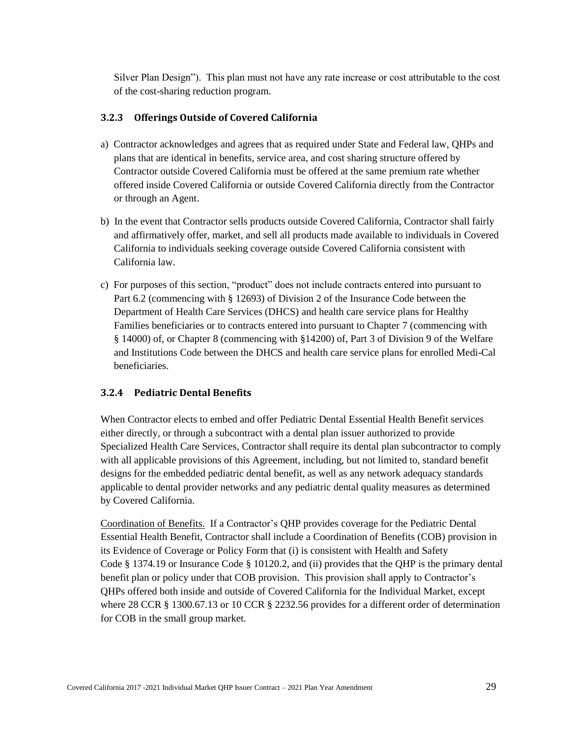Silver Plan Design"). This plan must not have any rate increase or cost attributable to the cost of the cost-sharing reduction program.

#### <span id="page-35-0"></span>**3.2.3 Offerings Outside of Covered California**

- a) Contractor acknowledges and agrees that as required under State and Federal law, QHPs and plans that are identical in benefits, service area, and cost sharing structure offered by Contractor outside Covered California must be offered at the same premium rate whether offered inside Covered California or outside Covered California directly from the Contractor or through an Agent.
- b) In the event that Contractor sells products outside Covered California, Contractor shall fairly and affirmatively offer, market, and sell all products made available to individuals in Covered California to individuals seeking coverage outside Covered California consistent with California law.
- c) For purposes of this section, "product" does not include contracts entered into pursuant to Part 6.2 (commencing with § 12693) of Division 2 of the Insurance Code between the Department of Health Care Services (DHCS) and health care service plans for Healthy Families beneficiaries or to contracts entered into pursuant to Chapter 7 (commencing with § 14000) of, or Chapter 8 (commencing with §14200) of, Part 3 of Division 9 of the Welfare and Institutions Code between the DHCS and health care service plans for enrolled Medi-Cal beneficiaries.

#### <span id="page-35-1"></span>**3.2.4 Pediatric Dental Benefits**

When Contractor elects to embed and offer Pediatric Dental Essential Health Benefit services either directly, or through a subcontract with a dental plan issuer authorized to provide Specialized Health Care Services, Contractor shall require its dental plan subcontractor to comply with all applicable provisions of this Agreement, including, but not limited to, standard benefit designs for the embedded pediatric dental benefit, as well as any network adequacy standards applicable to dental provider networks and any pediatric dental quality measures as determined by Covered California.

Coordination of Benefits. If a Contractor's QHP provides coverage for the Pediatric Dental Essential Health Benefit, Contractor shall include a Coordination of Benefits (COB) provision in its Evidence of Coverage or Policy Form that (i) is consistent with Health and Safety Code § 1374.19 or Insurance Code § 10120.2, and (ii) provides that the QHP is the primary dental benefit plan or policy under that COB provision. This provision shall apply to Contractor's QHPs offered both inside and outside of Covered California for the Individual Market, except where 28 CCR § 1300.67.13 or 10 CCR § 2232.56 provides for a different order of determination for COB in the small group market.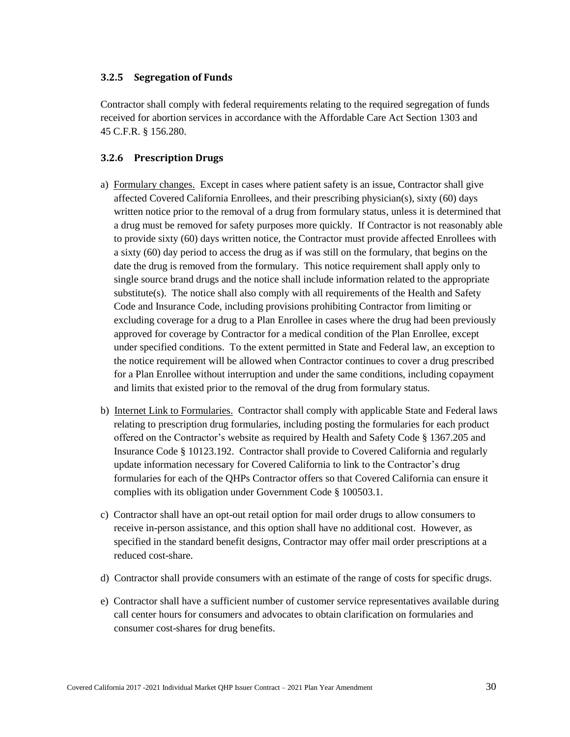### **3.2.5 Segregation of Funds**

Contractor shall comply with federal requirements relating to the required segregation of funds received for abortion services in accordance with the Affordable Care Act Section 1303 and 45 C.F.R. § 156.280.

## **3.2.6 Prescription Drugs**

- a) Formulary changes. Except in cases where patient safety is an issue, Contractor shall give affected Covered California Enrollees, and their prescribing physician(s), sixty (60) days written notice prior to the removal of a drug from formulary status, unless it is determined that a drug must be removed for safety purposes more quickly. If Contractor is not reasonably able to provide sixty (60) days written notice, the Contractor must provide affected Enrollees with a sixty (60) day period to access the drug as if was still on the formulary, that begins on the date the drug is removed from the formulary. This notice requirement shall apply only to single source brand drugs and the notice shall include information related to the appropriate substitute(s). The notice shall also comply with all requirements of the Health and Safety Code and Insurance Code, including provisions prohibiting Contractor from limiting or excluding coverage for a drug to a Plan Enrollee in cases where the drug had been previously approved for coverage by Contractor for a medical condition of the Plan Enrollee, except under specified conditions. To the extent permitted in State and Federal law, an exception to the notice requirement will be allowed when Contractor continues to cover a drug prescribed for a Plan Enrollee without interruption and under the same conditions, including copayment and limits that existed prior to the removal of the drug from formulary status.
- b) Internet Link to Formularies. Contractor shall comply with applicable State and Federal laws relating to prescription drug formularies, including posting the formularies for each product offered on the Contractor's website as required by Health and Safety Code § 1367.205 and Insurance Code § 10123.192. Contractor shall provide to Covered California and regularly update information necessary for Covered California to link to the Contractor's drug formularies for each of the QHPs Contractor offers so that Covered California can ensure it complies with its obligation under Government Code § 100503.1.
- c) Contractor shall have an opt-out retail option for mail order drugs to allow consumers to receive in-person assistance, and this option shall have no additional cost. However, as specified in the standard benefit designs, Contractor may offer mail order prescriptions at a reduced cost-share.
- d) Contractor shall provide consumers with an estimate of the range of costs for specific drugs.
- e) Contractor shall have a sufficient number of customer service representatives available during call center hours for consumers and advocates to obtain clarification on formularies and consumer cost-shares for drug benefits.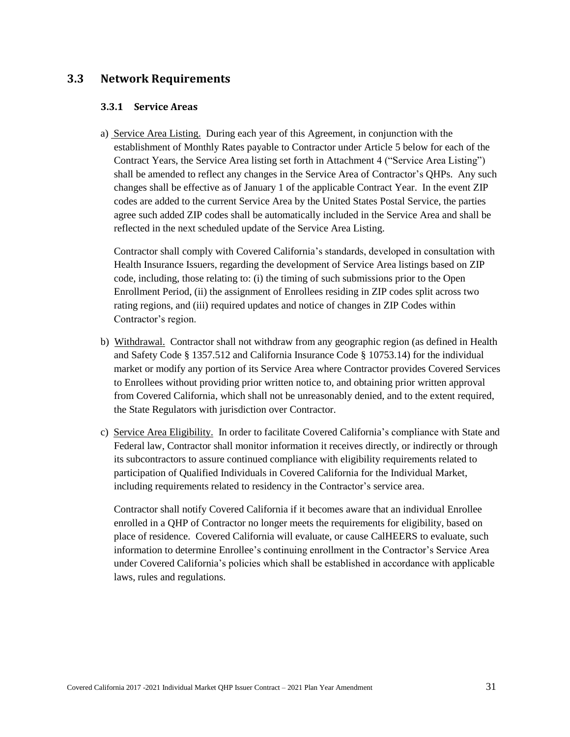# **3.3 Network Requirements**

### **3.3.1 Service Areas**

a) Service Area Listing. During each year of this Agreement, in conjunction with the establishment of Monthly Rates payable to Contractor under Article 5 below for each of the Contract Years, the Service Area listing set forth in Attachment 4 ("Service Area Listing") shall be amended to reflect any changes in the Service Area of Contractor's QHPs. Any such changes shall be effective as of January 1 of the applicable Contract Year. In the event ZIP codes are added to the current Service Area by the United States Postal Service, the parties agree such added ZIP codes shall be automatically included in the Service Area and shall be reflected in the next scheduled update of the Service Area Listing.

Contractor shall comply with Covered California's standards, developed in consultation with Health Insurance Issuers, regarding the development of Service Area listings based on ZIP code, including, those relating to: (i) the timing of such submissions prior to the Open Enrollment Period, (ii) the assignment of Enrollees residing in ZIP codes split across two rating regions, and (iii) required updates and notice of changes in ZIP Codes within Contractor's region.

- b) Withdrawal. Contractor shall not withdraw from any geographic region (as defined in Health and Safety Code § 1357.512 and California Insurance Code § 10753.14) for the individual market or modify any portion of its Service Area where Contractor provides Covered Services to Enrollees without providing prior written notice to, and obtaining prior written approval from Covered California, which shall not be unreasonably denied, and to the extent required, the State Regulators with jurisdiction over Contractor.
- c) Service Area Eligibility. In order to facilitate Covered California's compliance with State and Federal law, Contractor shall monitor information it receives directly, or indirectly or through its subcontractors to assure continued compliance with eligibility requirements related to participation of Qualified Individuals in Covered California for the Individual Market, including requirements related to residency in the Contractor's service area.

Contractor shall notify Covered California if it becomes aware that an individual Enrollee enrolled in a QHP of Contractor no longer meets the requirements for eligibility, based on place of residence. Covered California will evaluate, or cause CalHEERS to evaluate, such information to determine Enrollee's continuing enrollment in the Contractor's Service Area under Covered California's policies which shall be established in accordance with applicable laws, rules and regulations.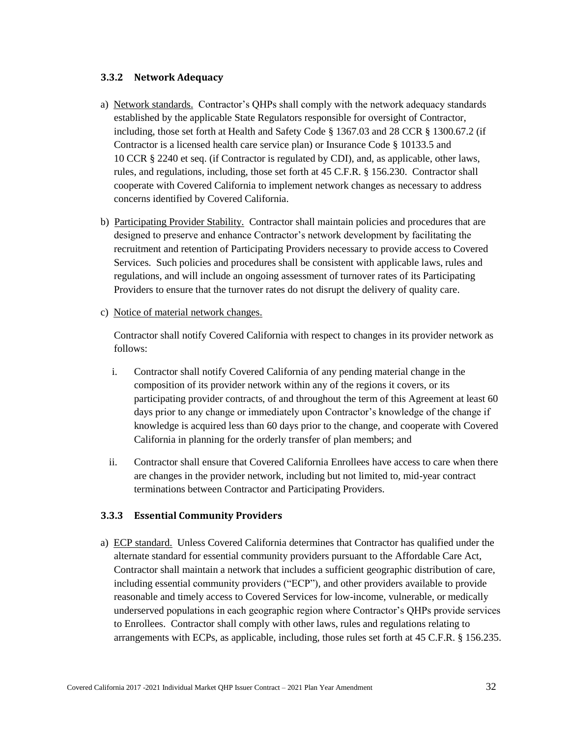## **3.3.2 Network Adequacy**

- a) Network standards. Contractor's QHPs shall comply with the network adequacy standards established by the applicable State Regulators responsible for oversight of Contractor, including, those set forth at Health and Safety Code § 1367.03 and 28 CCR § 1300.67.2 (if Contractor is a licensed health care service plan) or Insurance Code § 10133.5 and 10 CCR § 2240 et seq. (if Contractor is regulated by CDI), and, as applicable, other laws, rules, and regulations, including, those set forth at 45 C.F.R. § 156.230. Contractor shall cooperate with Covered California to implement network changes as necessary to address concerns identified by Covered California.
- b) Participating Provider Stability. Contractor shall maintain policies and procedures that are designed to preserve and enhance Contractor's network development by facilitating the recruitment and retention of Participating Providers necessary to provide access to Covered Services. Such policies and procedures shall be consistent with applicable laws, rules and regulations, and will include an ongoing assessment of turnover rates of its Participating Providers to ensure that the turnover rates do not disrupt the delivery of quality care.
- c) Notice of material network changes.

Contractor shall notify Covered California with respect to changes in its provider network as follows:

- i. Contractor shall notify Covered California of any pending material change in the composition of its provider network within any of the regions it covers, or its participating provider contracts, of and throughout the term of this Agreement at least 60 days prior to any change or immediately upon Contractor's knowledge of the change if knowledge is acquired less than 60 days prior to the change, and cooperate with Covered California in planning for the orderly transfer of plan members; and
- ii. Contractor shall ensure that Covered California Enrollees have access to care when there are changes in the provider network, including but not limited to, mid-year contract terminations between Contractor and Participating Providers.

### **3.3.3 Essential Community Providers**

a) ECP standard. Unless Covered California determines that Contractor has qualified under the alternate standard for essential community providers pursuant to the Affordable Care Act, Contractor shall maintain a network that includes a sufficient geographic distribution of care, including essential community providers ("ECP"), and other providers available to provide reasonable and timely access to Covered Services for low-income, vulnerable, or medically underserved populations in each geographic region where Contractor's QHPs provide services to Enrollees. Contractor shall comply with other laws, rules and regulations relating to arrangements with ECPs, as applicable, including, those rules set forth at 45 C.F.R. § 156.235.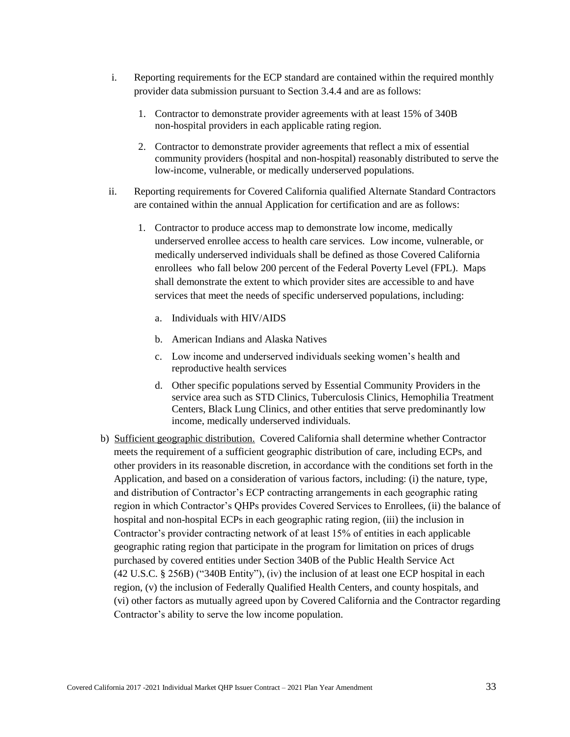- i. Reporting requirements for the ECP standard are contained within the required monthly provider data submission pursuant to Section 3.4.4 and are as follows:
	- 1. Contractor to demonstrate provider agreements with at least 15% of 340B non-hospital providers in each applicable rating region.
	- 2. Contractor to demonstrate provider agreements that reflect a mix of essential community providers (hospital and non-hospital) reasonably distributed to serve the low-income, vulnerable, or medically underserved populations.
- ii. Reporting requirements for Covered California qualified Alternate Standard Contractors are contained within the annual Application for certification and are as follows:
	- 1. Contractor to produce access map to demonstrate low income, medically underserved enrollee access to health care services. Low income, vulnerable, or medically underserved individuals shall be defined as those Covered California enrollees who fall below 200 percent of the Federal Poverty Level (FPL). Maps shall demonstrate the extent to which provider sites are accessible to and have services that meet the needs of specific underserved populations, including:
		- a. Individuals with HIV/AIDS
		- b. American Indians and Alaska Natives
		- c. Low income and underserved individuals seeking women's health and reproductive health services
		- d. Other specific populations served by Essential Community Providers in the service area such as STD Clinics, Tuberculosis Clinics, Hemophilia Treatment Centers, Black Lung Clinics, and other entities that serve predominantly low income, medically underserved individuals.
- b) Sufficient geographic distribution. Covered California shall determine whether Contractor meets the requirement of a sufficient geographic distribution of care, including ECPs, and other providers in its reasonable discretion, in accordance with the conditions set forth in the Application, and based on a consideration of various factors, including: (i) the nature, type, and distribution of Contractor's ECP contracting arrangements in each geographic rating region in which Contractor's QHPs provides Covered Services to Enrollees, (ii) the balance of hospital and non-hospital ECPs in each geographic rating region, (iii) the inclusion in Contractor's provider contracting network of at least 15% of entities in each applicable geographic rating region that participate in the program for limitation on prices of drugs purchased by covered entities under Section 340B of the Public Health Service Act (42 U.S.C. § 256B) ("340B Entity"), (iv) the inclusion of at least one ECP hospital in each region, (v) the inclusion of Federally Qualified Health Centers, and county hospitals, and (vi) other factors as mutually agreed upon by Covered California and the Contractor regarding Contractor's ability to serve the low income population.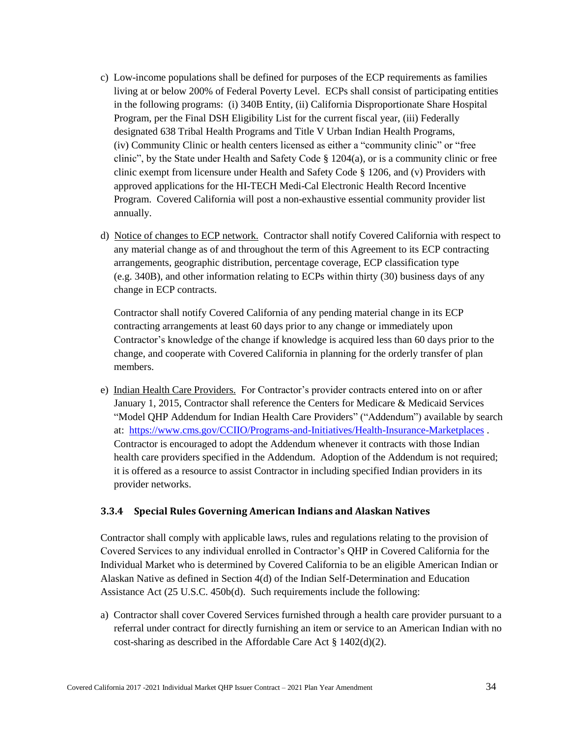- c) Low-income populations shall be defined for purposes of the ECP requirements as families living at or below 200% of Federal Poverty Level. ECPs shall consist of participating entities in the following programs: (i) 340B Entity, (ii) California Disproportionate Share Hospital Program, per the Final DSH Eligibility List for the current fiscal year, (iii) Federally designated 638 Tribal Health Programs and Title V Urban Indian Health Programs, (iv) Community Clinic or health centers licensed as either a "community clinic" or "free clinic", by the State under Health and Safety Code § 1204(a), or is a community clinic or free clinic exempt from licensure under Health and Safety Code § 1206, and (v) Providers with approved applications for the HI-TECH Medi-Cal Electronic Health Record Incentive Program. Covered California will post a non-exhaustive essential community provider list annually.
- d) Notice of changes to ECP network. Contractor shall notify Covered California with respect to any material change as of and throughout the term of this Agreement to its ECP contracting arrangements, geographic distribution, percentage coverage, ECP classification type (e.g. 340B), and other information relating to ECPs within thirty (30) business days of any change in ECP contracts.

Contractor shall notify Covered California of any pending material change in its ECP contracting arrangements at least 60 days prior to any change or immediately upon Contractor's knowledge of the change if knowledge is acquired less than 60 days prior to the change, and cooperate with Covered California in planning for the orderly transfer of plan members.

e) Indian Health Care Providers. For Contractor's provider contracts entered into on or after January 1, 2015, Contractor shall reference the Centers for Medicare & Medicaid Services "Model QHP Addendum for Indian Health Care Providers" ("Addendum") available by search at: <https://www.cms.gov/CCIIO/Programs-and-Initiatives/Health-Insurance-Marketplaces> . Contractor is encouraged to adopt the Addendum whenever it contracts with those Indian health care providers specified in the Addendum. Adoption of the Addendum is not required; it is offered as a resource to assist Contractor in including specified Indian providers in its provider networks.

### **3.3.4 Special Rules Governing American Indians and Alaskan Natives**

Contractor shall comply with applicable laws, rules and regulations relating to the provision of Covered Services to any individual enrolled in Contractor's QHP in Covered California for the Individual Market who is determined by Covered California to be an eligible American Indian or Alaskan Native as defined in Section 4(d) of the Indian Self-Determination and Education Assistance Act (25 U.S.C. 450b(d). Such requirements include the following:

a) Contractor shall cover Covered Services furnished through a health care provider pursuant to a referral under contract for directly furnishing an item or service to an American Indian with no cost-sharing as described in the Affordable Care Act § 1402(d)(2).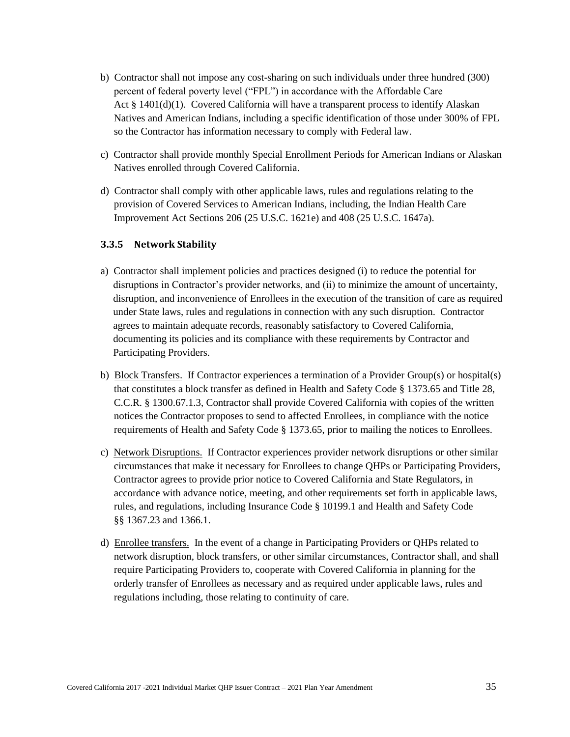- b) Contractor shall not impose any cost-sharing on such individuals under three hundred (300) percent of federal poverty level ("FPL") in accordance with the Affordable Care Act  $\S$  1401(d)(1). Covered California will have a transparent process to identify Alaskan Natives and American Indians, including a specific identification of those under 300% of FPL so the Contractor has information necessary to comply with Federal law.
- c) Contractor shall provide monthly Special Enrollment Periods for American Indians or Alaskan Natives enrolled through Covered California.
- d) Contractor shall comply with other applicable laws, rules and regulations relating to the provision of Covered Services to American Indians, including, the Indian Health Care Improvement Act Sections 206 (25 U.S.C. 1621e) and 408 (25 U.S.C. 1647a).

### **3.3.5 Network Stability**

- a) Contractor shall implement policies and practices designed (i) to reduce the potential for disruptions in Contractor's provider networks, and (ii) to minimize the amount of uncertainty, disruption, and inconvenience of Enrollees in the execution of the transition of care as required under State laws, rules and regulations in connection with any such disruption. Contractor agrees to maintain adequate records, reasonably satisfactory to Covered California, documenting its policies and its compliance with these requirements by Contractor and Participating Providers.
- b) Block Transfers. If Contractor experiences a termination of a Provider Group(s) or hospital(s) that constitutes a block transfer as defined in Health and Safety Code § 1373.65 and Title 28, C.C.R. § 1300.67.1.3, Contractor shall provide Covered California with copies of the written notices the Contractor proposes to send to affected Enrollees, in compliance with the notice requirements of Health and Safety Code § 1373.65, prior to mailing the notices to Enrollees.
- c) Network Disruptions. If Contractor experiences provider network disruptions or other similar circumstances that make it necessary for Enrollees to change QHPs or Participating Providers, Contractor agrees to provide prior notice to Covered California and State Regulators, in accordance with advance notice, meeting, and other requirements set forth in applicable laws, rules, and regulations, including Insurance Code § 10199.1 and Health and Safety Code §§ 1367.23 and 1366.1.
- d) Enrollee transfers. In the event of a change in Participating Providers or QHPs related to network disruption, block transfers, or other similar circumstances, Contractor shall, and shall require Participating Providers to, cooperate with Covered California in planning for the orderly transfer of Enrollees as necessary and as required under applicable laws, rules and regulations including, those relating to continuity of care.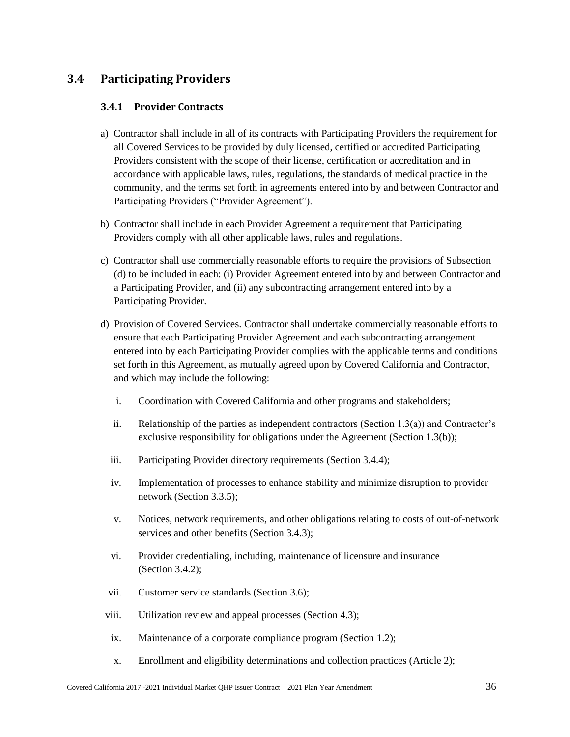# **3.4 Participating Providers**

## **3.4.1 Provider Contracts**

- a) Contractor shall include in all of its contracts with Participating Providers the requirement for all Covered Services to be provided by duly licensed, certified or accredited Participating Providers consistent with the scope of their license, certification or accreditation and in accordance with applicable laws, rules, regulations, the standards of medical practice in the community, and the terms set forth in agreements entered into by and between Contractor and Participating Providers ("Provider Agreement").
- b) Contractor shall include in each Provider Agreement a requirement that Participating Providers comply with all other applicable laws, rules and regulations.
- c) Contractor shall use commercially reasonable efforts to require the provisions of Subsection (d) to be included in each: (i) Provider Agreement entered into by and between Contractor and a Participating Provider, and (ii) any subcontracting arrangement entered into by a Participating Provider.
- d) Provision of Covered Services. Contractor shall undertake commercially reasonable efforts to ensure that each Participating Provider Agreement and each subcontracting arrangement entered into by each Participating Provider complies with the applicable terms and conditions set forth in this Agreement, as mutually agreed upon by Covered California and Contractor, and which may include the following:
	- i. Coordination with Covered California and other programs and stakeholders;
	- ii. Relationship of the parties as independent contractors (Section 1.3(a)) and Contractor's exclusive responsibility for obligations under the Agreement (Section 1.3(b));
	- iii. Participating Provider directory requirements (Section 3.4.4);
	- iv. Implementation of processes to enhance stability and minimize disruption to provider network (Section 3.3.5);
	- v. Notices, network requirements, and other obligations relating to costs of out-of-network services and other benefits (Section 3.4.3);
	- vi. Provider credentialing, including, maintenance of licensure and insurance (Section 3.4.2);
	- vii. Customer service standards (Section 3.6);
- viii. Utilization review and appeal processes (Section 4.3);
- ix. Maintenance of a corporate compliance program (Section 1.2);
- x. Enrollment and eligibility determinations and collection practices (Article 2);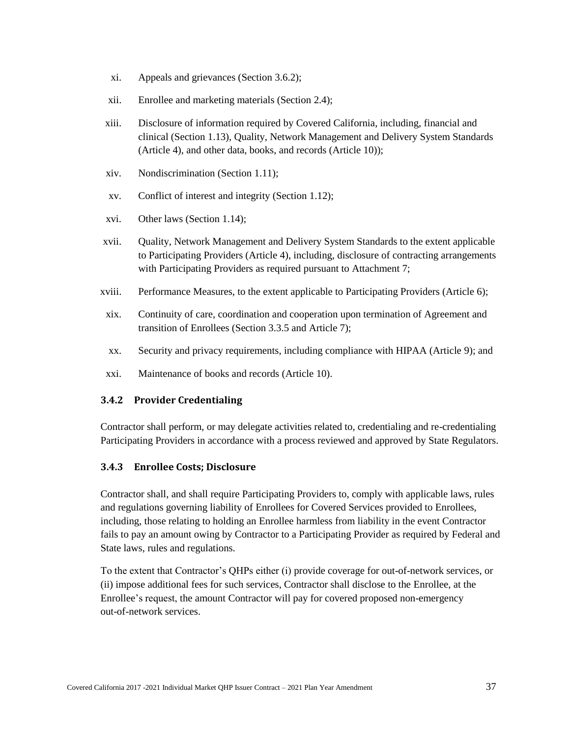- xi. Appeals and grievances (Section 3.6.2);
- xii. Enrollee and marketing materials (Section 2.4);
- xiii. Disclosure of information required by Covered California, including, financial and clinical (Section 1.13), Quality, Network Management and Delivery System Standards (Article 4), and other data, books, and records (Article 10));
- xiv. Nondiscrimination (Section 1.11);
- xv. Conflict of interest and integrity (Section 1.12);
- xvi. Other laws (Section 1.14);
- xvii. Quality, Network Management and Delivery System Standards to the extent applicable to Participating Providers (Article 4), including, disclosure of contracting arrangements with Participating Providers as required pursuant to Attachment 7;
- xviii. Performance Measures, to the extent applicable to Participating Providers (Article 6);
- xix. Continuity of care, coordination and cooperation upon termination of Agreement and transition of Enrollees (Section 3.3.5 and Article 7);
- xx. Security and privacy requirements, including compliance with HIPAA (Article 9); and
- xxi. Maintenance of books and records (Article 10).

## **3.4.2 Provider Credentialing**

Contractor shall perform, or may delegate activities related to, credentialing and re-credentialing Participating Providers in accordance with a process reviewed and approved by State Regulators.

## **3.4.3 Enrollee Costs; Disclosure**

Contractor shall, and shall require Participating Providers to, comply with applicable laws, rules and regulations governing liability of Enrollees for Covered Services provided to Enrollees, including, those relating to holding an Enrollee harmless from liability in the event Contractor fails to pay an amount owing by Contractor to a Participating Provider as required by Federal and State laws, rules and regulations.

To the extent that Contractor's QHPs either (i) provide coverage for out-of-network services, or (ii) impose additional fees for such services, Contractor shall disclose to the Enrollee, at the Enrollee's request, the amount Contractor will pay for covered proposed non-emergency out-of-network services.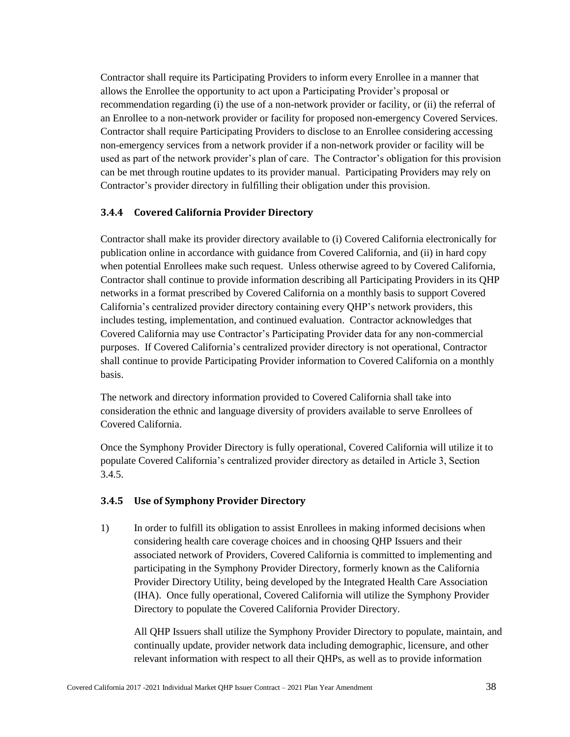Contractor shall require its Participating Providers to inform every Enrollee in a manner that allows the Enrollee the opportunity to act upon a Participating Provider's proposal or recommendation regarding (i) the use of a non-network provider or facility, or (ii) the referral of an Enrollee to a non-network provider or facility for proposed non-emergency Covered Services. Contractor shall require Participating Providers to disclose to an Enrollee considering accessing non-emergency services from a network provider if a non-network provider or facility will be used as part of the network provider's plan of care. The Contractor's obligation for this provision can be met through routine updates to its provider manual. Participating Providers may rely on Contractor's provider directory in fulfilling their obligation under this provision.

## **3.4.4 Covered California Provider Directory**

Contractor shall make its provider directory available to (i) Covered California electronically for publication online in accordance with guidance from Covered California, and (ii) in hard copy when potential Enrollees make such request. Unless otherwise agreed to by Covered California, Contractor shall continue to provide information describing all Participating Providers in its QHP networks in a format prescribed by Covered California on a monthly basis to support Covered California's centralized provider directory containing every QHP's network providers, this includes testing, implementation, and continued evaluation. Contractor acknowledges that Covered California may use Contractor's Participating Provider data for any non-commercial purposes. If Covered California's centralized provider directory is not operational, Contractor shall continue to provide Participating Provider information to Covered California on a monthly basis.

The network and directory information provided to Covered California shall take into consideration the ethnic and language diversity of providers available to serve Enrollees of Covered California.

Once the Symphony Provider Directory is fully operational, Covered California will utilize it to populate Covered California's centralized provider directory as detailed in Article 3, Section 3.4.5.

## **3.4.5 Use of Symphony Provider Directory**

1) In order to fulfill its obligation to assist Enrollees in making informed decisions when considering health care coverage choices and in choosing QHP Issuers and their associated network of Providers, Covered California is committed to implementing and participating in the Symphony Provider Directory, formerly known as the California Provider Directory Utility, being developed by the Integrated Health Care Association (IHA). Once fully operational, Covered California will utilize the Symphony Provider Directory to populate the Covered California Provider Directory.

All QHP Issuers shall utilize the Symphony Provider Directory to populate, maintain, and continually update, provider network data including demographic, licensure, and other relevant information with respect to all their QHPs, as well as to provide information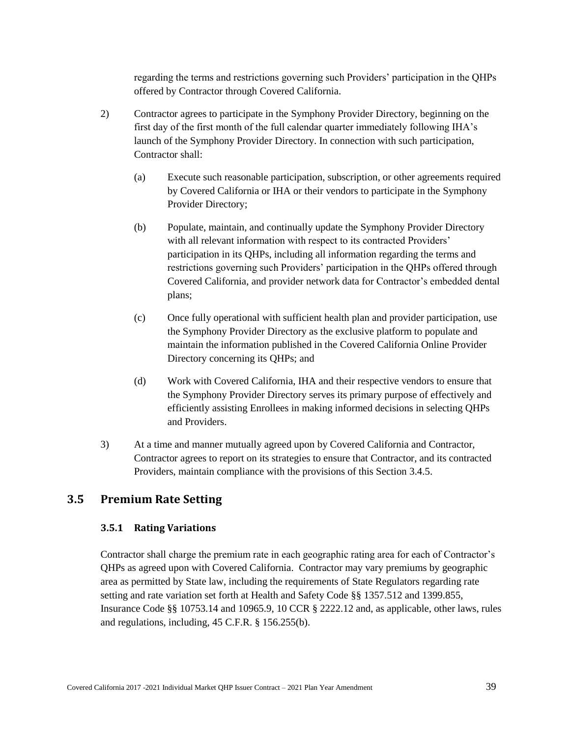regarding the terms and restrictions governing such Providers' participation in the QHPs offered by Contractor through Covered California.

- 2) Contractor agrees to participate in the Symphony Provider Directory, beginning on the first day of the first month of the full calendar quarter immediately following IHA's launch of the Symphony Provider Directory. In connection with such participation, Contractor shall:
	- (a) Execute such reasonable participation, subscription, or other agreements required by Covered California or IHA or their vendors to participate in the Symphony Provider Directory;
	- (b) Populate, maintain, and continually update the Symphony Provider Directory with all relevant information with respect to its contracted Providers' participation in its QHPs, including all information regarding the terms and restrictions governing such Providers' participation in the QHPs offered through Covered California, and provider network data for Contractor's embedded dental plans;
	- (c) Once fully operational with sufficient health plan and provider participation, use the Symphony Provider Directory as the exclusive platform to populate and maintain the information published in the Covered California Online Provider Directory concerning its QHPs; and
	- (d) Work with Covered California, IHA and their respective vendors to ensure that the Symphony Provider Directory serves its primary purpose of effectively and efficiently assisting Enrollees in making informed decisions in selecting QHPs and Providers.
- 3) At a time and manner mutually agreed upon by Covered California and Contractor, Contractor agrees to report on its strategies to ensure that Contractor, and its contracted Providers, maintain compliance with the provisions of this Section 3.4.5.

# **3.5 Premium Rate Setting**

## **3.5.1 Rating Variations**

Contractor shall charge the premium rate in each geographic rating area for each of Contractor's QHPs as agreed upon with Covered California. Contractor may vary premiums by geographic area as permitted by State law, including the requirements of State Regulators regarding rate setting and rate variation set forth at Health and Safety Code §§ 1357.512 and 1399.855, Insurance Code §§ 10753.14 and 10965.9, 10 CCR § 2222.12 and, as applicable, other laws, rules and regulations, including, 45 C.F.R. § 156.255(b).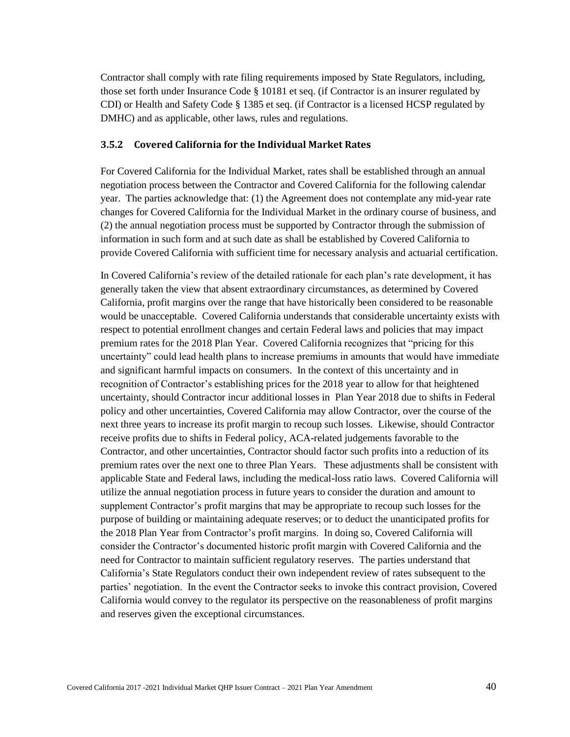Contractor shall comply with rate filing requirements imposed by State Regulators, including, those set forth under Insurance Code § 10181 et seq. (if Contractor is an insurer regulated by CDI) or Health and Safety Code § 1385 et seq. (if Contractor is a licensed HCSP regulated by DMHC) and as applicable, other laws, rules and regulations.

## **3.5.2 Covered California for the Individual Market Rates**

For Covered California for the Individual Market, rates shall be established through an annual negotiation process between the Contractor and Covered California for the following calendar year. The parties acknowledge that: (1) the Agreement does not contemplate any mid-year rate changes for Covered California for the Individual Market in the ordinary course of business, and (2) the annual negotiation process must be supported by Contractor through the submission of information in such form and at such date as shall be established by Covered California to provide Covered California with sufficient time for necessary analysis and actuarial certification.

In Covered California's review of the detailed rationale for each plan's rate development, it has generally taken the view that absent extraordinary circumstances, as determined by Covered California, profit margins over the range that have historically been considered to be reasonable would be unacceptable. Covered California understands that considerable uncertainty exists with respect to potential enrollment changes and certain Federal laws and policies that may impact premium rates for the 2018 Plan Year. Covered California recognizes that "pricing for this uncertainty" could lead health plans to increase premiums in amounts that would have immediate and significant harmful impacts on consumers. In the context of this uncertainty and in recognition of Contractor's establishing prices for the 2018 year to allow for that heightened uncertainty, should Contractor incur additional losses in Plan Year 2018 due to shifts in Federal policy and other uncertainties, Covered California may allow Contractor, over the course of the next three years to increase its profit margin to recoup such losses. Likewise, should Contractor receive profits due to shifts in Federal policy, ACA-related judgements favorable to the Contractor, and other uncertainties, Contractor should factor such profits into a reduction of its premium rates over the next one to three Plan Years. These adjustments shall be consistent with applicable State and Federal laws, including the medical-loss ratio laws. Covered California will utilize the annual negotiation process in future years to consider the duration and amount to supplement Contractor's profit margins that may be appropriate to recoup such losses for the purpose of building or maintaining adequate reserves; or to deduct the unanticipated profits for the 2018 Plan Year from Contractor's profit margins. In doing so, Covered California will consider the Contractor's documented historic profit margin with Covered California and the need for Contractor to maintain sufficient regulatory reserves. The parties understand that California's State Regulators conduct their own independent review of rates subsequent to the parties' negotiation. In the event the Contractor seeks to invoke this contract provision, Covered California would convey to the regulator its perspective on the reasonableness of profit margins and reserves given the exceptional circumstances.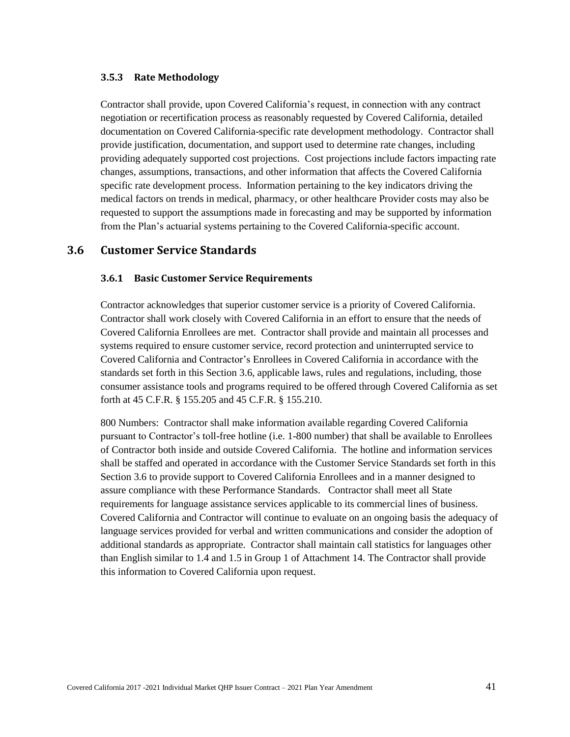### **3.5.3 Rate Methodology**

Contractor shall provide, upon Covered California's request, in connection with any contract negotiation or recertification process as reasonably requested by Covered California, detailed documentation on Covered California-specific rate development methodology. Contractor shall provide justification, documentation, and support used to determine rate changes, including providing adequately supported cost projections. Cost projections include factors impacting rate changes, assumptions, transactions, and other information that affects the Covered California specific rate development process. Information pertaining to the key indicators driving the medical factors on trends in medical, pharmacy, or other healthcare Provider costs may also be requested to support the assumptions made in forecasting and may be supported by information from the Plan's actuarial systems pertaining to the Covered California-specific account.

## **3.6 Customer Service Standards**

### **3.6.1 Basic Customer Service Requirements**

Contractor acknowledges that superior customer service is a priority of Covered California. Contractor shall work closely with Covered California in an effort to ensure that the needs of Covered California Enrollees are met. Contractor shall provide and maintain all processes and systems required to ensure customer service, record protection and uninterrupted service to Covered California and Contractor's Enrollees in Covered California in accordance with the standards set forth in this Section 3.6, applicable laws, rules and regulations, including, those consumer assistance tools and programs required to be offered through Covered California as set forth at 45 C.F.R. § 155.205 and 45 C.F.R. § 155.210.

800 Numbers: Contractor shall make information available regarding Covered California pursuant to Contractor's toll-free hotline (i.e. 1-800 number) that shall be available to Enrollees of Contractor both inside and outside Covered California. The hotline and information services shall be staffed and operated in accordance with the Customer Service Standards set forth in this Section 3.6 to provide support to Covered California Enrollees and in a manner designed to assure compliance with these Performance Standards. Contractor shall meet all State requirements for language assistance services applicable to its commercial lines of business. Covered California and Contractor will continue to evaluate on an ongoing basis the adequacy of language services provided for verbal and written communications and consider the adoption of additional standards as appropriate. Contractor shall maintain call statistics for languages other than English similar to 1.4 and 1.5 in Group 1 of Attachment 14. The Contractor shall provide this information to Covered California upon request.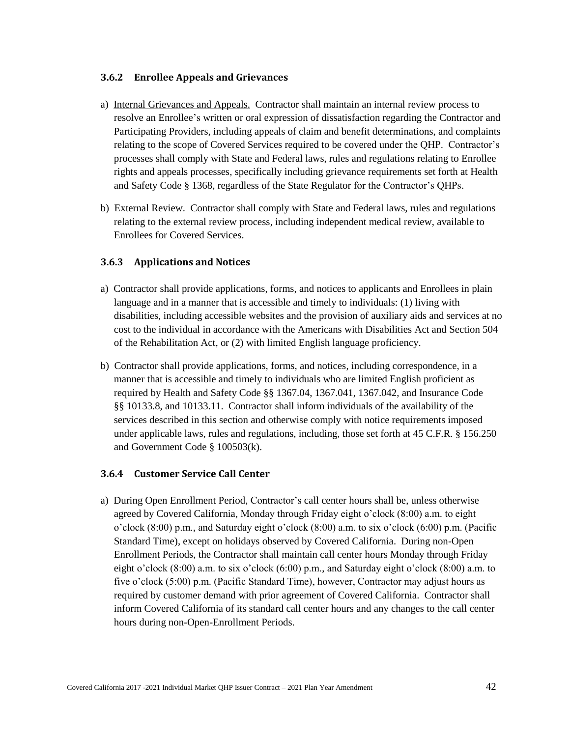## **3.6.2 Enrollee Appeals and Grievances**

- a) Internal Grievances and Appeals. Contractor shall maintain an internal review process to resolve an Enrollee's written or oral expression of dissatisfaction regarding the Contractor and Participating Providers, including appeals of claim and benefit determinations, and complaints relating to the scope of Covered Services required to be covered under the QHP. Contractor's processes shall comply with State and Federal laws, rules and regulations relating to Enrollee rights and appeals processes, specifically including grievance requirements set forth at Health and Safety Code § 1368, regardless of the State Regulator for the Contractor's QHPs.
- b) External Review. Contractor shall comply with State and Federal laws, rules and regulations relating to the external review process, including independent medical review, available to Enrollees for Covered Services.

## **3.6.3 Applications and Notices**

- a) Contractor shall provide applications, forms, and notices to applicants and Enrollees in plain language and in a manner that is accessible and timely to individuals: (1) living with disabilities, including accessible websites and the provision of auxiliary aids and services at no cost to the individual in accordance with the Americans with Disabilities Act and Section 504 of the Rehabilitation Act, or (2) with limited English language proficiency.
- b) Contractor shall provide applications, forms, and notices, including correspondence, in a manner that is accessible and timely to individuals who are limited English proficient as required by Health and Safety Code §§ 1367.04, 1367.041, 1367.042, and Insurance Code §§ 10133.8, and 10133.11. Contractor shall inform individuals of the availability of the services described in this section and otherwise comply with notice requirements imposed under applicable laws, rules and regulations, including, those set forth at 45 C.F.R. § 156.250 and Government Code § 100503(k).

## **3.6.4 Customer Service Call Center**

a) During Open Enrollment Period, Contractor's call center hours shall be, unless otherwise agreed by Covered California, Monday through Friday eight o'clock (8:00) a.m. to eight o'clock (8:00) p.m., and Saturday eight o'clock (8:00) a.m. to six o'clock (6:00) p.m. (Pacific Standard Time), except on holidays observed by Covered California. During non-Open Enrollment Periods, the Contractor shall maintain call center hours Monday through Friday eight o'clock (8:00) a.m. to six o'clock (6:00) p.m., and Saturday eight o'clock (8:00) a.m. to five o'clock (5:00) p.m. (Pacific Standard Time), however, Contractor may adjust hours as required by customer demand with prior agreement of Covered California. Contractor shall inform Covered California of its standard call center hours and any changes to the call center hours during non-Open-Enrollment Periods.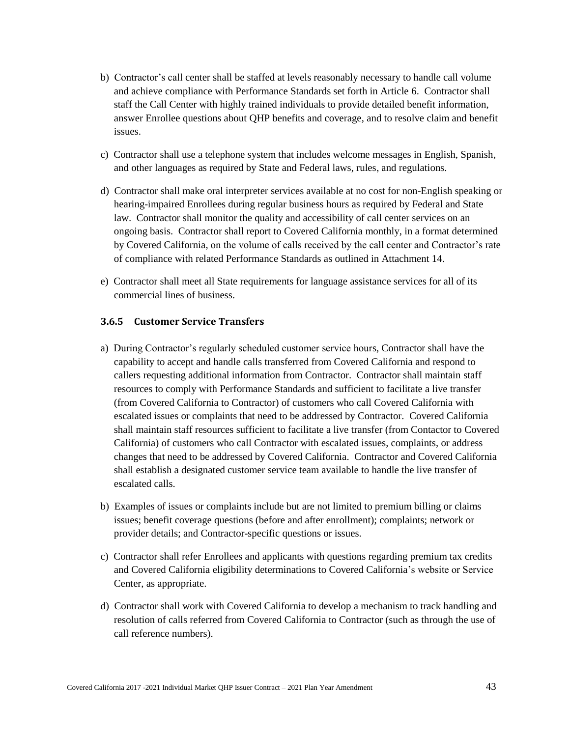- b) Contractor's call center shall be staffed at levels reasonably necessary to handle call volume and achieve compliance with Performance Standards set forth in Article 6. Contractor shall staff the Call Center with highly trained individuals to provide detailed benefit information, answer Enrollee questions about QHP benefits and coverage, and to resolve claim and benefit issues.
- c) Contractor shall use a telephone system that includes welcome messages in English, Spanish, and other languages as required by State and Federal laws, rules, and regulations.
- d) Contractor shall make oral interpreter services available at no cost for non-English speaking or hearing-impaired Enrollees during regular business hours as required by Federal and State law. Contractor shall monitor the quality and accessibility of call center services on an ongoing basis. Contractor shall report to Covered California monthly, in a format determined by Covered California, on the volume of calls received by the call center and Contractor's rate of compliance with related Performance Standards as outlined in Attachment 14.
- e) Contractor shall meet all State requirements for language assistance services for all of its commercial lines of business.

### **3.6.5 Customer Service Transfers**

- a) During Contractor's regularly scheduled customer service hours, Contractor shall have the capability to accept and handle calls transferred from Covered California and respond to callers requesting additional information from Contractor. Contractor shall maintain staff resources to comply with Performance Standards and sufficient to facilitate a live transfer (from Covered California to Contractor) of customers who call Covered California with escalated issues or complaints that need to be addressed by Contractor. Covered California shall maintain staff resources sufficient to facilitate a live transfer (from Contactor to Covered California) of customers who call Contractor with escalated issues, complaints, or address changes that need to be addressed by Covered California. Contractor and Covered California shall establish a designated customer service team available to handle the live transfer of escalated calls.
- b) Examples of issues or complaints include but are not limited to premium billing or claims issues; benefit coverage questions (before and after enrollment); complaints; network or provider details; and Contractor-specific questions or issues.
- c) Contractor shall refer Enrollees and applicants with questions regarding premium tax credits and Covered California eligibility determinations to Covered California's website or Service Center, as appropriate.
- d) Contractor shall work with Covered California to develop a mechanism to track handling and resolution of calls referred from Covered California to Contractor (such as through the use of call reference numbers).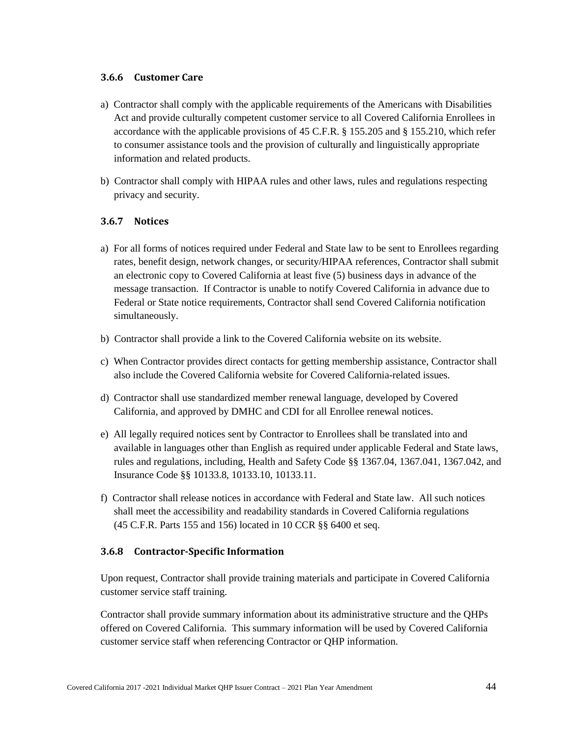## **3.6.6 Customer Care**

- a) Contractor shall comply with the applicable requirements of the Americans with Disabilities Act and provide culturally competent customer service to all Covered California Enrollees in accordance with the applicable provisions of 45 C.F.R. § 155.205 and § 155.210, which refer to consumer assistance tools and the provision of culturally and linguistically appropriate information and related products.
- b) Contractor shall comply with HIPAA rules and other laws, rules and regulations respecting privacy and security.

## **3.6.7 Notices**

- a) For all forms of notices required under Federal and State law to be sent to Enrollees regarding rates, benefit design, network changes, or security/HIPAA references, Contractor shall submit an electronic copy to Covered California at least five (5) business days in advance of the message transaction. If Contractor is unable to notify Covered California in advance due to Federal or State notice requirements, Contractor shall send Covered California notification simultaneously.
- b) Contractor shall provide a link to the Covered California website on its website.
- c) When Contractor provides direct contacts for getting membership assistance, Contractor shall also include the Covered California website for Covered California-related issues.
- d) Contractor shall use standardized member renewal language, developed by Covered California, and approved by DMHC and CDI for all Enrollee renewal notices.
- e) All legally required notices sent by Contractor to Enrollees shall be translated into and available in languages other than English as required under applicable Federal and State laws, rules and regulations, including, Health and Safety Code §§ 1367.04, 1367.041, 1367.042, and Insurance Code §§ 10133.8, 10133.10, 10133.11.
- f) Contractor shall release notices in accordance with Federal and State law. All such notices shall meet the accessibility and readability standards in Covered California regulations (45 C.F.R. Parts 155 and 156) located in 10 CCR §§ 6400 et seq.

### **3.6.8 Contractor-Specific Information**

Upon request, Contractor shall provide training materials and participate in Covered California customer service staff training.

Contractor shall provide summary information about its administrative structure and the QHPs offered on Covered California. This summary information will be used by Covered California customer service staff when referencing Contractor or QHP information.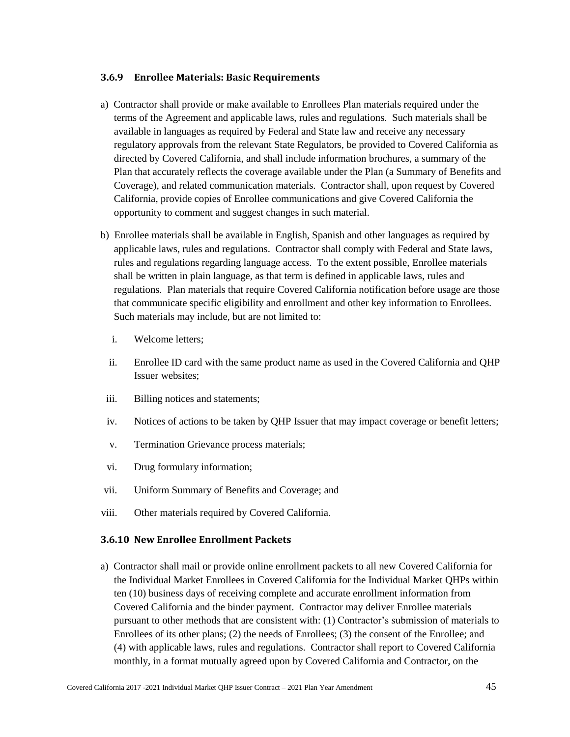## **3.6.9 Enrollee Materials: Basic Requirements**

- a) Contractor shall provide or make available to Enrollees Plan materials required under the terms of the Agreement and applicable laws, rules and regulations. Such materials shall be available in languages as required by Federal and State law and receive any necessary regulatory approvals from the relevant State Regulators, be provided to Covered California as directed by Covered California, and shall include information brochures, a summary of the Plan that accurately reflects the coverage available under the Plan (a Summary of Benefits and Coverage), and related communication materials. Contractor shall, upon request by Covered California, provide copies of Enrollee communications and give Covered California the opportunity to comment and suggest changes in such material.
- b) Enrollee materials shall be available in English, Spanish and other languages as required by applicable laws, rules and regulations. Contractor shall comply with Federal and State laws, rules and regulations regarding language access. To the extent possible, Enrollee materials shall be written in plain language, as that term is defined in applicable laws, rules and regulations. Plan materials that require Covered California notification before usage are those that communicate specific eligibility and enrollment and other key information to Enrollees. Such materials may include, but are not limited to:
	- i. Welcome letters;
	- ii. Enrollee ID card with the same product name as used in the Covered California and QHP Issuer websites:
- iii. Billing notices and statements;
- iv. Notices of actions to be taken by QHP Issuer that may impact coverage or benefit letters;
- v. Termination Grievance process materials;
- vi. Drug formulary information;
- vii. Uniform Summary of Benefits and Coverage; and
- viii. Other materials required by Covered California.

## **3.6.10 New Enrollee Enrollment Packets**

a) Contractor shall mail or provide online enrollment packets to all new Covered California for the Individual Market Enrollees in Covered California for the Individual Market QHPs within ten (10) business days of receiving complete and accurate enrollment information from Covered California and the binder payment. Contractor may deliver Enrollee materials pursuant to other methods that are consistent with: (1) Contractor's submission of materials to Enrollees of its other plans; (2) the needs of Enrollees; (3) the consent of the Enrollee; and (4) with applicable laws, rules and regulations. Contractor shall report to Covered California monthly, in a format mutually agreed upon by Covered California and Contractor, on the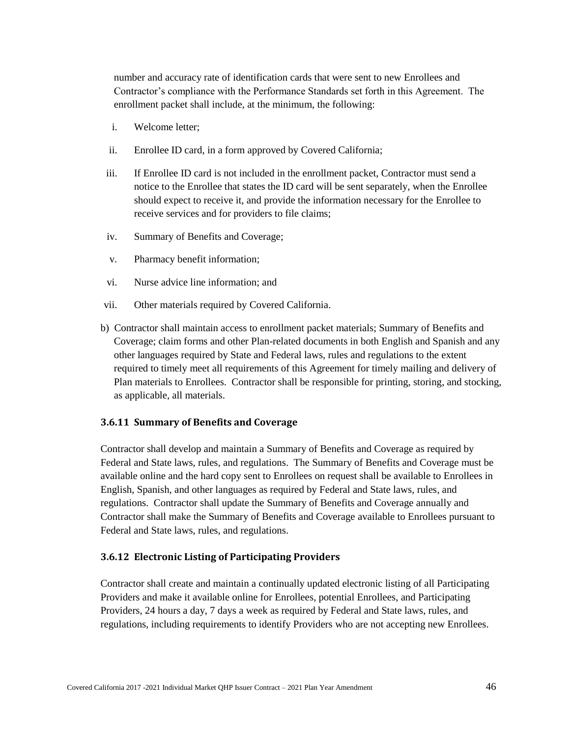number and accuracy rate of identification cards that were sent to new Enrollees and Contractor's compliance with the Performance Standards set forth in this Agreement. The enrollment packet shall include, at the minimum, the following:

- i. Welcome letter;
- ii. Enrollee ID card, in a form approved by Covered California;
- iii. If Enrollee ID card is not included in the enrollment packet, Contractor must send a notice to the Enrollee that states the ID card will be sent separately, when the Enrollee should expect to receive it, and provide the information necessary for the Enrollee to receive services and for providers to file claims;
- iv. Summary of Benefits and Coverage;
- v. Pharmacy benefit information;
- vi. Nurse advice line information; and
- vii. Other materials required by Covered California.
- b) Contractor shall maintain access to enrollment packet materials; Summary of Benefits and Coverage; claim forms and other Plan-related documents in both English and Spanish and any other languages required by State and Federal laws, rules and regulations to the extent required to timely meet all requirements of this Agreement for timely mailing and delivery of Plan materials to Enrollees. Contractor shall be responsible for printing, storing, and stocking, as applicable, all materials.

### **3.6.11 Summary of Benefits and Coverage**

Contractor shall develop and maintain a Summary of Benefits and Coverage as required by Federal and State laws, rules, and regulations. The Summary of Benefits and Coverage must be available online and the hard copy sent to Enrollees on request shall be available to Enrollees in English, Spanish, and other languages as required by Federal and State laws, rules, and regulations. Contractor shall update the Summary of Benefits and Coverage annually and Contractor shall make the Summary of Benefits and Coverage available to Enrollees pursuant to Federal and State laws, rules, and regulations.

### **3.6.12 Electronic Listing of Participating Providers**

Contractor shall create and maintain a continually updated electronic listing of all Participating Providers and make it available online for Enrollees, potential Enrollees, and Participating Providers, 24 hours a day, 7 days a week as required by Federal and State laws, rules, and regulations, including requirements to identify Providers who are not accepting new Enrollees.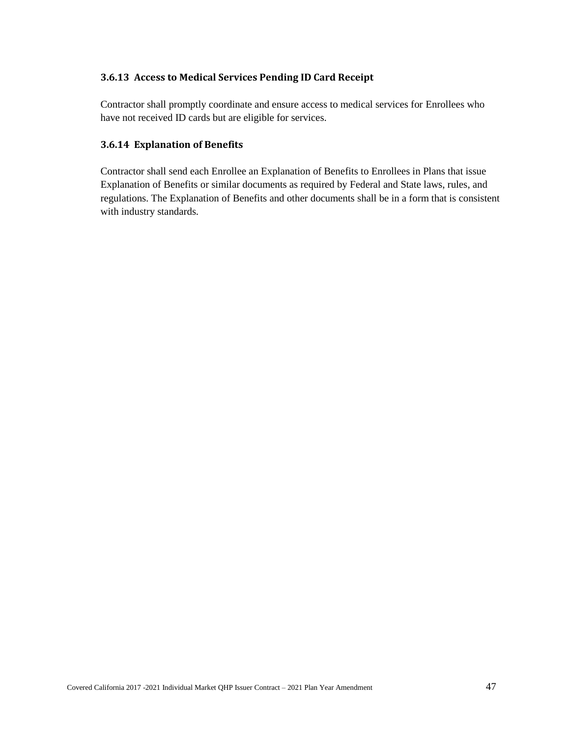## **3.6.13 Access to Medical Services Pending ID Card Receipt**

Contractor shall promptly coordinate and ensure access to medical services for Enrollees who have not received ID cards but are eligible for services.

## **3.6.14 Explanation of Benefits**

Contractor shall send each Enrollee an Explanation of Benefits to Enrollees in Plans that issue Explanation of Benefits or similar documents as required by Federal and State laws, rules, and regulations. The Explanation of Benefits and other documents shall be in a form that is consistent with industry standards.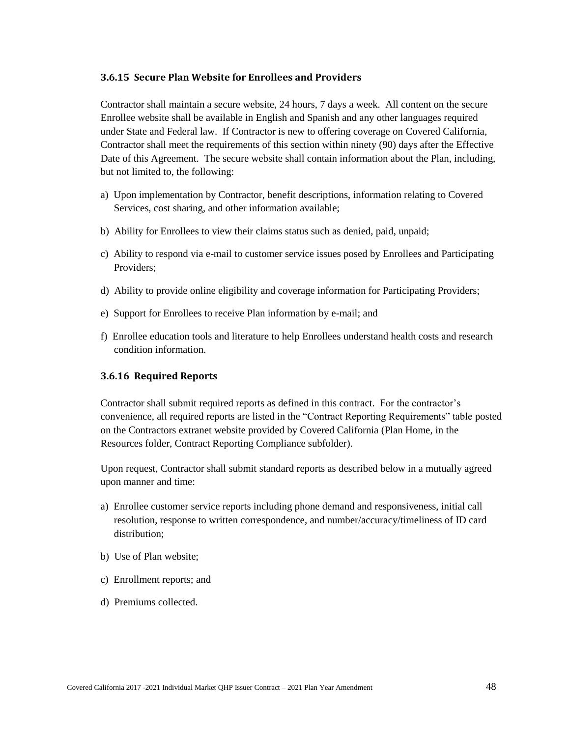## **3.6.15 Secure Plan Website for Enrollees and Providers**

Contractor shall maintain a secure website, 24 hours, 7 days a week. All content on the secure Enrollee website shall be available in English and Spanish and any other languages required under State and Federal law. If Contractor is new to offering coverage on Covered California, Contractor shall meet the requirements of this section within ninety (90) days after the Effective Date of this Agreement. The secure website shall contain information about the Plan, including, but not limited to, the following:

- a) Upon implementation by Contractor, benefit descriptions, information relating to Covered Services, cost sharing, and other information available;
- b) Ability for Enrollees to view their claims status such as denied, paid, unpaid;
- c) Ability to respond via e-mail to customer service issues posed by Enrollees and Participating Providers;
- d) Ability to provide online eligibility and coverage information for Participating Providers;
- e) Support for Enrollees to receive Plan information by e-mail; and
- f) Enrollee education tools and literature to help Enrollees understand health costs and research condition information.

## **3.6.16 Required Reports**

Contractor shall submit required reports as defined in this contract. For the contractor's convenience, all required reports are listed in the "Contract Reporting Requirements" table posted on the Contractors extranet website provided by Covered California (Plan Home, in the Resources folder, Contract Reporting Compliance subfolder).

Upon request, Contractor shall submit standard reports as described below in a mutually agreed upon manner and time:

- a) Enrollee customer service reports including phone demand and responsiveness, initial call resolution, response to written correspondence, and number/accuracy/timeliness of ID card distribution;
- b) Use of Plan website;
- c) Enrollment reports; and
- d) Premiums collected.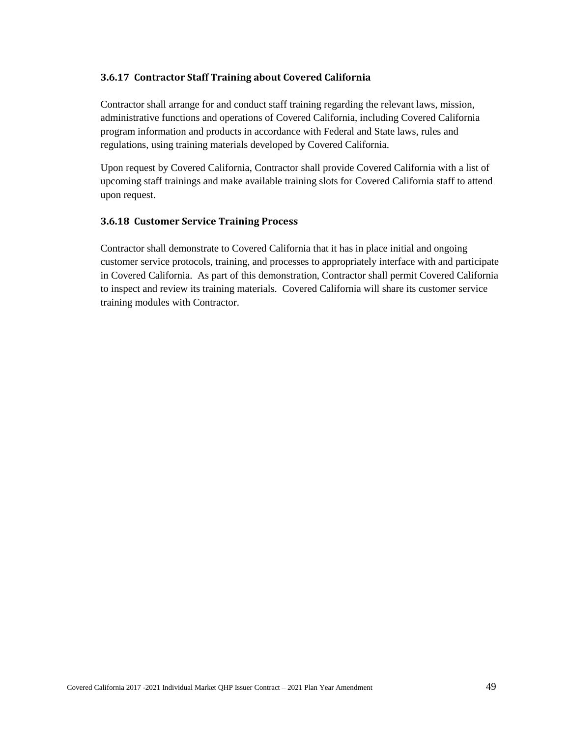## **3.6.17 Contractor Staff Training about Covered California**

Contractor shall arrange for and conduct staff training regarding the relevant laws, mission, administrative functions and operations of Covered California, including Covered California program information and products in accordance with Federal and State laws, rules and regulations, using training materials developed by Covered California.

Upon request by Covered California, Contractor shall provide Covered California with a list of upcoming staff trainings and make available training slots for Covered California staff to attend upon request.

## **3.6.18 Customer Service Training Process**

Contractor shall demonstrate to Covered California that it has in place initial and ongoing customer service protocols, training, and processes to appropriately interface with and participate in Covered California. As part of this demonstration, Contractor shall permit Covered California to inspect and review its training materials. Covered California will share its customer service training modules with Contractor.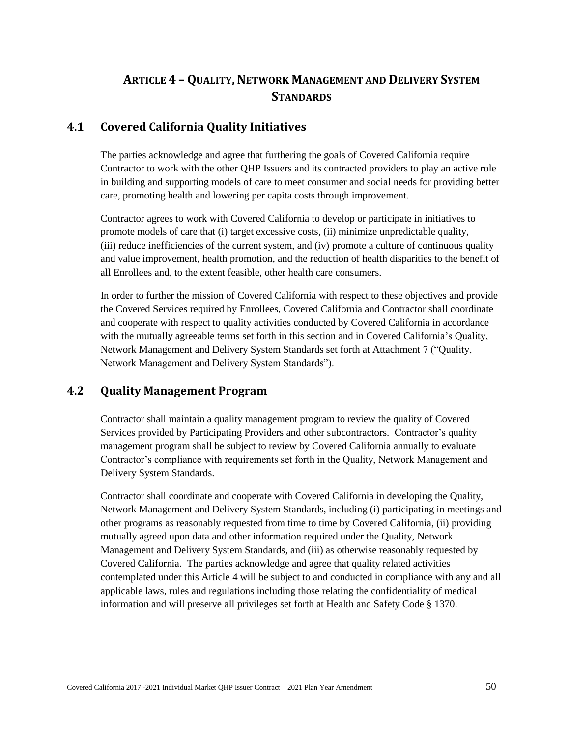# **ARTICLE 4 – QUALITY,NETWORK MANAGEMENT AND DELIVERY SYSTEM STANDARDS**

# **4.1 Covered California Quality Initiatives**

The parties acknowledge and agree that furthering the goals of Covered California require Contractor to work with the other QHP Issuers and its contracted providers to play an active role in building and supporting models of care to meet consumer and social needs for providing better care, promoting health and lowering per capita costs through improvement.

Contractor agrees to work with Covered California to develop or participate in initiatives to promote models of care that (i) target excessive costs, (ii) minimize unpredictable quality, (iii) reduce inefficiencies of the current system, and (iv) promote a culture of continuous quality and value improvement, health promotion, and the reduction of health disparities to the benefit of all Enrollees and, to the extent feasible, other health care consumers.

In order to further the mission of Covered California with respect to these objectives and provide the Covered Services required by Enrollees, Covered California and Contractor shall coordinate and cooperate with respect to quality activities conducted by Covered California in accordance with the mutually agreeable terms set forth in this section and in Covered California's Quality, Network Management and Delivery System Standards set forth at Attachment 7 ("Quality, Network Management and Delivery System Standards").

# **4.2 Quality Management Program**

Contractor shall maintain a quality management program to review the quality of Covered Services provided by Participating Providers and other subcontractors. Contractor's quality management program shall be subject to review by Covered California annually to evaluate Contractor's compliance with requirements set forth in the Quality, Network Management and Delivery System Standards.

Contractor shall coordinate and cooperate with Covered California in developing the Quality, Network Management and Delivery System Standards, including (i) participating in meetings and other programs as reasonably requested from time to time by Covered California, (ii) providing mutually agreed upon data and other information required under the Quality, Network Management and Delivery System Standards, and (iii) as otherwise reasonably requested by Covered California. The parties acknowledge and agree that quality related activities contemplated under this Article 4 will be subject to and conducted in compliance with any and all applicable laws, rules and regulations including those relating the confidentiality of medical information and will preserve all privileges set forth at Health and Safety Code § 1370.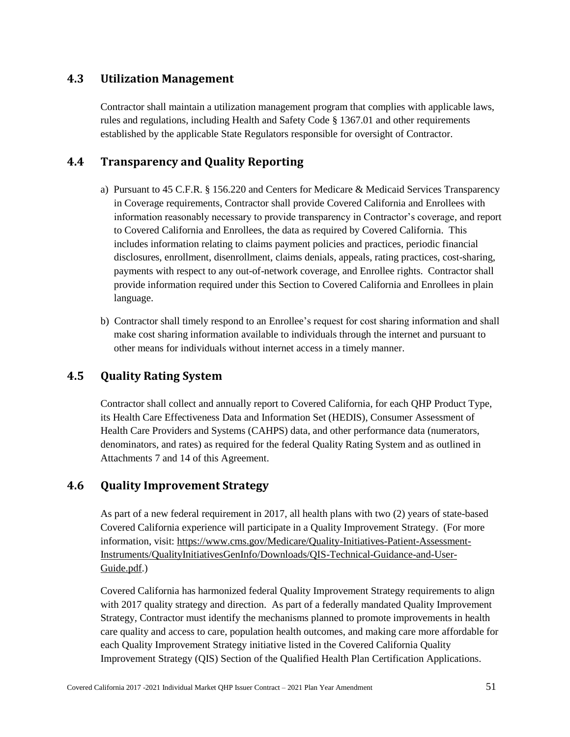# **4.3 Utilization Management**

Contractor shall maintain a utilization management program that complies with applicable laws, rules and regulations, including Health and Safety Code § 1367.01 and other requirements established by the applicable State Regulators responsible for oversight of Contractor.

# **4.4 Transparency and Quality Reporting**

- a) Pursuant to 45 C.F.R. § 156.220 and Centers for Medicare & Medicaid Services Transparency in Coverage requirements, Contractor shall provide Covered California and Enrollees with information reasonably necessary to provide transparency in Contractor's coverage, and report to Covered California and Enrollees, the data as required by Covered California. This includes information relating to claims payment policies and practices, periodic financial disclosures, enrollment, disenrollment, claims denials, appeals, rating practices, cost-sharing, payments with respect to any out-of-network coverage, and Enrollee rights. Contractor shall provide information required under this Section to Covered California and Enrollees in plain language.
- b) Contractor shall timely respond to an Enrollee's request for cost sharing information and shall make cost sharing information available to individuals through the internet and pursuant to other means for individuals without internet access in a timely manner.

# **4.5 Quality Rating System**

Contractor shall collect and annually report to Covered California, for each QHP Product Type, its Health Care Effectiveness Data and Information Set (HEDIS), Consumer Assessment of Health Care Providers and Systems (CAHPS) data, and other performance data (numerators, denominators, and rates) as required for the federal Quality Rating System and as outlined in Attachments 7 and 14 of this Agreement.

# **4.6 Quality Improvement Strategy**

As part of a new federal requirement in 2017, all health plans with two (2) years of state-based Covered California experience will participate in a Quality Improvement Strategy. (For more information, visit: [https://www.cms.gov/Medicare/Quality-Initiatives-Patient-Assessment-](https://www.cms.gov/Medicare/Quality-Initiatives-Patient-Assessment-Instruments/QualityInitiativesGenInfo/Downloads/QIS-Technical-Guidance-and-User-Guide.pdf)[Instruments/QualityInitiativesGenInfo/Downloads/QIS-Technical-Guidance-and-User-](https://www.cms.gov/Medicare/Quality-Initiatives-Patient-Assessment-Instruments/QualityInitiativesGenInfo/Downloads/QIS-Technical-Guidance-and-User-Guide.pdf)[Guide.pdf.](https://www.cms.gov/Medicare/Quality-Initiatives-Patient-Assessment-Instruments/QualityInitiativesGenInfo/Downloads/QIS-Technical-Guidance-and-User-Guide.pdf))

Covered California has harmonized federal Quality Improvement Strategy requirements to align with 2017 quality strategy and direction. As part of a federally mandated Quality Improvement Strategy, Contractor must identify the mechanisms planned to promote improvements in health care quality and access to care, population health outcomes, and making care more affordable for each Quality Improvement Strategy initiative listed in the Covered California Quality Improvement Strategy (QIS) Section of the Qualified Health Plan Certification Applications.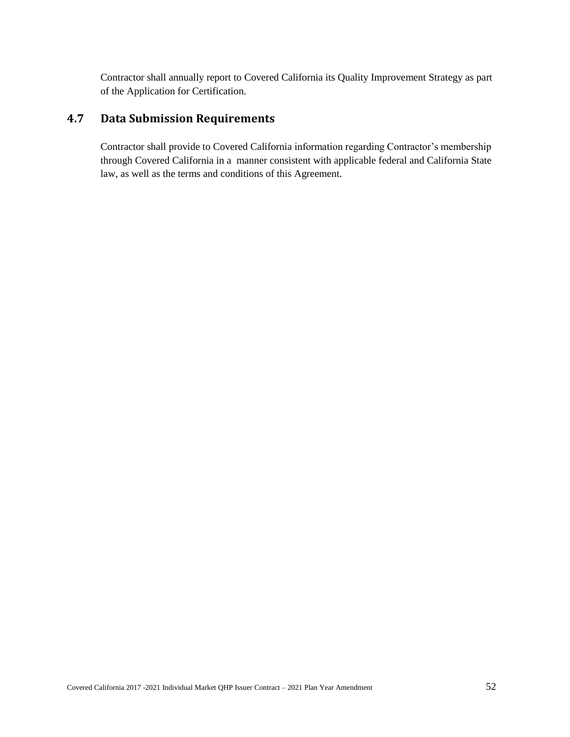Contractor shall annually report to Covered California its Quality Improvement Strategy as part of the Application for Certification.

# **4.7 Data Submission Requirements**

Contractor shall provide to Covered California information regarding Contractor's membership through Covered California in a manner consistent with applicable federal and California State law, as well as the terms and conditions of this Agreement.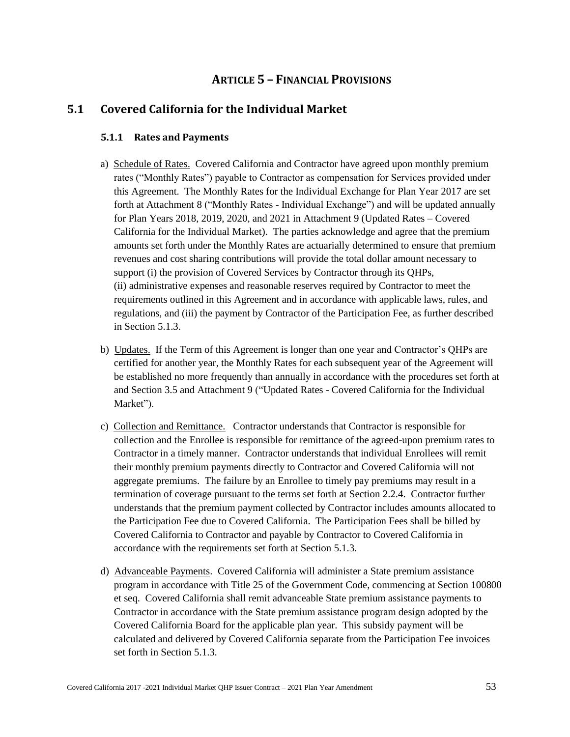# **ARTICLE 5 – FINANCIAL PROVISIONS**

# **5.1 Covered California for the Individual Market**

## **5.1.1 Rates and Payments**

- a) Schedule of Rates. Covered California and Contractor have agreed upon monthly premium rates ("Monthly Rates") payable to Contractor as compensation for Services provided under this Agreement. The Monthly Rates for the Individual Exchange for Plan Year 2017 are set forth at Attachment 8 ("Monthly Rates - Individual Exchange") and will be updated annually for Plan Years 2018, 2019, 2020, and 2021 in Attachment 9 (Updated Rates – Covered California for the Individual Market). The parties acknowledge and agree that the premium amounts set forth under the Monthly Rates are actuarially determined to ensure that premium revenues and cost sharing contributions will provide the total dollar amount necessary to support (i) the provision of Covered Services by Contractor through its QHPs, (ii) administrative expenses and reasonable reserves required by Contractor to meet the requirements outlined in this Agreement and in accordance with applicable laws, rules, and regulations, and (iii) the payment by Contractor of the Participation Fee, as further described in Section 5.1.3.
- b) Updates. If the Term of this Agreement is longer than one year and Contractor's QHPs are certified for another year, the Monthly Rates for each subsequent year of the Agreement will be established no more frequently than annually in accordance with the procedures set forth at and Section 3.5 and Attachment 9 ("Updated Rates - Covered California for the Individual Market").
- c) Collection and Remittance. Contractor understands that Contractor is responsible for collection and the Enrollee is responsible for remittance of the agreed-upon premium rates to Contractor in a timely manner. Contractor understands that individual Enrollees will remit their monthly premium payments directly to Contractor and Covered California will not aggregate premiums. The failure by an Enrollee to timely pay premiums may result in a termination of coverage pursuant to the terms set forth at Section 2.2.4. Contractor further understands that the premium payment collected by Contractor includes amounts allocated to the Participation Fee due to Covered California. The Participation Fees shall be billed by Covered California to Contractor and payable by Contractor to Covered California in accordance with the requirements set forth at Section 5.1.3.
- d) Advanceable Payments. Covered California will administer a State premium assistance program in accordance with Title 25 of the Government Code, commencing at Section 100800 et seq. Covered California shall remit advanceable State premium assistance payments to Contractor in accordance with the State premium assistance program design adopted by the Covered California Board for the applicable plan year. This subsidy payment will be calculated and delivered by Covered California separate from the Participation Fee invoices set forth in Section 5.1.3.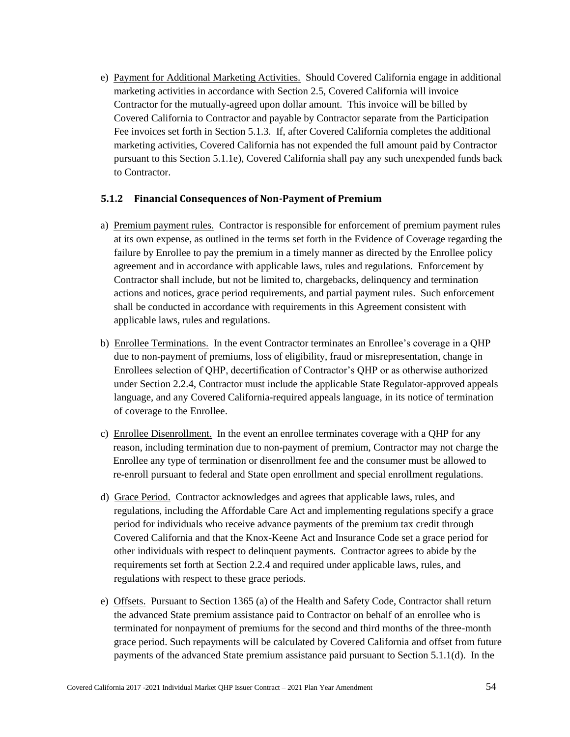e) Payment for Additional Marketing Activities. Should Covered California engage in additional marketing activities in accordance with Section 2.5, Covered California will invoice Contractor for the mutually-agreed upon dollar amount. This invoice will be billed by Covered California to Contractor and payable by Contractor separate from the Participation Fee invoices set forth in Section 5.1.3. If, after Covered California completes the additional marketing activities, Covered California has not expended the full amount paid by Contractor pursuant to this Section 5.1.1e), Covered California shall pay any such unexpended funds back to Contractor.

## **5.1.2 Financial Consequences of Non-Payment of Premium**

- a) Premium payment rules. Contractor is responsible for enforcement of premium payment rules at its own expense, as outlined in the terms set forth in the Evidence of Coverage regarding the failure by Enrollee to pay the premium in a timely manner as directed by the Enrollee policy agreement and in accordance with applicable laws, rules and regulations. Enforcement by Contractor shall include, but not be limited to, chargebacks, delinquency and termination actions and notices, grace period requirements, and partial payment rules. Such enforcement shall be conducted in accordance with requirements in this Agreement consistent with applicable laws, rules and regulations.
- b) Enrollee Terminations. In the event Contractor terminates an Enrollee's coverage in a QHP due to non-payment of premiums, loss of eligibility, fraud or misrepresentation, change in Enrollees selection of QHP, decertification of Contractor's QHP or as otherwise authorized under Section 2.2.4, Contractor must include the applicable State Regulator-approved appeals language, and any Covered California-required appeals language, in its notice of termination of coverage to the Enrollee.
- c) Enrollee Disenrollment. In the event an enrollee terminates coverage with a QHP for any reason, including termination due to non-payment of premium, Contractor may not charge the Enrollee any type of termination or disenrollment fee and the consumer must be allowed to re-enroll pursuant to federal and State open enrollment and special enrollment regulations.
- d) Grace Period. Contractor acknowledges and agrees that applicable laws, rules, and regulations, including the Affordable Care Act and implementing regulations specify a grace period for individuals who receive advance payments of the premium tax credit through Covered California and that the Knox-Keene Act and Insurance Code set a grace period for other individuals with respect to delinquent payments. Contractor agrees to abide by the requirements set forth at Section 2.2.4 and required under applicable laws, rules, and regulations with respect to these grace periods.
- e) Offsets. Pursuant to Section 1365 (a) of the Health and Safety Code, Contractor shall return the advanced State premium assistance paid to Contractor on behalf of an enrollee who is terminated for nonpayment of premiums for the second and third months of the three-month grace period. Such repayments will be calculated by Covered California and offset from future payments of the advanced State premium assistance paid pursuant to Section 5.1.1(d). In the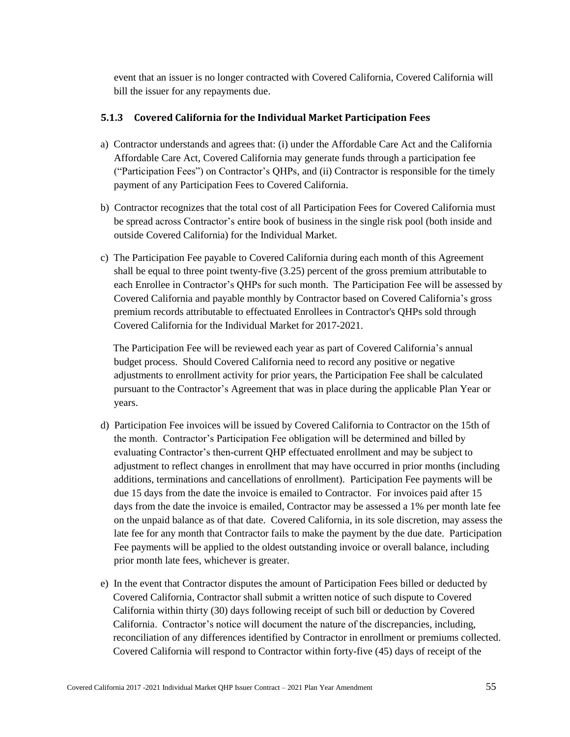event that an issuer is no longer contracted with Covered California, Covered California will bill the issuer for any repayments due.

## **5.1.3 Covered California for the Individual Market Participation Fees**

- a) Contractor understands and agrees that: (i) under the Affordable Care Act and the California Affordable Care Act, Covered California may generate funds through a participation fee ("Participation Fees") on Contractor's QHPs, and (ii) Contractor is responsible for the timely payment of any Participation Fees to Covered California.
- b) Contractor recognizes that the total cost of all Participation Fees for Covered California must be spread across Contractor's entire book of business in the single risk pool (both inside and outside Covered California) for the Individual Market.
- c) The Participation Fee payable to Covered California during each month of this Agreement shall be equal to three point twenty-five (3.25) percent of the gross premium attributable to each Enrollee in Contractor's QHPs for such month. The Participation Fee will be assessed by Covered California and payable monthly by Contractor based on Covered California's gross premium records attributable to effectuated Enrollees in Contractor's QHPs sold through Covered California for the Individual Market for 2017-2021.

The Participation Fee will be reviewed each year as part of Covered California's annual budget process. Should Covered California need to record any positive or negative adjustments to enrollment activity for prior years, the Participation Fee shall be calculated pursuant to the Contractor's Agreement that was in place during the applicable Plan Year or years.

- d) Participation Fee invoices will be issued by Covered California to Contractor on the 15th of the month. Contractor's Participation Fee obligation will be determined and billed by evaluating Contractor's then-current QHP effectuated enrollment and may be subject to adjustment to reflect changes in enrollment that may have occurred in prior months (including additions, terminations and cancellations of enrollment). Participation Fee payments will be due 15 days from the date the invoice is emailed to Contractor. For invoices paid after 15 days from the date the invoice is emailed, Contractor may be assessed a 1% per month late fee on the unpaid balance as of that date. Covered California, in its sole discretion, may assess the late fee for any month that Contractor fails to make the payment by the due date. Participation Fee payments will be applied to the oldest outstanding invoice or overall balance, including prior month late fees, whichever is greater.
- e) In the event that Contractor disputes the amount of Participation Fees billed or deducted by Covered California, Contractor shall submit a written notice of such dispute to Covered California within thirty (30) days following receipt of such bill or deduction by Covered California. Contractor's notice will document the nature of the discrepancies, including, reconciliation of any differences identified by Contractor in enrollment or premiums collected. Covered California will respond to Contractor within forty-five (45) days of receipt of the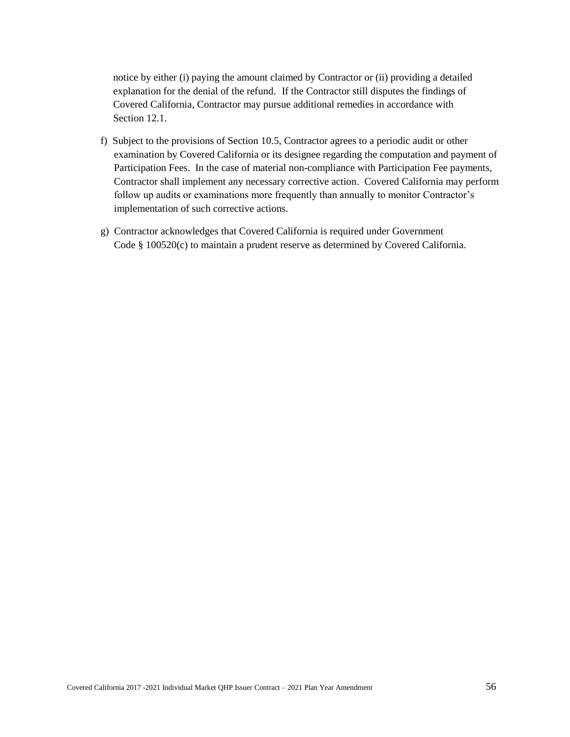notice by either (i) paying the amount claimed by Contractor or (ii) providing a detailed explanation for the denial of the refund. If the Contractor still disputes the findings of Covered California, Contractor may pursue additional remedies in accordance with Section 12.1.

- f) Subject to the provisions of Section 10.5, Contractor agrees to a periodic audit or other examination by Covered California or its designee regarding the computation and payment of Participation Fees. In the case of material non-compliance with Participation Fee payments, Contractor shall implement any necessary corrective action. Covered California may perform follow up audits or examinations more frequently than annually to monitor Contractor's implementation of such corrective actions.
- g) Contractor acknowledges that Covered California is required under Government Code § 100520(c) to maintain a prudent reserve as determined by Covered California.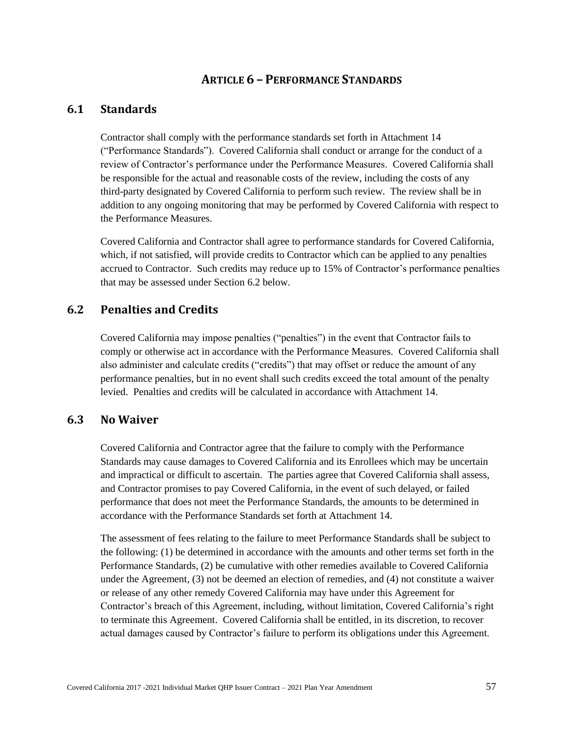# **ARTICLE 6 – PERFORMANCE STANDARDS**

# **6.1 Standards**

Contractor shall comply with the performance standards set forth in Attachment 14 ("Performance Standards"). Covered California shall conduct or arrange for the conduct of a review of Contractor's performance under the Performance Measures. Covered California shall be responsible for the actual and reasonable costs of the review, including the costs of any third-party designated by Covered California to perform such review. The review shall be in addition to any ongoing monitoring that may be performed by Covered California with respect to the Performance Measures.

Covered California and Contractor shall agree to performance standards for Covered California, which, if not satisfied, will provide credits to Contractor which can be applied to any penalties accrued to Contractor. Such credits may reduce up to 15% of Contractor's performance penalties that may be assessed under Section 6.2 below.

# **6.2 Penalties and Credits**

Covered California may impose penalties ("penalties") in the event that Contractor fails to comply or otherwise act in accordance with the Performance Measures. Covered California shall also administer and calculate credits ("credits") that may offset or reduce the amount of any performance penalties, but in no event shall such credits exceed the total amount of the penalty levied. Penalties and credits will be calculated in accordance with Attachment 14.

## **6.3 No Waiver**

Covered California and Contractor agree that the failure to comply with the Performance Standards may cause damages to Covered California and its Enrollees which may be uncertain and impractical or difficult to ascertain. The parties agree that Covered California shall assess, and Contractor promises to pay Covered California, in the event of such delayed, or failed performance that does not meet the Performance Standards, the amounts to be determined in accordance with the Performance Standards set forth at Attachment 14.

The assessment of fees relating to the failure to meet Performance Standards shall be subject to the following: (1) be determined in accordance with the amounts and other terms set forth in the Performance Standards, (2) be cumulative with other remedies available to Covered California under the Agreement, (3) not be deemed an election of remedies, and (4) not constitute a waiver or release of any other remedy Covered California may have under this Agreement for Contractor's breach of this Agreement, including, without limitation, Covered California's right to terminate this Agreement. Covered California shall be entitled, in its discretion, to recover actual damages caused by Contractor's failure to perform its obligations under this Agreement.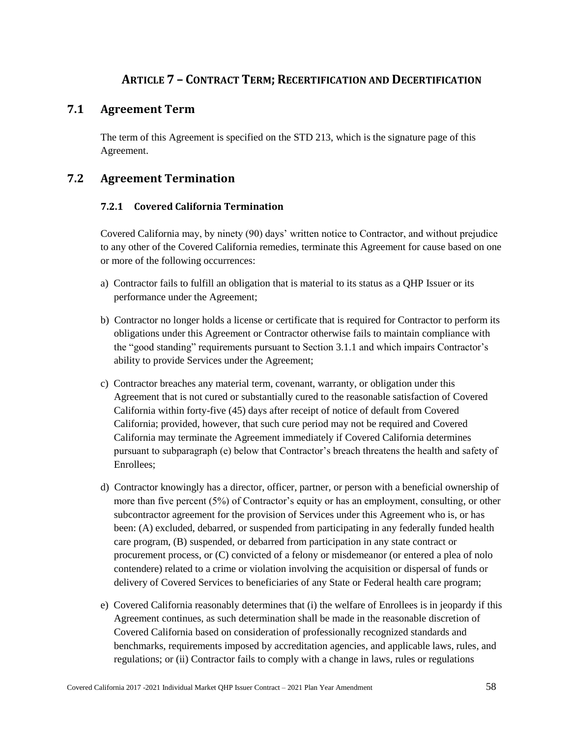# **ARTICLE 7 – CONTRACT TERM; RECERTIFICATION AND DECERTIFICATION**

# **7.1 Agreement Term**

The term of this Agreement is specified on the STD 213, which is the signature page of this Agreement.

# **7.2 Agreement Termination**

## **7.2.1 Covered California Termination**

Covered California may, by ninety (90) days' written notice to Contractor, and without prejudice to any other of the Covered California remedies, terminate this Agreement for cause based on one or more of the following occurrences:

- a) Contractor fails to fulfill an obligation that is material to its status as a QHP Issuer or its performance under the Agreement;
- b) Contractor no longer holds a license or certificate that is required for Contractor to perform its obligations under this Agreement or Contractor otherwise fails to maintain compliance with the "good standing" requirements pursuant to Section 3.1.1 and which impairs Contractor's ability to provide Services under the Agreement;
- c) Contractor breaches any material term, covenant, warranty, or obligation under this Agreement that is not cured or substantially cured to the reasonable satisfaction of Covered California within forty-five (45) days after receipt of notice of default from Covered California; provided, however, that such cure period may not be required and Covered California may terminate the Agreement immediately if Covered California determines pursuant to subparagraph (e) below that Contractor's breach threatens the health and safety of Enrollees;
- d) Contractor knowingly has a director, officer, partner, or person with a beneficial ownership of more than five percent (5%) of Contractor's equity or has an employment, consulting, or other subcontractor agreement for the provision of Services under this Agreement who is, or has been: (A) excluded, debarred, or suspended from participating in any federally funded health care program, (B) suspended, or debarred from participation in any state contract or procurement process, or (C) convicted of a felony or misdemeanor (or entered a plea of nolo contendere) related to a crime or violation involving the acquisition or dispersal of funds or delivery of Covered Services to beneficiaries of any State or Federal health care program;
- e) Covered California reasonably determines that (i) the welfare of Enrollees is in jeopardy if this Agreement continues, as such determination shall be made in the reasonable discretion of Covered California based on consideration of professionally recognized standards and benchmarks, requirements imposed by accreditation agencies, and applicable laws, rules, and regulations; or (ii) Contractor fails to comply with a change in laws, rules or regulations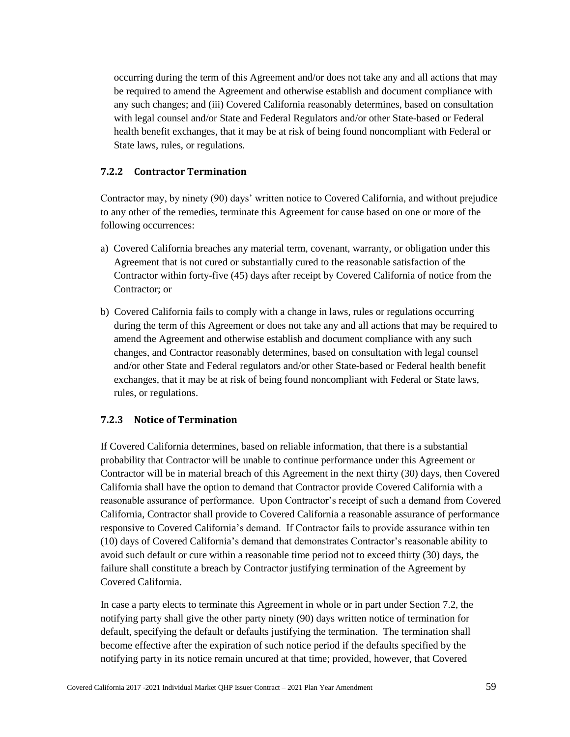occurring during the term of this Agreement and/or does not take any and all actions that may be required to amend the Agreement and otherwise establish and document compliance with any such changes; and (iii) Covered California reasonably determines, based on consultation with legal counsel and/or State and Federal Regulators and/or other State-based or Federal health benefit exchanges, that it may be at risk of being found noncompliant with Federal or State laws, rules, or regulations.

## **7.2.2 Contractor Termination**

Contractor may, by ninety (90) days' written notice to Covered California, and without prejudice to any other of the remedies, terminate this Agreement for cause based on one or more of the following occurrences:

- a) Covered California breaches any material term, covenant, warranty, or obligation under this Agreement that is not cured or substantially cured to the reasonable satisfaction of the Contractor within forty-five (45) days after receipt by Covered California of notice from the Contractor; or
- b) Covered California fails to comply with a change in laws, rules or regulations occurring during the term of this Agreement or does not take any and all actions that may be required to amend the Agreement and otherwise establish and document compliance with any such changes, and Contractor reasonably determines, based on consultation with legal counsel and/or other State and Federal regulators and/or other State-based or Federal health benefit exchanges, that it may be at risk of being found noncompliant with Federal or State laws, rules, or regulations.

## **7.2.3 Notice of Termination**

If Covered California determines, based on reliable information, that there is a substantial probability that Contractor will be unable to continue performance under this Agreement or Contractor will be in material breach of this Agreement in the next thirty (30) days, then Covered California shall have the option to demand that Contractor provide Covered California with a reasonable assurance of performance. Upon Contractor's receipt of such a demand from Covered California, Contractor shall provide to Covered California a reasonable assurance of performance responsive to Covered California's demand. If Contractor fails to provide assurance within ten (10) days of Covered California's demand that demonstrates Contractor's reasonable ability to avoid such default or cure within a reasonable time period not to exceed thirty (30) days, the failure shall constitute a breach by Contractor justifying termination of the Agreement by Covered California.

In case a party elects to terminate this Agreement in whole or in part under Section 7.2, the notifying party shall give the other party ninety (90) days written notice of termination for default, specifying the default or defaults justifying the termination. The termination shall become effective after the expiration of such notice period if the defaults specified by the notifying party in its notice remain uncured at that time; provided, however, that Covered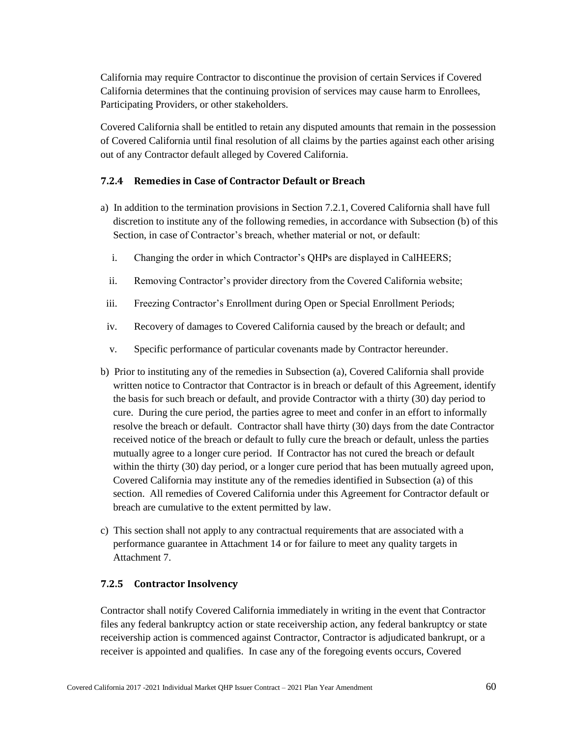California may require Contractor to discontinue the provision of certain Services if Covered California determines that the continuing provision of services may cause harm to Enrollees, Participating Providers, or other stakeholders.

Covered California shall be entitled to retain any disputed amounts that remain in the possession of Covered California until final resolution of all claims by the parties against each other arising out of any Contractor default alleged by Covered California.

## **7.2.4 Remedies in Case of Contractor Default or Breach**

- a) In addition to the termination provisions in Section 7.2.1, Covered California shall have full discretion to institute any of the following remedies, in accordance with Subsection (b) of this Section, in case of Contractor's breach, whether material or not, or default:
	- i. Changing the order in which Contractor's QHPs are displayed in CalHEERS;
	- ii. Removing Contractor's provider directory from the Covered California website;
- iii. Freezing Contractor's Enrollment during Open or Special Enrollment Periods;
- iv. Recovery of damages to Covered California caused by the breach or default; and
- v. Specific performance of particular covenants made by Contractor hereunder.
- b) Prior to instituting any of the remedies in Subsection (a), Covered California shall provide written notice to Contractor that Contractor is in breach or default of this Agreement, identify the basis for such breach or default, and provide Contractor with a thirty (30) day period to cure. During the cure period, the parties agree to meet and confer in an effort to informally resolve the breach or default. Contractor shall have thirty (30) days from the date Contractor received notice of the breach or default to fully cure the breach or default, unless the parties mutually agree to a longer cure period. If Contractor has not cured the breach or default within the thirty (30) day period, or a longer cure period that has been mutually agreed upon, Covered California may institute any of the remedies identified in Subsection (a) of this section. All remedies of Covered California under this Agreement for Contractor default or breach are cumulative to the extent permitted by law.
- c) This section shall not apply to any contractual requirements that are associated with a performance guarantee in Attachment 14 or for failure to meet any quality targets in Attachment 7.

### **7.2.5 Contractor Insolvency**

Contractor shall notify Covered California immediately in writing in the event that Contractor files any federal bankruptcy action or state receivership action, any federal bankruptcy or state receivership action is commenced against Contractor, Contractor is adjudicated bankrupt, or a receiver is appointed and qualifies. In case any of the foregoing events occurs, Covered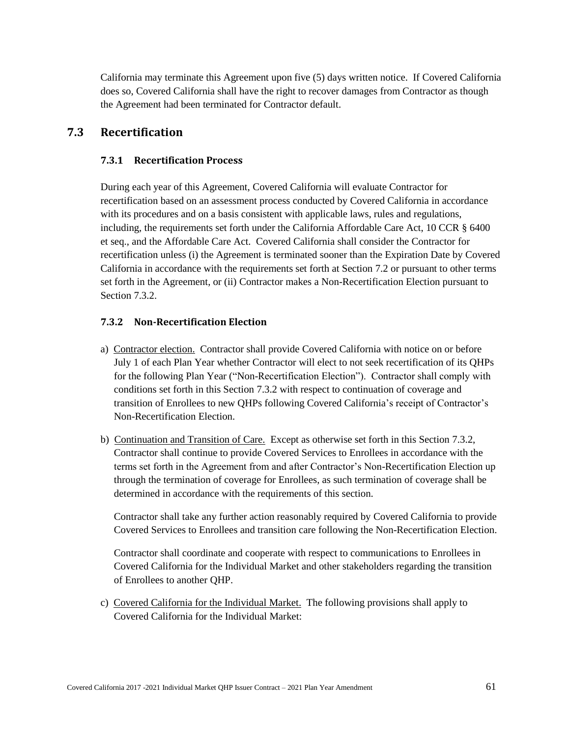California may terminate this Agreement upon five (5) days written notice. If Covered California does so, Covered California shall have the right to recover damages from Contractor as though the Agreement had been terminated for Contractor default.

# **7.3 Recertification**

## **7.3.1 Recertification Process**

During each year of this Agreement, Covered California will evaluate Contractor for recertification based on an assessment process conducted by Covered California in accordance with its procedures and on a basis consistent with applicable laws, rules and regulations, including, the requirements set forth under the California Affordable Care Act, 10 CCR § 6400 et seq., and the Affordable Care Act. Covered California shall consider the Contractor for recertification unless (i) the Agreement is terminated sooner than the Expiration Date by Covered California in accordance with the requirements set forth at Section 7.2 or pursuant to other terms set forth in the Agreement, or (ii) Contractor makes a Non-Recertification Election pursuant to Section 7.3.2.

## **7.3.2 Non-Recertification Election**

- a) Contractor election. Contractor shall provide Covered California with notice on or before July 1 of each Plan Year whether Contractor will elect to not seek recertification of its QHPs for the following Plan Year ("Non-Recertification Election"). Contractor shall comply with conditions set forth in this Section 7.3.2 with respect to continuation of coverage and transition of Enrollees to new QHPs following Covered California's receipt of Contractor's Non-Recertification Election.
- b) Continuation and Transition of Care. Except as otherwise set forth in this Section 7.3.2, Contractor shall continue to provide Covered Services to Enrollees in accordance with the terms set forth in the Agreement from and after Contractor's Non-Recertification Election up through the termination of coverage for Enrollees, as such termination of coverage shall be determined in accordance with the requirements of this section.

Contractor shall take any further action reasonably required by Covered California to provide Covered Services to Enrollees and transition care following the Non-Recertification Election.

Contractor shall coordinate and cooperate with respect to communications to Enrollees in Covered California for the Individual Market and other stakeholders regarding the transition of Enrollees to another QHP.

c) Covered California for the Individual Market. The following provisions shall apply to Covered California for the Individual Market: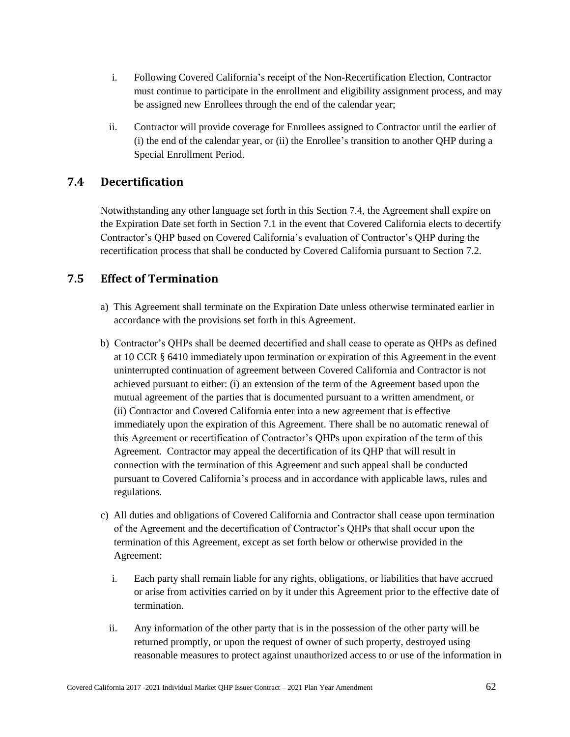- i. Following Covered California's receipt of the Non-Recertification Election, Contractor must continue to participate in the enrollment and eligibility assignment process, and may be assigned new Enrollees through the end of the calendar year;
- ii. Contractor will provide coverage for Enrollees assigned to Contractor until the earlier of (i) the end of the calendar year, or (ii) the Enrollee's transition to another QHP during a Special Enrollment Period.

# **7.4 Decertification**

Notwithstanding any other language set forth in this Section 7.4, the Agreement shall expire on the Expiration Date set forth in Section 7.1 in the event that Covered California elects to decertify Contractor's QHP based on Covered California's evaluation of Contractor's QHP during the recertification process that shall be conducted by Covered California pursuant to Section 7.2.

# **7.5 Effect of Termination**

- a) This Agreement shall terminate on the Expiration Date unless otherwise terminated earlier in accordance with the provisions set forth in this Agreement.
- b) Contractor's QHPs shall be deemed decertified and shall cease to operate as QHPs as defined at 10 CCR § 6410 immediately upon termination or expiration of this Agreement in the event uninterrupted continuation of agreement between Covered California and Contractor is not achieved pursuant to either: (i) an extension of the term of the Agreement based upon the mutual agreement of the parties that is documented pursuant to a written amendment, or (ii) Contractor and Covered California enter into a new agreement that is effective immediately upon the expiration of this Agreement. There shall be no automatic renewal of this Agreement or recertification of Contractor's QHPs upon expiration of the term of this Agreement. Contractor may appeal the decertification of its QHP that will result in connection with the termination of this Agreement and such appeal shall be conducted pursuant to Covered California's process and in accordance with applicable laws, rules and regulations.
- c) All duties and obligations of Covered California and Contractor shall cease upon termination of the Agreement and the decertification of Contractor's QHPs that shall occur upon the termination of this Agreement, except as set forth below or otherwise provided in the Agreement:
	- i. Each party shall remain liable for any rights, obligations, or liabilities that have accrued or arise from activities carried on by it under this Agreement prior to the effective date of termination.
	- ii. Any information of the other party that is in the possession of the other party will be returned promptly, or upon the request of owner of such property, destroyed using reasonable measures to protect against unauthorized access to or use of the information in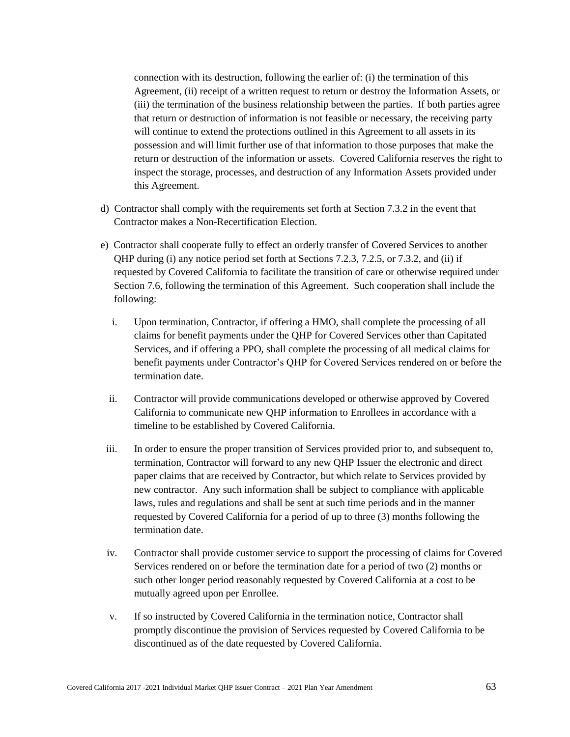connection with its destruction, following the earlier of: (i) the termination of this Agreement, (ii) receipt of a written request to return or destroy the Information Assets, or (iii) the termination of the business relationship between the parties. If both parties agree that return or destruction of information is not feasible or necessary, the receiving party will continue to extend the protections outlined in this Agreement to all assets in its possession and will limit further use of that information to those purposes that make the return or destruction of the information or assets. Covered California reserves the right to inspect the storage, processes, and destruction of any Information Assets provided under this Agreement.

- d) Contractor shall comply with the requirements set forth at Section 7.3.2 in the event that Contractor makes a Non-Recertification Election.
- e) Contractor shall cooperate fully to effect an orderly transfer of Covered Services to another QHP during (i) any notice period set forth at Sections 7.2.3, 7.2.5, or 7.3.2, and (ii) if requested by Covered California to facilitate the transition of care or otherwise required under Section 7.6, following the termination of this Agreement. Such cooperation shall include the following:
	- i. Upon termination, Contractor, if offering a HMO, shall complete the processing of all claims for benefit payments under the QHP for Covered Services other than Capitated Services, and if offering a PPO, shall complete the processing of all medical claims for benefit payments under Contractor's QHP for Covered Services rendered on or before the termination date.
	- ii. Contractor will provide communications developed or otherwise approved by Covered California to communicate new QHP information to Enrollees in accordance with a timeline to be established by Covered California.
- iii. In order to ensure the proper transition of Services provided prior to, and subsequent to, termination, Contractor will forward to any new QHP Issuer the electronic and direct paper claims that are received by Contractor, but which relate to Services provided by new contractor. Any such information shall be subject to compliance with applicable laws, rules and regulations and shall be sent at such time periods and in the manner requested by Covered California for a period of up to three (3) months following the termination date.
- iv. Contractor shall provide customer service to support the processing of claims for Covered Services rendered on or before the termination date for a period of two (2) months or such other longer period reasonably requested by Covered California at a cost to be mutually agreed upon per Enrollee.
- v. If so instructed by Covered California in the termination notice, Contractor shall promptly discontinue the provision of Services requested by Covered California to be discontinued as of the date requested by Covered California.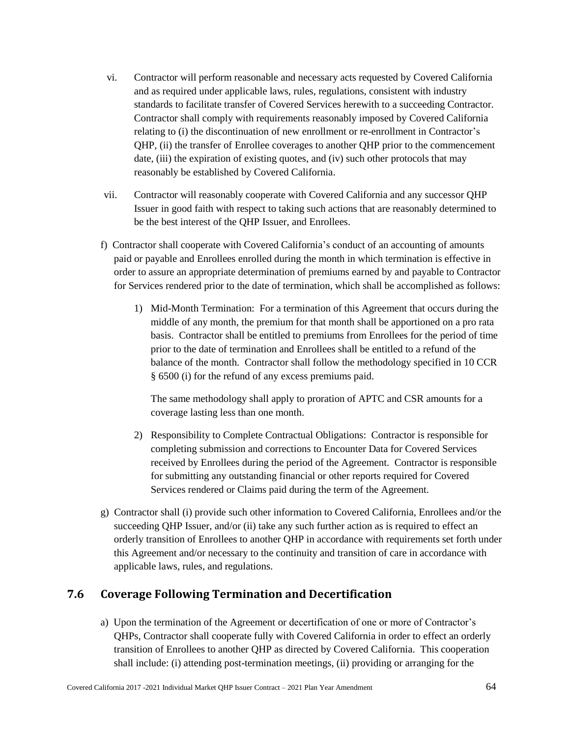- vi. Contractor will perform reasonable and necessary acts requested by Covered California and as required under applicable laws, rules, regulations, consistent with industry standards to facilitate transfer of Covered Services herewith to a succeeding Contractor. Contractor shall comply with requirements reasonably imposed by Covered California relating to (i) the discontinuation of new enrollment or re-enrollment in Contractor's QHP, (ii) the transfer of Enrollee coverages to another QHP prior to the commencement date, (iii) the expiration of existing quotes, and (iv) such other protocols that may reasonably be established by Covered California.
- vii. Contractor will reasonably cooperate with Covered California and any successor QHP Issuer in good faith with respect to taking such actions that are reasonably determined to be the best interest of the QHP Issuer, and Enrollees.
- f) Contractor shall cooperate with Covered California's conduct of an accounting of amounts paid or payable and Enrollees enrolled during the month in which termination is effective in order to assure an appropriate determination of premiums earned by and payable to Contractor for Services rendered prior to the date of termination, which shall be accomplished as follows:
	- 1) Mid-Month Termination: For a termination of this Agreement that occurs during the middle of any month, the premium for that month shall be apportioned on a pro rata basis. Contractor shall be entitled to premiums from Enrollees for the period of time prior to the date of termination and Enrollees shall be entitled to a refund of the balance of the month. Contractor shall follow the methodology specified in 10 CCR § 6500 (i) for the refund of any excess premiums paid.

The same methodology shall apply to proration of APTC and CSR amounts for a coverage lasting less than one month.

- 2) Responsibility to Complete Contractual Obligations: Contractor is responsible for completing submission and corrections to Encounter Data for Covered Services received by Enrollees during the period of the Agreement. Contractor is responsible for submitting any outstanding financial or other reports required for Covered Services rendered or Claims paid during the term of the Agreement.
- g) Contractor shall (i) provide such other information to Covered California, Enrollees and/or the succeeding QHP Issuer, and/or (ii) take any such further action as is required to effect an orderly transition of Enrollees to another QHP in accordance with requirements set forth under this Agreement and/or necessary to the continuity and transition of care in accordance with applicable laws, rules, and regulations.

# **7.6 Coverage Following Termination and Decertification**

a) Upon the termination of the Agreement or decertification of one or more of Contractor's QHPs, Contractor shall cooperate fully with Covered California in order to effect an orderly transition of Enrollees to another QHP as directed by Covered California. This cooperation shall include: (i) attending post-termination meetings, (ii) providing or arranging for the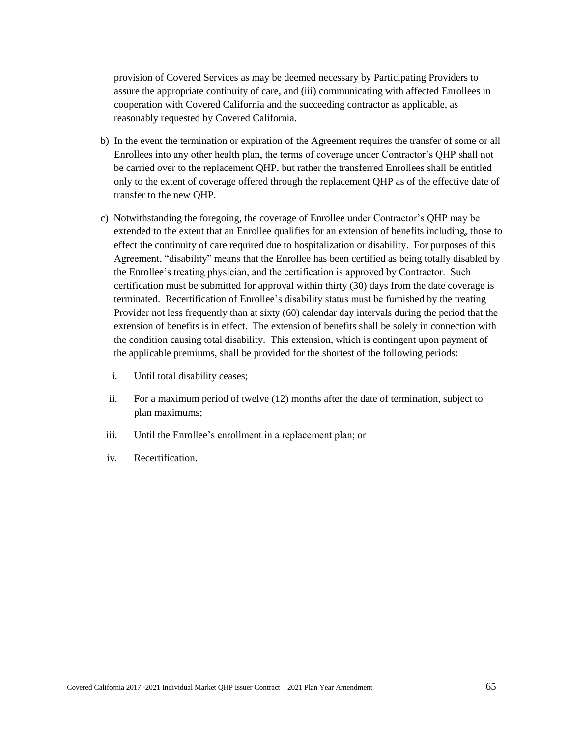provision of Covered Services as may be deemed necessary by Participating Providers to assure the appropriate continuity of care, and (iii) communicating with affected Enrollees in cooperation with Covered California and the succeeding contractor as applicable, as reasonably requested by Covered California.

- b) In the event the termination or expiration of the Agreement requires the transfer of some or all Enrollees into any other health plan, the terms of coverage under Contractor's QHP shall not be carried over to the replacement QHP, but rather the transferred Enrollees shall be entitled only to the extent of coverage offered through the replacement QHP as of the effective date of transfer to the new QHP.
- c) Notwithstanding the foregoing, the coverage of Enrollee under Contractor's QHP may be extended to the extent that an Enrollee qualifies for an extension of benefits including, those to effect the continuity of care required due to hospitalization or disability. For purposes of this Agreement, "disability" means that the Enrollee has been certified as being totally disabled by the Enrollee's treating physician, and the certification is approved by Contractor. Such certification must be submitted for approval within thirty (30) days from the date coverage is terminated. Recertification of Enrollee's disability status must be furnished by the treating Provider not less frequently than at sixty (60) calendar day intervals during the period that the extension of benefits is in effect. The extension of benefits shall be solely in connection with the condition causing total disability. This extension, which is contingent upon payment of the applicable premiums, shall be provided for the shortest of the following periods:
	- i. Until total disability ceases;
	- ii. For a maximum period of twelve (12) months after the date of termination, subject to plan maximums;
- iii. Until the Enrollee's enrollment in a replacement plan; or
- iv. Recertification.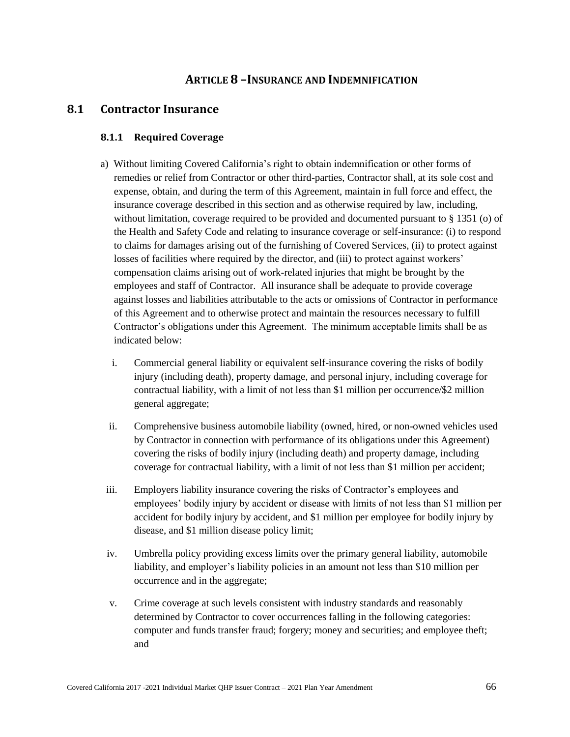## **ARTICLE 8 –INSURANCE AND INDEMNIFICATION**

### **8.1 Contractor Insurance**

#### **8.1.1 Required Coverage**

- a) Without limiting Covered California's right to obtain indemnification or other forms of remedies or relief from Contractor or other third-parties, Contractor shall, at its sole cost and expense, obtain, and during the term of this Agreement, maintain in full force and effect, the insurance coverage described in this section and as otherwise required by law, including, without limitation, coverage required to be provided and documented pursuant to § 1351 (o) of the Health and Safety Code and relating to insurance coverage or self-insurance: (i) to respond to claims for damages arising out of the furnishing of Covered Services, (ii) to protect against losses of facilities where required by the director, and (iii) to protect against workers' compensation claims arising out of work-related injuries that might be brought by the employees and staff of Contractor. All insurance shall be adequate to provide coverage against losses and liabilities attributable to the acts or omissions of Contractor in performance of this Agreement and to otherwise protect and maintain the resources necessary to fulfill Contractor's obligations under this Agreement. The minimum acceptable limits shall be as indicated below:
	- i. Commercial general liability or equivalent self-insurance covering the risks of bodily injury (including death), property damage, and personal injury, including coverage for contractual liability, with a limit of not less than \$1 million per occurrence/\$2 million general aggregate;
	- ii. Comprehensive business automobile liability (owned, hired, or non-owned vehicles used by Contractor in connection with performance of its obligations under this Agreement) covering the risks of bodily injury (including death) and property damage, including coverage for contractual liability, with a limit of not less than \$1 million per accident;
- iii. Employers liability insurance covering the risks of Contractor's employees and employees' bodily injury by accident or disease with limits of not less than \$1 million per accident for bodily injury by accident, and \$1 million per employee for bodily injury by disease, and \$1 million disease policy limit;
- iv. Umbrella policy providing excess limits over the primary general liability, automobile liability, and employer's liability policies in an amount not less than \$10 million per occurrence and in the aggregate;
- v. Crime coverage at such levels consistent with industry standards and reasonably determined by Contractor to cover occurrences falling in the following categories: computer and funds transfer fraud; forgery; money and securities; and employee theft; and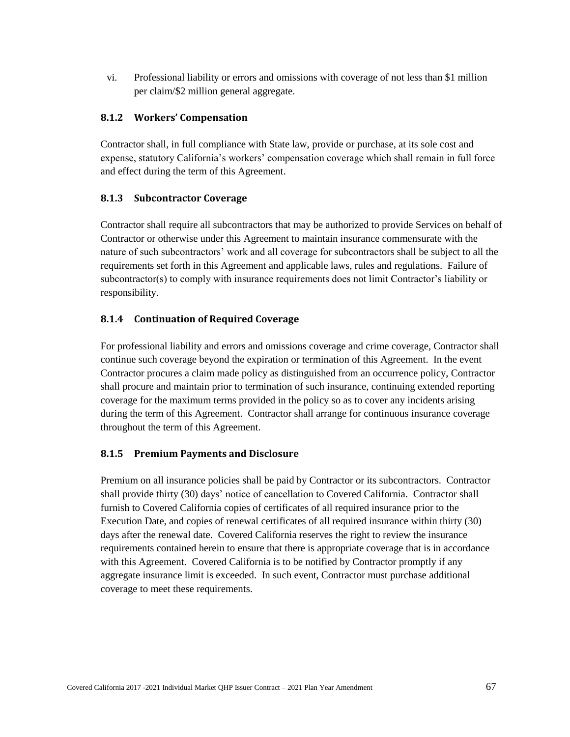vi. Professional liability or errors and omissions with coverage of not less than \$1 million per claim/\$2 million general aggregate.

#### **8.1.2 Workers' Compensation**

Contractor shall, in full compliance with State law, provide or purchase, at its sole cost and expense, statutory California's workers' compensation coverage which shall remain in full force and effect during the term of this Agreement.

### **8.1.3 Subcontractor Coverage**

Contractor shall require all subcontractors that may be authorized to provide Services on behalf of Contractor or otherwise under this Agreement to maintain insurance commensurate with the nature of such subcontractors' work and all coverage for subcontractors shall be subject to all the requirements set forth in this Agreement and applicable laws, rules and regulations. Failure of subcontractor(s) to comply with insurance requirements does not limit Contractor's liability or responsibility.

### **8.1.4 Continuation of Required Coverage**

For professional liability and errors and omissions coverage and crime coverage, Contractor shall continue such coverage beyond the expiration or termination of this Agreement. In the event Contractor procures a claim made policy as distinguished from an occurrence policy, Contractor shall procure and maintain prior to termination of such insurance, continuing extended reporting coverage for the maximum terms provided in the policy so as to cover any incidents arising during the term of this Agreement. Contractor shall arrange for continuous insurance coverage throughout the term of this Agreement.

### **8.1.5 Premium Payments and Disclosure**

Premium on all insurance policies shall be paid by Contractor or its subcontractors. Contractor shall provide thirty (30) days' notice of cancellation to Covered California. Contractor shall furnish to Covered California copies of certificates of all required insurance prior to the Execution Date, and copies of renewal certificates of all required insurance within thirty (30) days after the renewal date. Covered California reserves the right to review the insurance requirements contained herein to ensure that there is appropriate coverage that is in accordance with this Agreement. Covered California is to be notified by Contractor promptly if any aggregate insurance limit is exceeded. In such event, Contractor must purchase additional coverage to meet these requirements.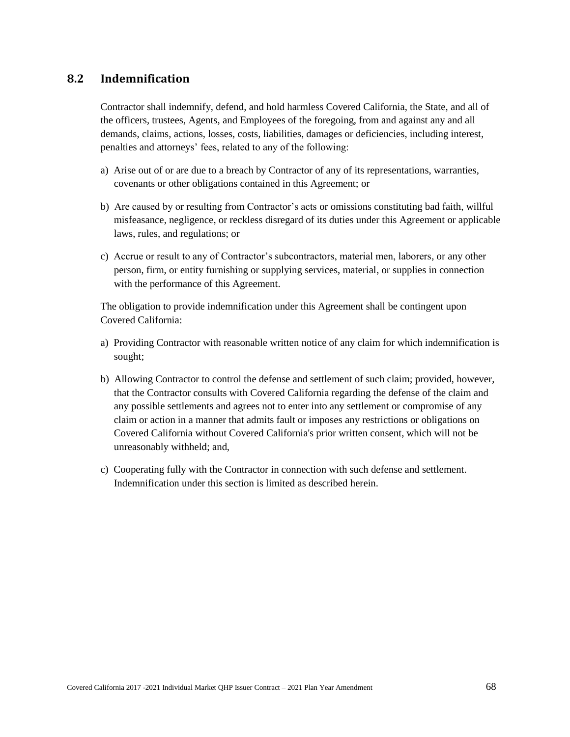## **8.2 Indemnification**

Contractor shall indemnify, defend, and hold harmless Covered California, the State, and all of the officers, trustees, Agents, and Employees of the foregoing, from and against any and all demands, claims, actions, losses, costs, liabilities, damages or deficiencies, including interest, penalties and attorneys' fees, related to any of the following:

- a) Arise out of or are due to a breach by Contractor of any of its representations, warranties, covenants or other obligations contained in this Agreement; or
- b) Are caused by or resulting from Contractor's acts or omissions constituting bad faith, willful misfeasance, negligence, or reckless disregard of its duties under this Agreement or applicable laws, rules, and regulations; or
- c) Accrue or result to any of Contractor's subcontractors, material men, laborers, or any other person, firm, or entity furnishing or supplying services, material, or supplies in connection with the performance of this Agreement.

The obligation to provide indemnification under this Agreement shall be contingent upon Covered California:

- a) Providing Contractor with reasonable written notice of any claim for which indemnification is sought;
- b) Allowing Contractor to control the defense and settlement of such claim; provided, however, that the Contractor consults with Covered California regarding the defense of the claim and any possible settlements and agrees not to enter into any settlement or compromise of any claim or action in a manner that admits fault or imposes any restrictions or obligations on Covered California without Covered California's prior written consent, which will not be unreasonably withheld; and,
- c) Cooperating fully with the Contractor in connection with such defense and settlement. Indemnification under this section is limited as described herein.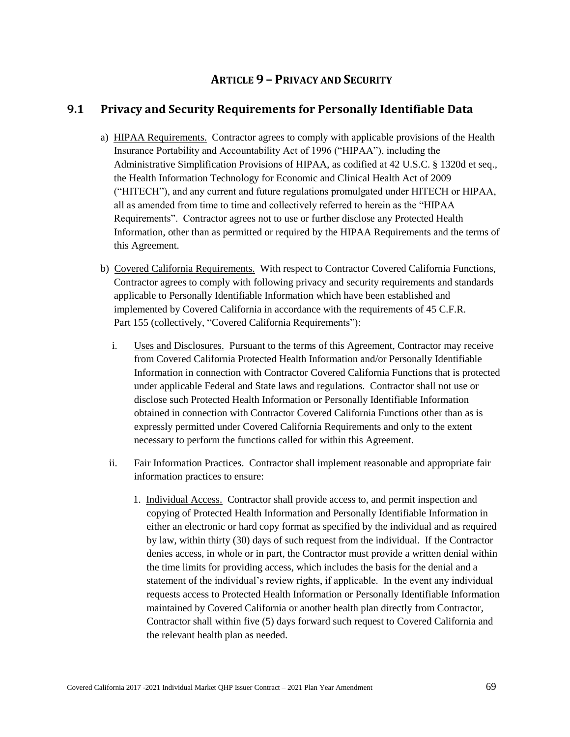# **ARTICLE 9 – PRIVACY AND SECURITY**

## **9.1 Privacy and Security Requirements for Personally Identifiable Data**

- a) HIPAA Requirements. Contractor agrees to comply with applicable provisions of the Health Insurance Portability and Accountability Act of 1996 ("HIPAA"), including the Administrative Simplification Provisions of HIPAA, as codified at 42 U.S.C. § 1320d et seq., the Health Information Technology for Economic and Clinical Health Act of 2009 ("HITECH"), and any current and future regulations promulgated under HITECH or HIPAA, all as amended from time to time and collectively referred to herein as the "HIPAA Requirements". Contractor agrees not to use or further disclose any Protected Health Information, other than as permitted or required by the HIPAA Requirements and the terms of this Agreement.
- b) Covered California Requirements. With respect to Contractor Covered California Functions, Contractor agrees to comply with following privacy and security requirements and standards applicable to Personally Identifiable Information which have been established and implemented by Covered California in accordance with the requirements of 45 C.F.R. Part 155 (collectively, "Covered California Requirements"):
	- i. Uses and Disclosures. Pursuant to the terms of this Agreement, Contractor may receive from Covered California Protected Health Information and/or Personally Identifiable Information in connection with Contractor Covered California Functions that is protected under applicable Federal and State laws and regulations. Contractor shall not use or disclose such Protected Health Information or Personally Identifiable Information obtained in connection with Contractor Covered California Functions other than as is expressly permitted under Covered California Requirements and only to the extent necessary to perform the functions called for within this Agreement.
	- ii. Fair Information Practices. Contractor shall implement reasonable and appropriate fair information practices to ensure:
		- 1. Individual Access. Contractor shall provide access to, and permit inspection and copying of Protected Health Information and Personally Identifiable Information in either an electronic or hard copy format as specified by the individual and as required by law, within thirty (30) days of such request from the individual. If the Contractor denies access, in whole or in part, the Contractor must provide a written denial within the time limits for providing access, which includes the basis for the denial and a statement of the individual's review rights, if applicable. In the event any individual requests access to Protected Health Information or Personally Identifiable Information maintained by Covered California or another health plan directly from Contractor, Contractor shall within five (5) days forward such request to Covered California and the relevant health plan as needed.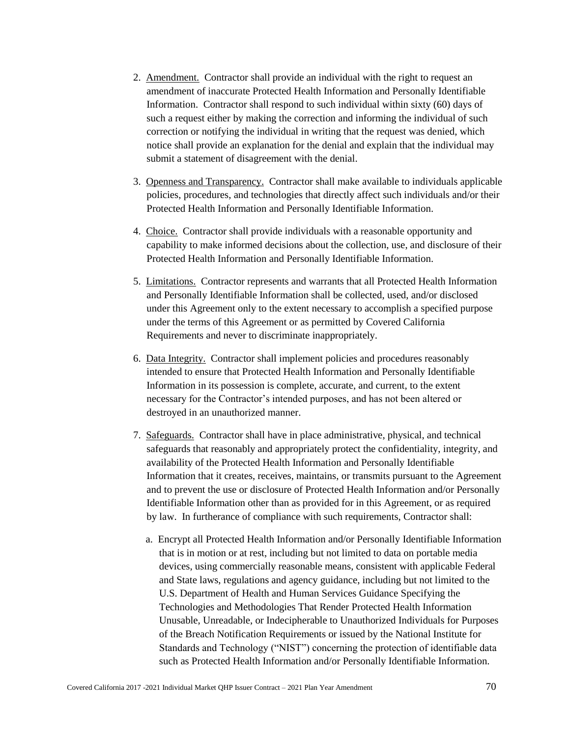- 2. Amendment. Contractor shall provide an individual with the right to request an amendment of inaccurate Protected Health Information and Personally Identifiable Information. Contractor shall respond to such individual within sixty (60) days of such a request either by making the correction and informing the individual of such correction or notifying the individual in writing that the request was denied, which notice shall provide an explanation for the denial and explain that the individual may submit a statement of disagreement with the denial.
- 3. Openness and Transparency. Contractor shall make available to individuals applicable policies, procedures, and technologies that directly affect such individuals and/or their Protected Health Information and Personally Identifiable Information.
- 4. Choice. Contractor shall provide individuals with a reasonable opportunity and capability to make informed decisions about the collection, use, and disclosure of their Protected Health Information and Personally Identifiable Information.
- 5. Limitations. Contractor represents and warrants that all Protected Health Information and Personally Identifiable Information shall be collected, used, and/or disclosed under this Agreement only to the extent necessary to accomplish a specified purpose under the terms of this Agreement or as permitted by Covered California Requirements and never to discriminate inappropriately.
- 6. Data Integrity. Contractor shall implement policies and procedures reasonably intended to ensure that Protected Health Information and Personally Identifiable Information in its possession is complete, accurate, and current, to the extent necessary for the Contractor's intended purposes, and has not been altered or destroyed in an unauthorized manner.
- 7. Safeguards. Contractor shall have in place administrative, physical, and technical safeguards that reasonably and appropriately protect the confidentiality, integrity, and availability of the Protected Health Information and Personally Identifiable Information that it creates, receives, maintains, or transmits pursuant to the Agreement and to prevent the use or disclosure of Protected Health Information and/or Personally Identifiable Information other than as provided for in this Agreement, or as required by law. In furtherance of compliance with such requirements, Contractor shall:
	- a. Encrypt all Protected Health Information and/or Personally Identifiable Information that is in motion or at rest, including but not limited to data on portable media devices, using commercially reasonable means, consistent with applicable Federal and State laws, regulations and agency guidance, including but not limited to the U.S. Department of Health and Human Services Guidance Specifying the Technologies and Methodologies That Render Protected Health Information Unusable, Unreadable, or Indecipherable to Unauthorized Individuals for Purposes of the Breach Notification Requirements or issued by the National Institute for Standards and Technology ("NIST") concerning the protection of identifiable data such as Protected Health Information and/or Personally Identifiable Information.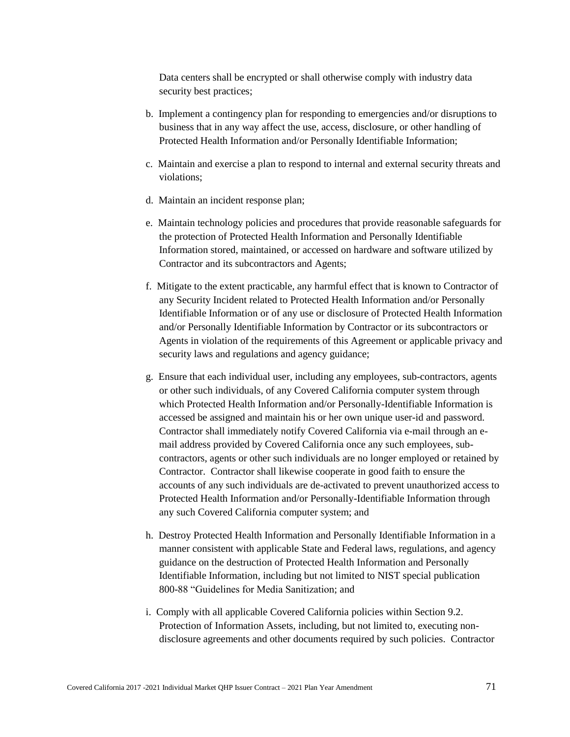Data centers shall be encrypted or shall otherwise comply with industry data security best practices;

- b. Implement a contingency plan for responding to emergencies and/or disruptions to business that in any way affect the use, access, disclosure, or other handling of Protected Health Information and/or Personally Identifiable Information;
- c. Maintain and exercise a plan to respond to internal and external security threats and violations;
- d. Maintain an incident response plan;
- e. Maintain technology policies and procedures that provide reasonable safeguards for the protection of Protected Health Information and Personally Identifiable Information stored, maintained, or accessed on hardware and software utilized by Contractor and its subcontractors and Agents;
- f. Mitigate to the extent practicable, any harmful effect that is known to Contractor of any Security Incident related to Protected Health Information and/or Personally Identifiable Information or of any use or disclosure of Protected Health Information and/or Personally Identifiable Information by Contractor or its subcontractors or Agents in violation of the requirements of this Agreement or applicable privacy and security laws and regulations and agency guidance;
- g. Ensure that each individual user, including any employees, sub-contractors, agents or other such individuals, of any Covered California computer system through which Protected Health Information and/or Personally-Identifiable Information is accessed be assigned and maintain his or her own unique user-id and password. Contractor shall immediately notify Covered California via e-mail through an email address provided by Covered California once any such employees, subcontractors, agents or other such individuals are no longer employed or retained by Contractor. Contractor shall likewise cooperate in good faith to ensure the accounts of any such individuals are de-activated to prevent unauthorized access to Protected Health Information and/or Personally-Identifiable Information through any such Covered California computer system; and
- h. Destroy Protected Health Information and Personally Identifiable Information in a manner consistent with applicable State and Federal laws, regulations, and agency guidance on the destruction of Protected Health Information and Personally Identifiable Information, including but not limited to NIST special publication 800-88 "Guidelines for Media Sanitization; and
- i. Comply with all applicable Covered California policies within Section 9.2. Protection of Information Assets, including, but not limited to, executing nondisclosure agreements and other documents required by such policies. Contractor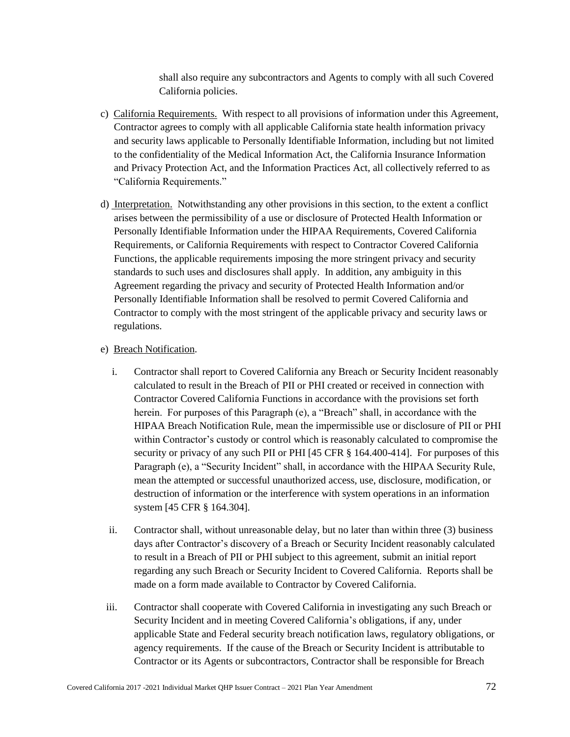shall also require any subcontractors and Agents to comply with all such Covered California policies.

- c) California Requirements. With respect to all provisions of information under this Agreement, Contractor agrees to comply with all applicable California state health information privacy and security laws applicable to Personally Identifiable Information, including but not limited to the confidentiality of the Medical Information Act, the California Insurance Information and Privacy Protection Act, and the Information Practices Act, all collectively referred to as "California Requirements."
- d) Interpretation. Notwithstanding any other provisions in this section, to the extent a conflict arises between the permissibility of a use or disclosure of Protected Health Information or Personally Identifiable Information under the HIPAA Requirements, Covered California Requirements, or California Requirements with respect to Contractor Covered California Functions, the applicable requirements imposing the more stringent privacy and security standards to such uses and disclosures shall apply. In addition, any ambiguity in this Agreement regarding the privacy and security of Protected Health Information and/or Personally Identifiable Information shall be resolved to permit Covered California and Contractor to comply with the most stringent of the applicable privacy and security laws or regulations.

#### e) Breach Notification.

- i. Contractor shall report to Covered California any Breach or Security Incident reasonably calculated to result in the Breach of PII or PHI created or received in connection with Contractor Covered California Functions in accordance with the provisions set forth herein. For purposes of this Paragraph (e), a "Breach" shall, in accordance with the HIPAA Breach Notification Rule, mean the impermissible use or disclosure of PII or PHI within Contractor's custody or control which is reasonably calculated to compromise the security or privacy of any such PII or PHI [45 CFR § 164.400-414]. For purposes of this Paragraph (e), a "Security Incident" shall, in accordance with the HIPAA Security Rule, mean the attempted or successful unauthorized access, use, disclosure, modification, or destruction of information or the interference with system operations in an information system [45 CFR § 164.304].
- ii. Contractor shall, without unreasonable delay, but no later than within three (3) business days after Contractor's discovery of a Breach or Security Incident reasonably calculated to result in a Breach of PII or PHI subject to this agreement, submit an initial report regarding any such Breach or Security Incident to Covered California. Reports shall be made on a form made available to Contractor by Covered California.
- iii. Contractor shall cooperate with Covered California in investigating any such Breach or Security Incident and in meeting Covered California's obligations, if any, under applicable State and Federal security breach notification laws, regulatory obligations, or agency requirements. If the cause of the Breach or Security Incident is attributable to Contractor or its Agents or subcontractors, Contractor shall be responsible for Breach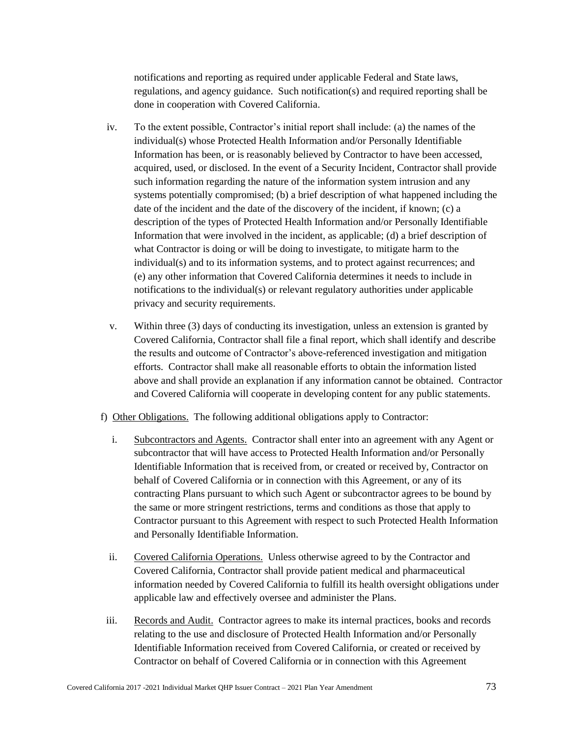notifications and reporting as required under applicable Federal and State laws, regulations, and agency guidance. Such notification(s) and required reporting shall be done in cooperation with Covered California.

- iv. To the extent possible, Contractor's initial report shall include: (a) the names of the individual(s) whose Protected Health Information and/or Personally Identifiable Information has been, or is reasonably believed by Contractor to have been accessed, acquired, used, or disclosed. In the event of a Security Incident, Contractor shall provide such information regarding the nature of the information system intrusion and any systems potentially compromised; (b) a brief description of what happened including the date of the incident and the date of the discovery of the incident, if known; (c) a description of the types of Protected Health Information and/or Personally Identifiable Information that were involved in the incident, as applicable; (d) a brief description of what Contractor is doing or will be doing to investigate, to mitigate harm to the individual(s) and to its information systems, and to protect against recurrences; and (e) any other information that Covered California determines it needs to include in notifications to the individual(s) or relevant regulatory authorities under applicable privacy and security requirements.
- v. Within three (3) days of conducting its investigation, unless an extension is granted by Covered California, Contractor shall file a final report, which shall identify and describe the results and outcome of Contractor's above-referenced investigation and mitigation efforts. Contractor shall make all reasonable efforts to obtain the information listed above and shall provide an explanation if any information cannot be obtained. Contractor and Covered California will cooperate in developing content for any public statements.
- f) Other Obligations. The following additional obligations apply to Contractor:
	- i. Subcontractors and Agents. Contractor shall enter into an agreement with any Agent or subcontractor that will have access to Protected Health Information and/or Personally Identifiable Information that is received from, or created or received by, Contractor on behalf of Covered California or in connection with this Agreement, or any of its contracting Plans pursuant to which such Agent or subcontractor agrees to be bound by the same or more stringent restrictions, terms and conditions as those that apply to Contractor pursuant to this Agreement with respect to such Protected Health Information and Personally Identifiable Information.
	- ii. Covered California Operations. Unless otherwise agreed to by the Contractor and Covered California, Contractor shall provide patient medical and pharmaceutical information needed by Covered California to fulfill its health oversight obligations under applicable law and effectively oversee and administer the Plans.
- iii. Records and Audit. Contractor agrees to make its internal practices, books and records relating to the use and disclosure of Protected Health Information and/or Personally Identifiable Information received from Covered California, or created or received by Contractor on behalf of Covered California or in connection with this Agreement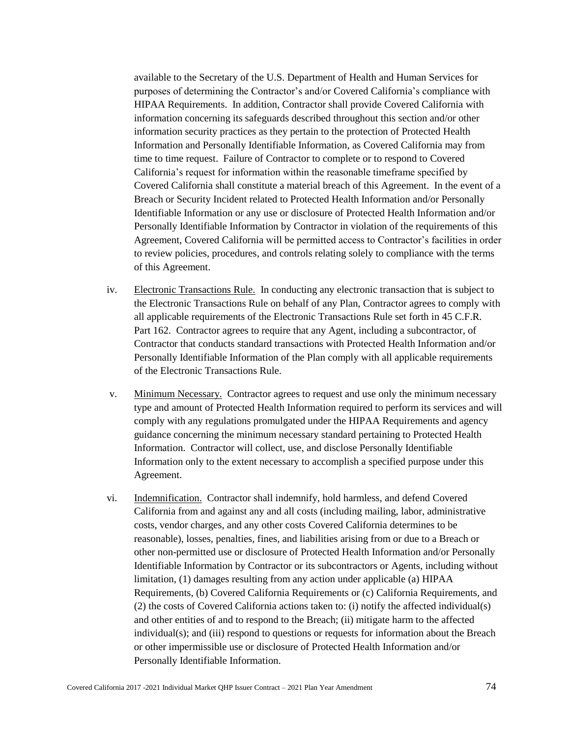available to the Secretary of the U.S. Department of Health and Human Services for purposes of determining the Contractor's and/or Covered California's compliance with HIPAA Requirements. In addition, Contractor shall provide Covered California with information concerning its safeguards described throughout this section and/or other information security practices as they pertain to the protection of Protected Health Information and Personally Identifiable Information, as Covered California may from time to time request. Failure of Contractor to complete or to respond to Covered California's request for information within the reasonable timeframe specified by Covered California shall constitute a material breach of this Agreement. In the event of a Breach or Security Incident related to Protected Health Information and/or Personally Identifiable Information or any use or disclosure of Protected Health Information and/or Personally Identifiable Information by Contractor in violation of the requirements of this Agreement, Covered California will be permitted access to Contractor's facilities in order to review policies, procedures, and controls relating solely to compliance with the terms of this Agreement.

- iv. Electronic Transactions Rule. In conducting any electronic transaction that is subject to the Electronic Transactions Rule on behalf of any Plan, Contractor agrees to comply with all applicable requirements of the Electronic Transactions Rule set forth in 45 C.F.R. Part 162. Contractor agrees to require that any Agent, including a subcontractor, of Contractor that conducts standard transactions with Protected Health Information and/or Personally Identifiable Information of the Plan comply with all applicable requirements of the Electronic Transactions Rule.
- v. Minimum Necessary. Contractor agrees to request and use only the minimum necessary type and amount of Protected Health Information required to perform its services and will comply with any regulations promulgated under the HIPAA Requirements and agency guidance concerning the minimum necessary standard pertaining to Protected Health Information. Contractor will collect, use, and disclose Personally Identifiable Information only to the extent necessary to accomplish a specified purpose under this Agreement.
- vi. Indemnification. Contractor shall indemnify, hold harmless, and defend Covered California from and against any and all costs (including mailing, labor, administrative costs, vendor charges, and any other costs Covered California determines to be reasonable), losses, penalties, fines, and liabilities arising from or due to a Breach or other non-permitted use or disclosure of Protected Health Information and/or Personally Identifiable Information by Contractor or its subcontractors or Agents, including without limitation, (1) damages resulting from any action under applicable (a) HIPAA Requirements, (b) Covered California Requirements or (c) California Requirements, and (2) the costs of Covered California actions taken to: (i) notify the affected individual(s) and other entities of and to respond to the Breach; (ii) mitigate harm to the affected individual(s); and (iii) respond to questions or requests for information about the Breach or other impermissible use or disclosure of Protected Health Information and/or Personally Identifiable Information.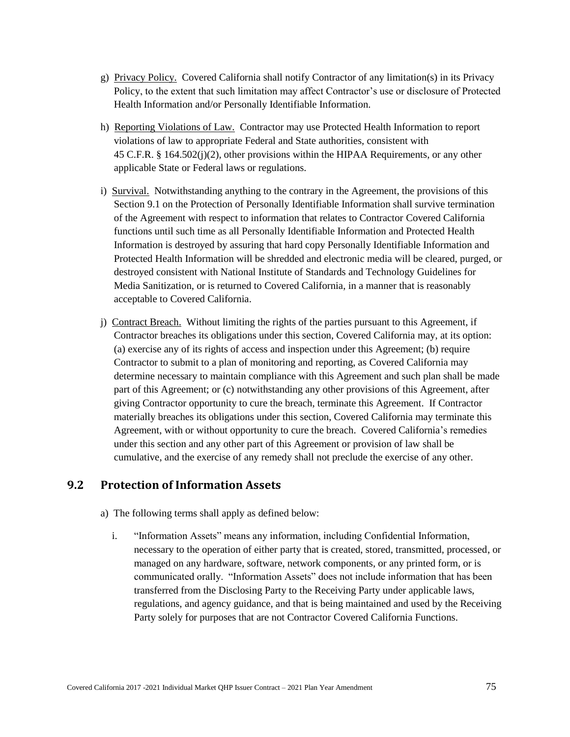- g) Privacy Policy. Covered California shall notify Contractor of any limitation(s) in its Privacy Policy, to the extent that such limitation may affect Contractor's use or disclosure of Protected Health Information and/or Personally Identifiable Information.
- h) Reporting Violations of Law. Contractor may use Protected Health Information to report violations of law to appropriate Federal and State authorities, consistent with 45 C.F.R. § 164.502(j)(2), other provisions within the HIPAA Requirements, or any other applicable State or Federal laws or regulations.
- i) Survival. Notwithstanding anything to the contrary in the Agreement, the provisions of this Section 9.1 on the Protection of Personally Identifiable Information shall survive termination of the Agreement with respect to information that relates to Contractor Covered California functions until such time as all Personally Identifiable Information and Protected Health Information is destroyed by assuring that hard copy Personally Identifiable Information and Protected Health Information will be shredded and electronic media will be cleared, purged, or destroyed consistent with National Institute of Standards and Technology Guidelines for Media Sanitization, or is returned to Covered California, in a manner that is reasonably acceptable to Covered California.
- j) Contract Breach. Without limiting the rights of the parties pursuant to this Agreement, if Contractor breaches its obligations under this section, Covered California may, at its option: (a) exercise any of its rights of access and inspection under this Agreement; (b) require Contractor to submit to a plan of monitoring and reporting, as Covered California may determine necessary to maintain compliance with this Agreement and such plan shall be made part of this Agreement; or (c) notwithstanding any other provisions of this Agreement, after giving Contractor opportunity to cure the breach, terminate this Agreement. If Contractor materially breaches its obligations under this section, Covered California may terminate this Agreement, with or without opportunity to cure the breach. Covered California's remedies under this section and any other part of this Agreement or provision of law shall be cumulative, and the exercise of any remedy shall not preclude the exercise of any other.

### **9.2 Protection of Information Assets**

- a) The following terms shall apply as defined below:
	- i. "Information Assets" means any information, including Confidential Information, necessary to the operation of either party that is created, stored, transmitted, processed, or managed on any hardware, software, network components, or any printed form, or is communicated orally. "Information Assets" does not include information that has been transferred from the Disclosing Party to the Receiving Party under applicable laws, regulations, and agency guidance, and that is being maintained and used by the Receiving Party solely for purposes that are not Contractor Covered California Functions.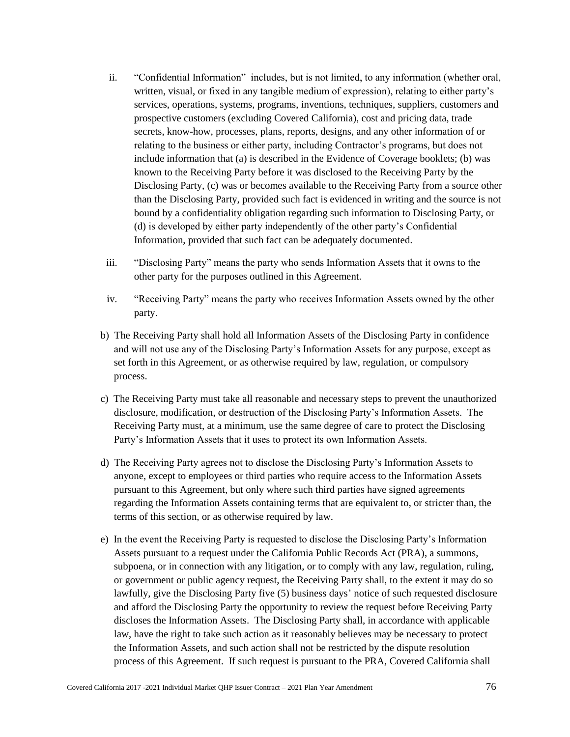- ii. "Confidential Information" includes, but is not limited, to any information (whether oral, written, visual, or fixed in any tangible medium of expression), relating to either party's services, operations, systems, programs, inventions, techniques, suppliers, customers and prospective customers (excluding Covered California), cost and pricing data, trade secrets, know-how, processes, plans, reports, designs, and any other information of or relating to the business or either party, including Contractor's programs, but does not include information that (a) is described in the Evidence of Coverage booklets; (b) was known to the Receiving Party before it was disclosed to the Receiving Party by the Disclosing Party, (c) was or becomes available to the Receiving Party from a source other than the Disclosing Party, provided such fact is evidenced in writing and the source is not bound by a confidentiality obligation regarding such information to Disclosing Party, or (d) is developed by either party independently of the other party's Confidential Information, provided that such fact can be adequately documented.
- iii. "Disclosing Party" means the party who sends Information Assets that it owns to the other party for the purposes outlined in this Agreement.
- iv. "Receiving Party" means the party who receives Information Assets owned by the other party.
- b) The Receiving Party shall hold all Information Assets of the Disclosing Party in confidence and will not use any of the Disclosing Party's Information Assets for any purpose, except as set forth in this Agreement, or as otherwise required by law, regulation, or compulsory process.
- c) The Receiving Party must take all reasonable and necessary steps to prevent the unauthorized disclosure, modification, or destruction of the Disclosing Party's Information Assets. The Receiving Party must, at a minimum, use the same degree of care to protect the Disclosing Party's Information Assets that it uses to protect its own Information Assets.
- d) The Receiving Party agrees not to disclose the Disclosing Party's Information Assets to anyone, except to employees or third parties who require access to the Information Assets pursuant to this Agreement, but only where such third parties have signed agreements regarding the Information Assets containing terms that are equivalent to, or stricter than, the terms of this section, or as otherwise required by law.
- e) In the event the Receiving Party is requested to disclose the Disclosing Party's Information Assets pursuant to a request under the California Public Records Act (PRA), a summons, subpoena, or in connection with any litigation, or to comply with any law, regulation, ruling, or government or public agency request, the Receiving Party shall, to the extent it may do so lawfully, give the Disclosing Party five (5) business days' notice of such requested disclosure and afford the Disclosing Party the opportunity to review the request before Receiving Party discloses the Information Assets. The Disclosing Party shall, in accordance with applicable law, have the right to take such action as it reasonably believes may be necessary to protect the Information Assets, and such action shall not be restricted by the dispute resolution process of this Agreement. If such request is pursuant to the PRA, Covered California shall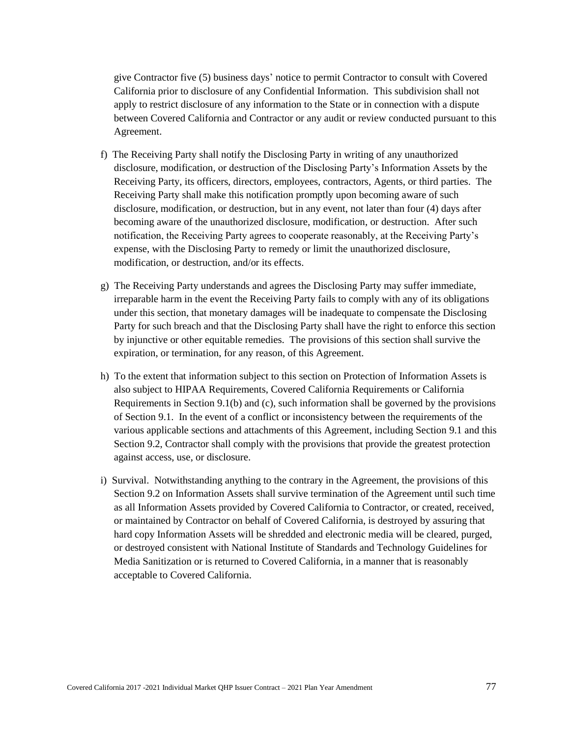give Contractor five (5) business days' notice to permit Contractor to consult with Covered California prior to disclosure of any Confidential Information. This subdivision shall not apply to restrict disclosure of any information to the State or in connection with a dispute between Covered California and Contractor or any audit or review conducted pursuant to this Agreement.

- f) The Receiving Party shall notify the Disclosing Party in writing of any unauthorized disclosure, modification, or destruction of the Disclosing Party's Information Assets by the Receiving Party, its officers, directors, employees, contractors, Agents, or third parties. The Receiving Party shall make this notification promptly upon becoming aware of such disclosure, modification, or destruction, but in any event, not later than four (4) days after becoming aware of the unauthorized disclosure, modification, or destruction. After such notification, the Receiving Party agrees to cooperate reasonably, at the Receiving Party's expense, with the Disclosing Party to remedy or limit the unauthorized disclosure, modification, or destruction, and/or its effects.
- g) The Receiving Party understands and agrees the Disclosing Party may suffer immediate, irreparable harm in the event the Receiving Party fails to comply with any of its obligations under this section, that monetary damages will be inadequate to compensate the Disclosing Party for such breach and that the Disclosing Party shall have the right to enforce this section by injunctive or other equitable remedies. The provisions of this section shall survive the expiration, or termination, for any reason, of this Agreement.
- h) To the extent that information subject to this section on Protection of Information Assets is also subject to HIPAA Requirements, Covered California Requirements or California Requirements in Section 9.1(b) and (c), such information shall be governed by the provisions of Section 9.1. In the event of a conflict or inconsistency between the requirements of the various applicable sections and attachments of this Agreement, including Section 9.1 and this Section 9.2, Contractor shall comply with the provisions that provide the greatest protection against access, use, or disclosure.
- i) Survival. Notwithstanding anything to the contrary in the Agreement, the provisions of this Section 9.2 on Information Assets shall survive termination of the Agreement until such time as all Information Assets provided by Covered California to Contractor, or created, received, or maintained by Contractor on behalf of Covered California, is destroyed by assuring that hard copy Information Assets will be shredded and electronic media will be cleared, purged, or destroyed consistent with National Institute of Standards and Technology Guidelines for Media Sanitization or is returned to Covered California, in a manner that is reasonably acceptable to Covered California.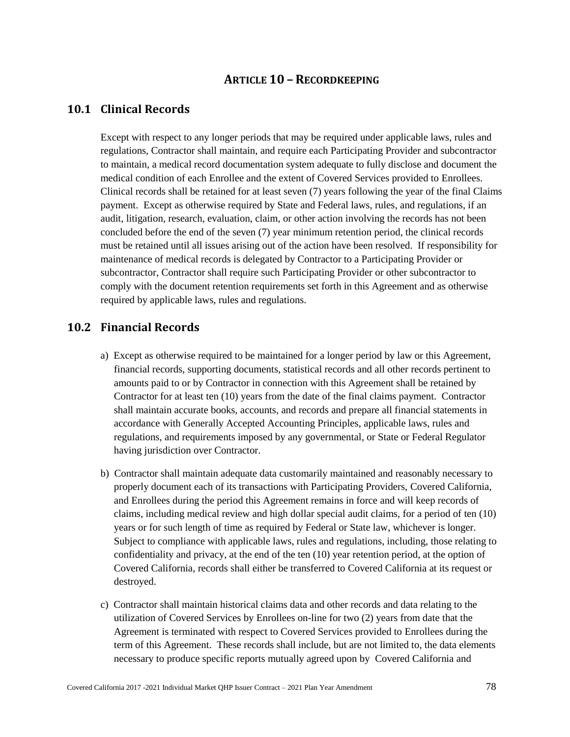## **ARTICLE 10 – RECORDKEEPING**

### **10.1 Clinical Records**

Except with respect to any longer periods that may be required under applicable laws, rules and regulations, Contractor shall maintain, and require each Participating Provider and subcontractor to maintain, a medical record documentation system adequate to fully disclose and document the medical condition of each Enrollee and the extent of Covered Services provided to Enrollees. Clinical records shall be retained for at least seven (7) years following the year of the final Claims payment. Except as otherwise required by State and Federal laws, rules, and regulations, if an audit, litigation, research, evaluation, claim, or other action involving the records has not been concluded before the end of the seven (7) year minimum retention period, the clinical records must be retained until all issues arising out of the action have been resolved. If responsibility for maintenance of medical records is delegated by Contractor to a Participating Provider or subcontractor, Contractor shall require such Participating Provider or other subcontractor to comply with the document retention requirements set forth in this Agreement and as otherwise required by applicable laws, rules and regulations.

### **10.2 Financial Records**

- a) Except as otherwise required to be maintained for a longer period by law or this Agreement, financial records, supporting documents, statistical records and all other records pertinent to amounts paid to or by Contractor in connection with this Agreement shall be retained by Contractor for at least ten (10) years from the date of the final claims payment. Contractor shall maintain accurate books, accounts, and records and prepare all financial statements in accordance with Generally Accepted Accounting Principles, applicable laws, rules and regulations, and requirements imposed by any governmental, or State or Federal Regulator having jurisdiction over Contractor.
- b) Contractor shall maintain adequate data customarily maintained and reasonably necessary to properly document each of its transactions with Participating Providers, Covered California, and Enrollees during the period this Agreement remains in force and will keep records of claims, including medical review and high dollar special audit claims, for a period of ten (10) years or for such length of time as required by Federal or State law, whichever is longer. Subject to compliance with applicable laws, rules and regulations, including, those relating to confidentiality and privacy, at the end of the ten (10) year retention period, at the option of Covered California, records shall either be transferred to Covered California at its request or destroyed.
- c) Contractor shall maintain historical claims data and other records and data relating to the utilization of Covered Services by Enrollees on-line for two (2) years from date that the Agreement is terminated with respect to Covered Services provided to Enrollees during the term of this Agreement. These records shall include, but are not limited to, the data elements necessary to produce specific reports mutually agreed upon by Covered California and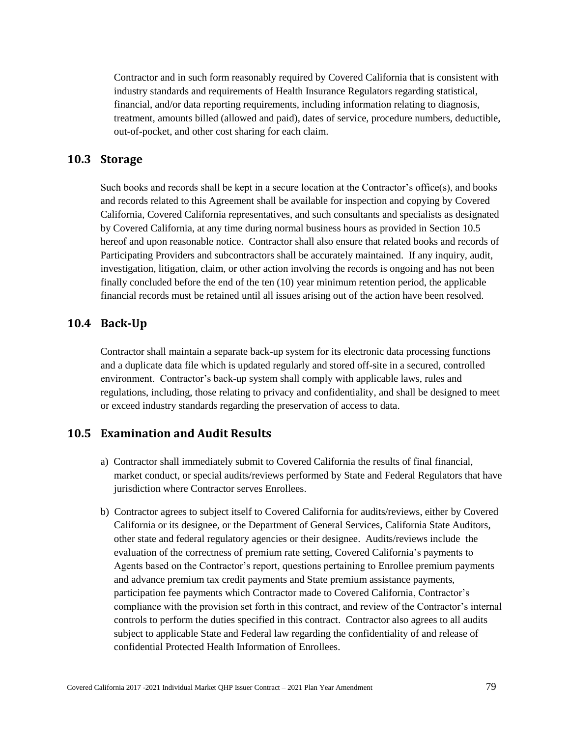Contractor and in such form reasonably required by Covered California that is consistent with industry standards and requirements of Health Insurance Regulators regarding statistical, financial, and/or data reporting requirements, including information relating to diagnosis, treatment, amounts billed (allowed and paid), dates of service, procedure numbers, deductible, out-of-pocket, and other cost sharing for each claim.

### **10.3 Storage**

Such books and records shall be kept in a secure location at the Contractor's office(s), and books and records related to this Agreement shall be available for inspection and copying by Covered California, Covered California representatives, and such consultants and specialists as designated by Covered California, at any time during normal business hours as provided in Section 10.5 hereof and upon reasonable notice. Contractor shall also ensure that related books and records of Participating Providers and subcontractors shall be accurately maintained. If any inquiry, audit, investigation, litigation, claim, or other action involving the records is ongoing and has not been finally concluded before the end of the ten (10) year minimum retention period, the applicable financial records must be retained until all issues arising out of the action have been resolved.

### **10.4 Back-Up**

Contractor shall maintain a separate back-up system for its electronic data processing functions and a duplicate data file which is updated regularly and stored off-site in a secured, controlled environment. Contractor's back-up system shall comply with applicable laws, rules and regulations, including, those relating to privacy and confidentiality, and shall be designed to meet or exceed industry standards regarding the preservation of access to data.

## **10.5 Examination and Audit Results**

- a) Contractor shall immediately submit to Covered California the results of final financial, market conduct, or special audits/reviews performed by State and Federal Regulators that have jurisdiction where Contractor serves Enrollees.
- b) Contractor agrees to subject itself to Covered California for audits/reviews, either by Covered California or its designee, or the Department of General Services, California State Auditors, other state and federal regulatory agencies or their designee. Audits/reviews include the evaluation of the correctness of premium rate setting, Covered California's payments to Agents based on the Contractor's report, questions pertaining to Enrollee premium payments and advance premium tax credit payments and State premium assistance payments, participation fee payments which Contractor made to Covered California, Contractor's compliance with the provision set forth in this contract, and review of the Contractor's internal controls to perform the duties specified in this contract. Contractor also agrees to all audits subject to applicable State and Federal law regarding the confidentiality of and release of confidential Protected Health Information of Enrollees.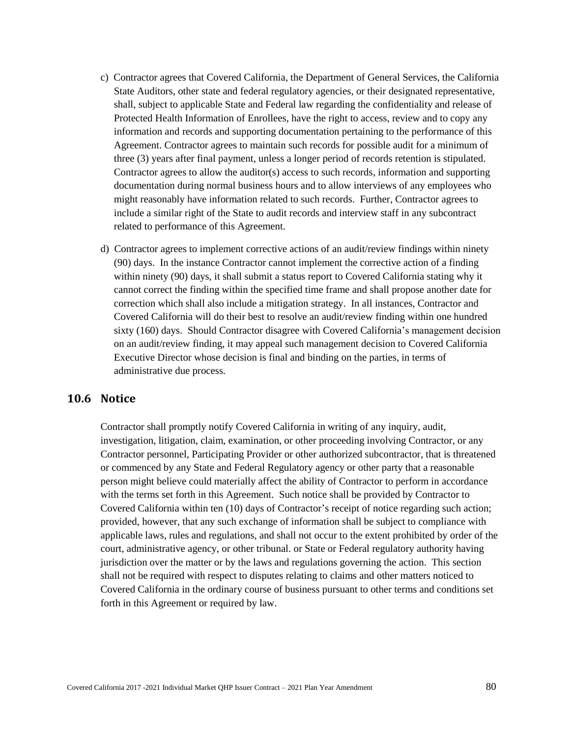- c) Contractor agrees that Covered California, the Department of General Services, the California State Auditors, other state and federal regulatory agencies, or their designated representative, shall, subject to applicable State and Federal law regarding the confidentiality and release of Protected Health Information of Enrollees, have the right to access, review and to copy any information and records and supporting documentation pertaining to the performance of this Agreement. Contractor agrees to maintain such records for possible audit for a minimum of three (3) years after final payment, unless a longer period of records retention is stipulated. Contractor agrees to allow the auditor(s) access to such records, information and supporting documentation during normal business hours and to allow interviews of any employees who might reasonably have information related to such records. Further, Contractor agrees to include a similar right of the State to audit records and interview staff in any subcontract related to performance of this Agreement.
- d) Contractor agrees to implement corrective actions of an audit/review findings within ninety (90) days. In the instance Contractor cannot implement the corrective action of a finding within ninety (90) days, it shall submit a status report to Covered California stating why it cannot correct the finding within the specified time frame and shall propose another date for correction which shall also include a mitigation strategy. In all instances, Contractor and Covered California will do their best to resolve an audit/review finding within one hundred sixty (160) days. Should Contractor disagree with Covered California's management decision on an audit/review finding, it may appeal such management decision to Covered California Executive Director whose decision is final and binding on the parties, in terms of administrative due process.

## **10.6 Notice**

Contractor shall promptly notify Covered California in writing of any inquiry, audit, investigation, litigation, claim, examination, or other proceeding involving Contractor, or any Contractor personnel, Participating Provider or other authorized subcontractor, that is threatened or commenced by any State and Federal Regulatory agency or other party that a reasonable person might believe could materially affect the ability of Contractor to perform in accordance with the terms set forth in this Agreement. Such notice shall be provided by Contractor to Covered California within ten (10) days of Contractor's receipt of notice regarding such action; provided, however, that any such exchange of information shall be subject to compliance with applicable laws, rules and regulations, and shall not occur to the extent prohibited by order of the court, administrative agency, or other tribunal. or State or Federal regulatory authority having jurisdiction over the matter or by the laws and regulations governing the action. This section shall not be required with respect to disputes relating to claims and other matters noticed to Covered California in the ordinary course of business pursuant to other terms and conditions set forth in this Agreement or required by law.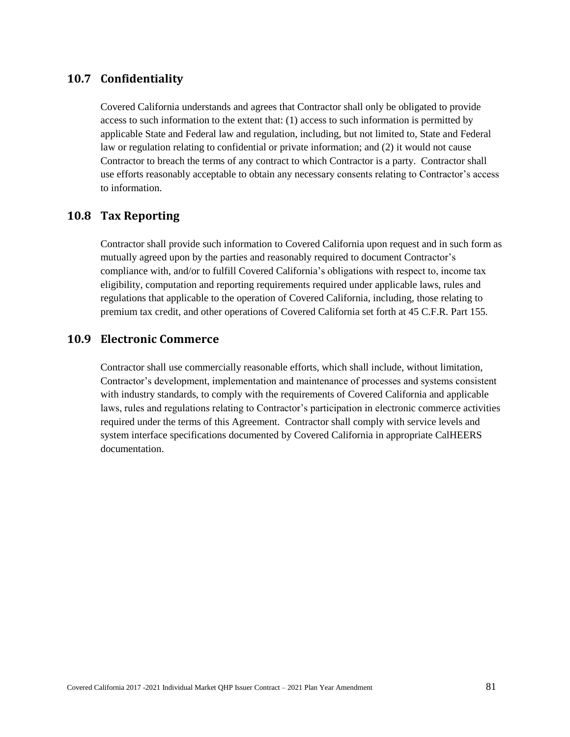## **10.7 Confidentiality**

Covered California understands and agrees that Contractor shall only be obligated to provide access to such information to the extent that: (1) access to such information is permitted by applicable State and Federal law and regulation, including, but not limited to, State and Federal law or regulation relating to confidential or private information; and (2) it would not cause Contractor to breach the terms of any contract to which Contractor is a party. Contractor shall use efforts reasonably acceptable to obtain any necessary consents relating to Contractor's access to information.

## **10.8 Tax Reporting**

Contractor shall provide such information to Covered California upon request and in such form as mutually agreed upon by the parties and reasonably required to document Contractor's compliance with, and/or to fulfill Covered California's obligations with respect to, income tax eligibility, computation and reporting requirements required under applicable laws, rules and regulations that applicable to the operation of Covered California, including, those relating to premium tax credit, and other operations of Covered California set forth at 45 C.F.R. Part 155*.*

### **10.9 Electronic Commerce**

Contractor shall use commercially reasonable efforts, which shall include, without limitation, Contractor's development, implementation and maintenance of processes and systems consistent with industry standards, to comply with the requirements of Covered California and applicable laws, rules and regulations relating to Contractor's participation in electronic commerce activities required under the terms of this Agreement. Contractor shall comply with service levels and system interface specifications documented by Covered California in appropriate CalHEERS documentation.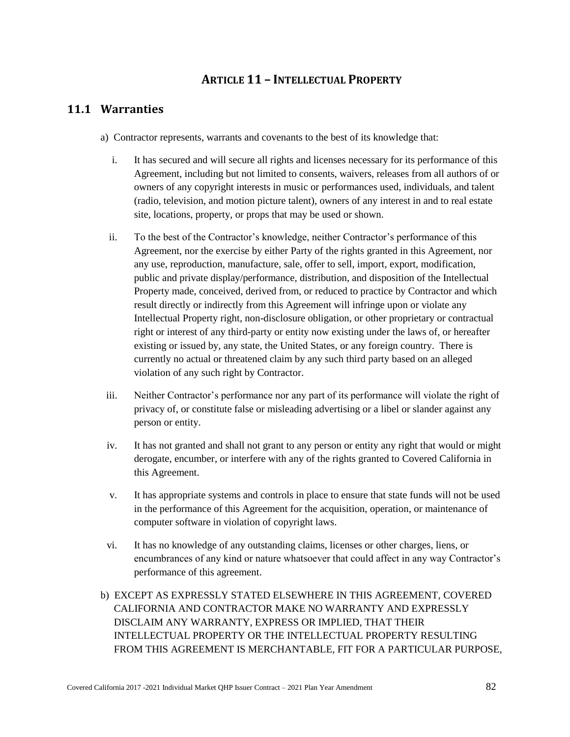# **ARTICLE 11 – INTELLECTUAL PROPERTY**

# **11.1 Warranties**

- a) Contractor represents, warrants and covenants to the best of its knowledge that:
	- i. It has secured and will secure all rights and licenses necessary for its performance of this Agreement, including but not limited to consents, waivers, releases from all authors of or owners of any copyright interests in music or performances used, individuals, and talent (radio, television, and motion picture talent), owners of any interest in and to real estate site, locations, property, or props that may be used or shown.
	- ii. To the best of the Contractor's knowledge, neither Contractor's performance of this Agreement, nor the exercise by either Party of the rights granted in this Agreement, nor any use, reproduction, manufacture, sale, offer to sell, import, export, modification, public and private display/performance, distribution, and disposition of the Intellectual Property made, conceived, derived from, or reduced to practice by Contractor and which result directly or indirectly from this Agreement will infringe upon or violate any Intellectual Property right, non-disclosure obligation, or other proprietary or contractual right or interest of any third-party or entity now existing under the laws of, or hereafter existing or issued by, any state, the United States, or any foreign country. There is currently no actual or threatened claim by any such third party based on an alleged violation of any such right by Contractor.
- iii. Neither Contractor's performance nor any part of its performance will violate the right of privacy of, or constitute false or misleading advertising or a libel or slander against any person or entity.
- iv. It has not granted and shall not grant to any person or entity any right that would or might derogate, encumber, or interfere with any of the rights granted to Covered California in this Agreement.
- v. It has appropriate systems and controls in place to ensure that state funds will not be used in the performance of this Agreement for the acquisition, operation, or maintenance of computer software in violation of copyright laws.
- vi. It has no knowledge of any outstanding claims, licenses or other charges, liens, or encumbrances of any kind or nature whatsoever that could affect in any way Contractor's performance of this agreement.
- b) EXCEPT AS EXPRESSLY STATED ELSEWHERE IN THIS AGREEMENT, COVERED CALIFORNIA AND CONTRACTOR MAKE NO WARRANTY AND EXPRESSLY DISCLAIM ANY WARRANTY, EXPRESS OR IMPLIED, THAT THEIR INTELLECTUAL PROPERTY OR THE INTELLECTUAL PROPERTY RESULTING FROM THIS AGREEMENT IS MERCHANTABLE, FIT FOR A PARTICULAR PURPOSE,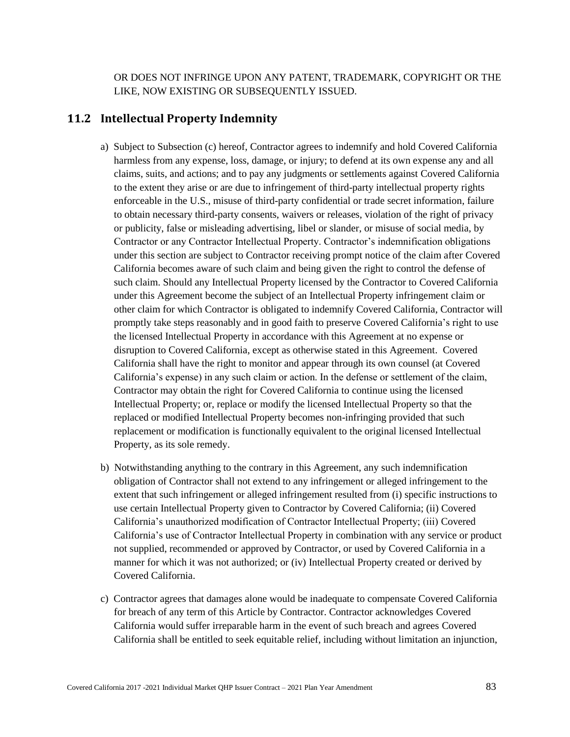OR DOES NOT INFRINGE UPON ANY PATENT, TRADEMARK, COPYRIGHT OR THE LIKE, NOW EXISTING OR SUBSEQUENTLY ISSUED.

### **11.2 Intellectual Property Indemnity**

- a) Subject to Subsection (c) hereof, Contractor agrees to indemnify and hold Covered California harmless from any expense, loss, damage, or injury; to defend at its own expense any and all claims, suits, and actions; and to pay any judgments or settlements against Covered California to the extent they arise or are due to infringement of third-party intellectual property rights enforceable in the U.S., misuse of third-party confidential or trade secret information, failure to obtain necessary third-party consents, waivers or releases, violation of the right of privacy or publicity, false or misleading advertising, libel or slander, or misuse of social media, by Contractor or any Contractor Intellectual Property. Contractor's indemnification obligations under this section are subject to Contractor receiving prompt notice of the claim after Covered California becomes aware of such claim and being given the right to control the defense of such claim. Should any Intellectual Property licensed by the Contractor to Covered California under this Agreement become the subject of an Intellectual Property infringement claim or other claim for which Contractor is obligated to indemnify Covered California, Contractor will promptly take steps reasonably and in good faith to preserve Covered California's right to use the licensed Intellectual Property in accordance with this Agreement at no expense or disruption to Covered California, except as otherwise stated in this Agreement. Covered California shall have the right to monitor and appear through its own counsel (at Covered California's expense) in any such claim or action. In the defense or settlement of the claim, Contractor may obtain the right for Covered California to continue using the licensed Intellectual Property; or, replace or modify the licensed Intellectual Property so that the replaced or modified Intellectual Property becomes non-infringing provided that such replacement or modification is functionally equivalent to the original licensed Intellectual Property, as its sole remedy.
- b) Notwithstanding anything to the contrary in this Agreement, any such indemnification obligation of Contractor shall not extend to any infringement or alleged infringement to the extent that such infringement or alleged infringement resulted from (i) specific instructions to use certain Intellectual Property given to Contractor by Covered California; (ii) Covered California's unauthorized modification of Contractor Intellectual Property; (iii) Covered California's use of Contractor Intellectual Property in combination with any service or product not supplied, recommended or approved by Contractor, or used by Covered California in a manner for which it was not authorized; or (iv) Intellectual Property created or derived by Covered California.
- c) Contractor agrees that damages alone would be inadequate to compensate Covered California for breach of any term of this Article by Contractor. Contractor acknowledges Covered California would suffer irreparable harm in the event of such breach and agrees Covered California shall be entitled to seek equitable relief, including without limitation an injunction,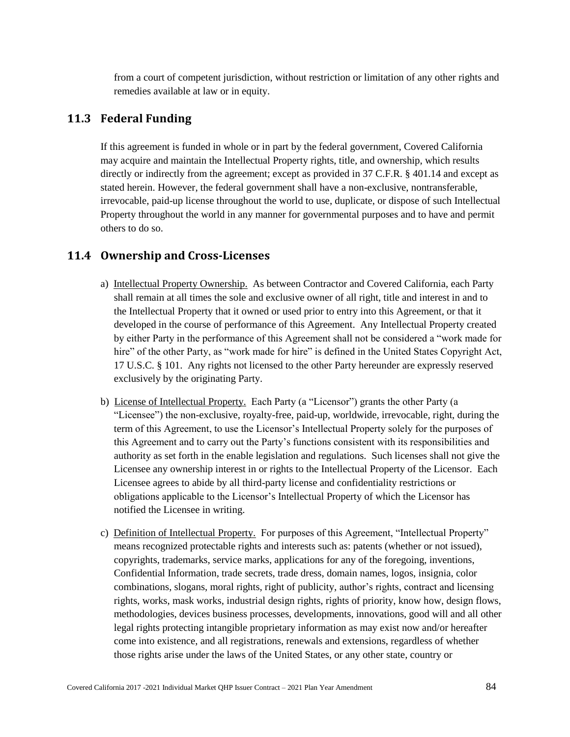from a court of competent jurisdiction, without restriction or limitation of any other rights and remedies available at law or in equity.

## **11.3 Federal Funding**

If this agreement is funded in whole or in part by the federal government, Covered California may acquire and maintain the Intellectual Property rights, title, and ownership, which results directly or indirectly from the agreement; except as provided in 37 C.F.R. § 401.14 and except as stated herein. However, the federal government shall have a non-exclusive, nontransferable, irrevocable, paid-up license throughout the world to use, duplicate, or dispose of such Intellectual Property throughout the world in any manner for governmental purposes and to have and permit others to do so.

## **11.4 Ownership and Cross-Licenses**

- a) Intellectual Property Ownership. As between Contractor and Covered California, each Party shall remain at all times the sole and exclusive owner of all right, title and interest in and to the Intellectual Property that it owned or used prior to entry into this Agreement, or that it developed in the course of performance of this Agreement. Any Intellectual Property created by either Party in the performance of this Agreement shall not be considered a "work made for hire" of the other Party, as "work made for hire" is defined in the United States Copyright Act, 17 U.S.C. § 101. Any rights not licensed to the other Party hereunder are expressly reserved exclusively by the originating Party.
- b) License of Intellectual Property. Each Party (a "Licensor") grants the other Party (a "Licensee") the non-exclusive, royalty-free, paid-up, worldwide, irrevocable, right, during the term of this Agreement, to use the Licensor's Intellectual Property solely for the purposes of this Agreement and to carry out the Party's functions consistent with its responsibilities and authority as set forth in the enable legislation and regulations. Such licenses shall not give the Licensee any ownership interest in or rights to the Intellectual Property of the Licensor. Each Licensee agrees to abide by all third-party license and confidentiality restrictions or obligations applicable to the Licensor's Intellectual Property of which the Licensor has notified the Licensee in writing.
- c) Definition of Intellectual Property. For purposes of this Agreement, "Intellectual Property" means recognized protectable rights and interests such as: patents (whether or not issued), copyrights, trademarks, service marks, applications for any of the foregoing, inventions, Confidential Information, trade secrets, trade dress, domain names, logos, insignia, color combinations, slogans, moral rights, right of publicity, author's rights, contract and licensing rights, works, mask works, industrial design rights, rights of priority, know how, design flows, methodologies, devices business processes, developments, innovations, good will and all other legal rights protecting intangible proprietary information as may exist now and/or hereafter come into existence, and all registrations, renewals and extensions, regardless of whether those rights arise under the laws of the United States, or any other state, country or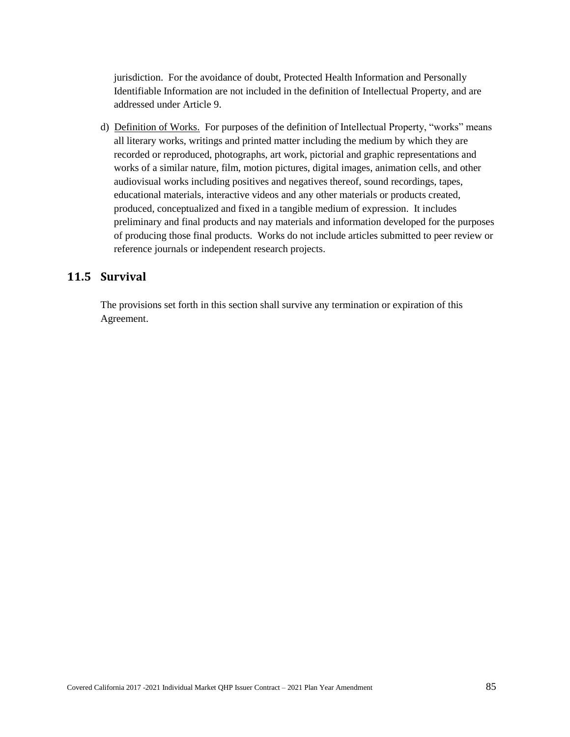jurisdiction. For the avoidance of doubt, Protected Health Information and Personally Identifiable Information are not included in the definition of Intellectual Property, and are addressed under Article 9.

d) Definition of Works. For purposes of the definition of Intellectual Property, "works" means all literary works, writings and printed matter including the medium by which they are recorded or reproduced, photographs, art work, pictorial and graphic representations and works of a similar nature, film, motion pictures, digital images, animation cells, and other audiovisual works including positives and negatives thereof, sound recordings, tapes, educational materials, interactive videos and any other materials or products created, produced, conceptualized and fixed in a tangible medium of expression. It includes preliminary and final products and nay materials and information developed for the purposes of producing those final products. Works do not include articles submitted to peer review or reference journals or independent research projects.

# **11.5 Survival**

The provisions set forth in this section shall survive any termination or expiration of this Agreement.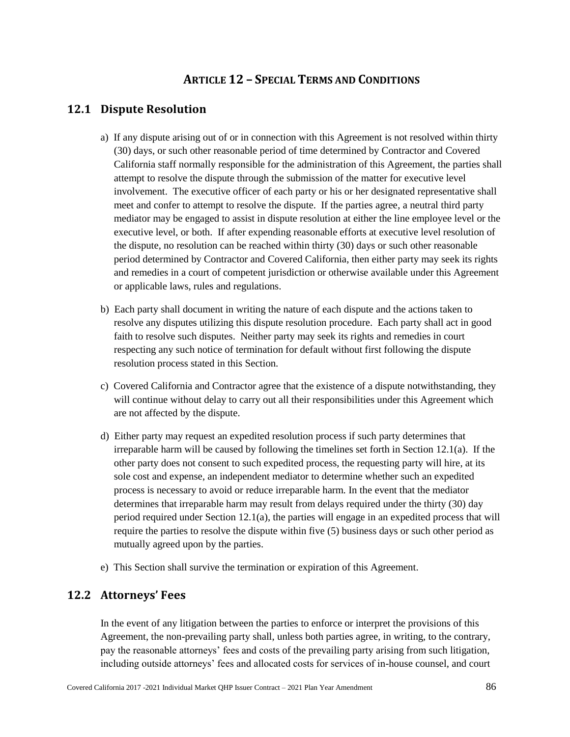# **ARTICLE 12 – SPECIAL TERMS AND CONDITIONS**

## **12.1 Dispute Resolution**

- a) If any dispute arising out of or in connection with this Agreement is not resolved within thirty (30) days, or such other reasonable period of time determined by Contractor and Covered California staff normally responsible for the administration of this Agreement, the parties shall attempt to resolve the dispute through the submission of the matter for executive level involvement. The executive officer of each party or his or her designated representative shall meet and confer to attempt to resolve the dispute. If the parties agree, a neutral third party mediator may be engaged to assist in dispute resolution at either the line employee level or the executive level, or both. If after expending reasonable efforts at executive level resolution of the dispute, no resolution can be reached within thirty (30) days or such other reasonable period determined by Contractor and Covered California, then either party may seek its rights and remedies in a court of competent jurisdiction or otherwise available under this Agreement or applicable laws, rules and regulations.
- b) Each party shall document in writing the nature of each dispute and the actions taken to resolve any disputes utilizing this dispute resolution procedure. Each party shall act in good faith to resolve such disputes. Neither party may seek its rights and remedies in court respecting any such notice of termination for default without first following the dispute resolution process stated in this Section.
- c) Covered California and Contractor agree that the existence of a dispute notwithstanding, they will continue without delay to carry out all their responsibilities under this Agreement which are not affected by the dispute.
- d) Either party may request an expedited resolution process if such party determines that irreparable harm will be caused by following the timelines set forth in Section 12.1(a). If the other party does not consent to such expedited process, the requesting party will hire, at its sole cost and expense, an independent mediator to determine whether such an expedited process is necessary to avoid or reduce irreparable harm. In the event that the mediator determines that irreparable harm may result from delays required under the thirty (30) day period required under Section 12.1(a), the parties will engage in an expedited process that will require the parties to resolve the dispute within five (5) business days or such other period as mutually agreed upon by the parties.
- e) This Section shall survive the termination or expiration of this Agreement.

## **12.2 Attorneys' Fees**

In the event of any litigation between the parties to enforce or interpret the provisions of this Agreement, the non-prevailing party shall, unless both parties agree, in writing, to the contrary, pay the reasonable attorneys' fees and costs of the prevailing party arising from such litigation, including outside attorneys' fees and allocated costs for services of in-house counsel, and court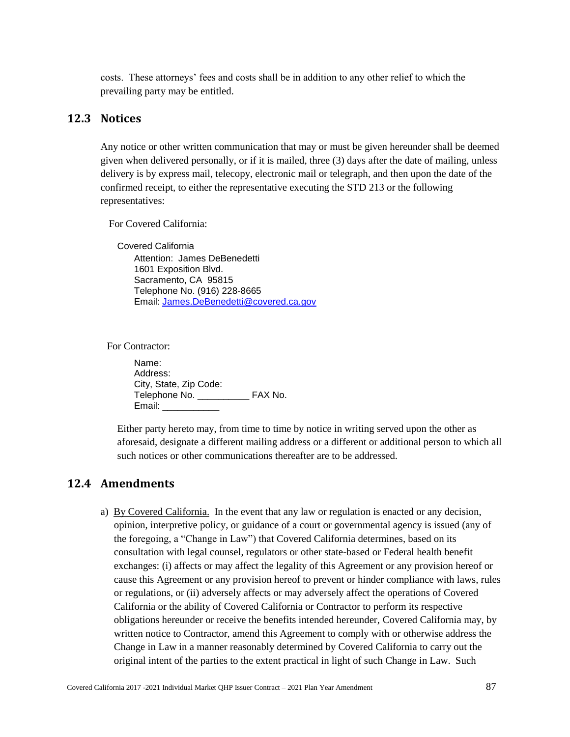costs. These attorneys' fees and costs shall be in addition to any other relief to which the prevailing party may be entitled.

### **12.3 Notices**

Any notice or other written communication that may or must be given hereunder shall be deemed given when delivered personally, or if it is mailed, three (3) days after the date of mailing, unless delivery is by express mail, telecopy, electronic mail or telegraph, and then upon the date of the confirmed receipt, to either the representative executing the STD 213 or the following representatives:

For Covered California:

Covered California Attention: James DeBenedetti 1601 Exposition Blvd. Sacramento, CA 95815 Telephone No. (916) 228-8665 Email: [James.DeBenedetti@covered.ca.gov](mailto:James.DeBenedetti@covered.ca.gov)

For Contractor:

Name: Address: City, State, Zip Code: Telephone No. **EXA No.** Email: \_\_\_\_\_\_\_\_\_\_\_

Either party hereto may, from time to time by notice in writing served upon the other as aforesaid, designate a different mailing address or a different or additional person to which all such notices or other communications thereafter are to be addressed.

### **12.4 Amendments**

a) By Covered California. In the event that any law or regulation is enacted or any decision, opinion, interpretive policy, or guidance of a court or governmental agency is issued (any of the foregoing, a "Change in Law") that Covered California determines, based on its consultation with legal counsel, regulators or other state-based or Federal health benefit exchanges: (i) affects or may affect the legality of this Agreement or any provision hereof or cause this Agreement or any provision hereof to prevent or hinder compliance with laws, rules or regulations, or (ii) adversely affects or may adversely affect the operations of Covered California or the ability of Covered California or Contractor to perform its respective obligations hereunder or receive the benefits intended hereunder, Covered California may, by written notice to Contractor, amend this Agreement to comply with or otherwise address the Change in Law in a manner reasonably determined by Covered California to carry out the original intent of the parties to the extent practical in light of such Change in Law. Such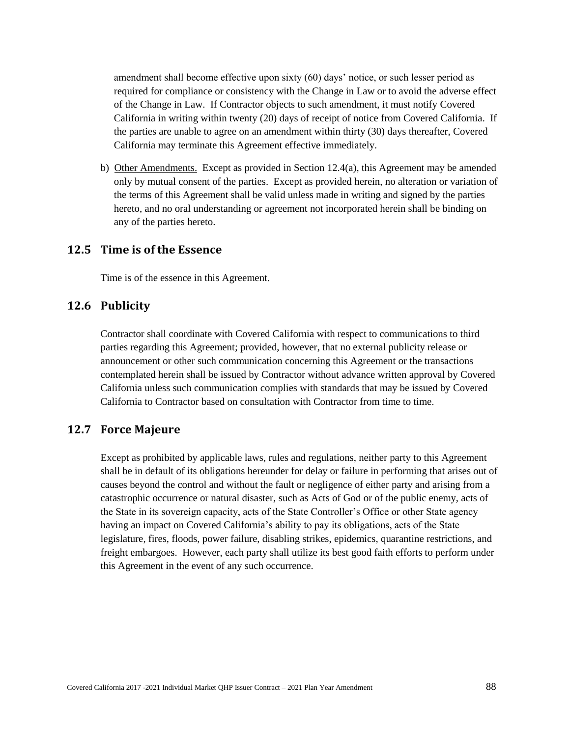amendment shall become effective upon sixty (60) days' notice, or such lesser period as required for compliance or consistency with the Change in Law or to avoid the adverse effect of the Change in Law. If Contractor objects to such amendment, it must notify Covered California in writing within twenty (20) days of receipt of notice from Covered California. If the parties are unable to agree on an amendment within thirty (30) days thereafter, Covered California may terminate this Agreement effective immediately.

b) Other Amendments. Except as provided in Section 12.4(a), this Agreement may be amended only by mutual consent of the parties. Except as provided herein, no alteration or variation of the terms of this Agreement shall be valid unless made in writing and signed by the parties hereto, and no oral understanding or agreement not incorporated herein shall be binding on any of the parties hereto.

## **12.5 Time is of the Essence**

Time is of the essence in this Agreement.

### **12.6 Publicity**

Contractor shall coordinate with Covered California with respect to communications to third parties regarding this Agreement; provided, however, that no external publicity release or announcement or other such communication concerning this Agreement or the transactions contemplated herein shall be issued by Contractor without advance written approval by Covered California unless such communication complies with standards that may be issued by Covered California to Contractor based on consultation with Contractor from time to time.

### **12.7 Force Majeure**

Except as prohibited by applicable laws, rules and regulations, neither party to this Agreement shall be in default of its obligations hereunder for delay or failure in performing that arises out of causes beyond the control and without the fault or negligence of either party and arising from a catastrophic occurrence or natural disaster, such as Acts of God or of the public enemy, acts of the State in its sovereign capacity, acts of the State Controller's Office or other State agency having an impact on Covered California's ability to pay its obligations, acts of the State legislature, fires, floods, power failure, disabling strikes, epidemics, quarantine restrictions, and freight embargoes. However, each party shall utilize its best good faith efforts to perform under this Agreement in the event of any such occurrence.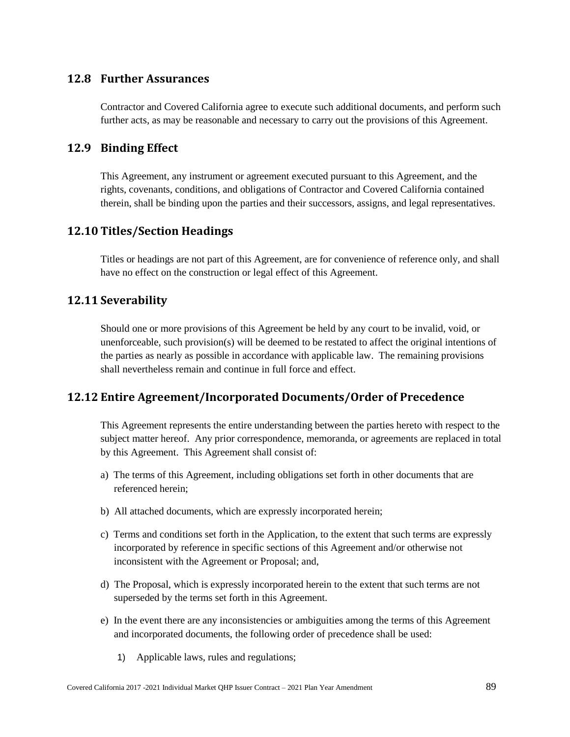## **12.8 Further Assurances**

Contractor and Covered California agree to execute such additional documents, and perform such further acts, as may be reasonable and necessary to carry out the provisions of this Agreement.

## **12.9 Binding Effect**

This Agreement, any instrument or agreement executed pursuant to this Agreement, and the rights, covenants, conditions, and obligations of Contractor and Covered California contained therein, shall be binding upon the parties and their successors, assigns, and legal representatives.

## **12.10 Titles/Section Headings**

Titles or headings are not part of this Agreement, are for convenience of reference only, and shall have no effect on the construction or legal effect of this Agreement.

## **12.11 Severability**

Should one or more provisions of this Agreement be held by any court to be invalid, void, or unenforceable, such provision(s) will be deemed to be restated to affect the original intentions of the parties as nearly as possible in accordance with applicable law. The remaining provisions shall nevertheless remain and continue in full force and effect.

## **12.12 Entire Agreement/Incorporated Documents/Order of Precedence**

This Agreement represents the entire understanding between the parties hereto with respect to the subject matter hereof. Any prior correspondence, memoranda, or agreements are replaced in total by this Agreement. This Agreement shall consist of:

- a) The terms of this Agreement, including obligations set forth in other documents that are referenced herein;
- b) All attached documents, which are expressly incorporated herein;
- c) Terms and conditions set forth in the Application, to the extent that such terms are expressly incorporated by reference in specific sections of this Agreement and/or otherwise not inconsistent with the Agreement or Proposal; and,
- d) The Proposal, which is expressly incorporated herein to the extent that such terms are not superseded by the terms set forth in this Agreement.
- e) In the event there are any inconsistencies or ambiguities among the terms of this Agreement and incorporated documents, the following order of precedence shall be used:
	- 1) Applicable laws, rules and regulations;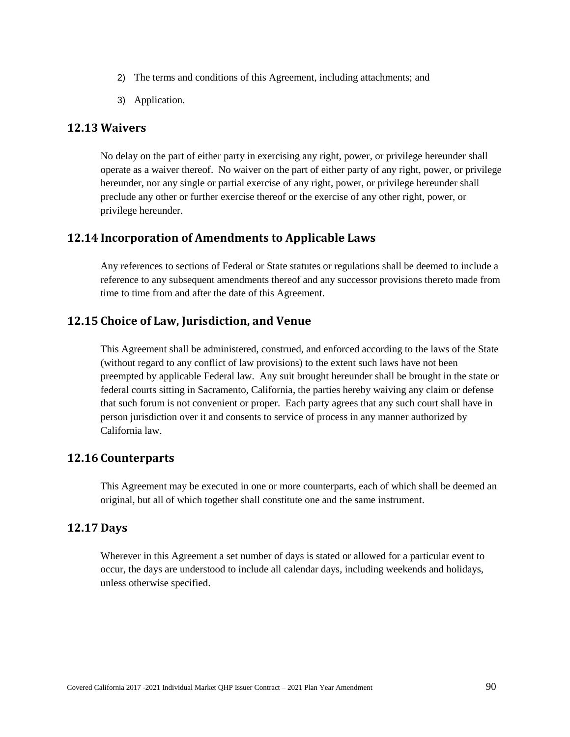- 2) The terms and conditions of this Agreement, including attachments; and
- 3) Application.

## **12.13 Waivers**

No delay on the part of either party in exercising any right, power, or privilege hereunder shall operate as a waiver thereof. No waiver on the part of either party of any right, power, or privilege hereunder, nor any single or partial exercise of any right, power, or privilege hereunder shall preclude any other or further exercise thereof or the exercise of any other right, power, or privilege hereunder.

# **12.14 Incorporation of Amendments to Applicable Laws**

Any references to sections of Federal or State statutes or regulations shall be deemed to include a reference to any subsequent amendments thereof and any successor provisions thereto made from time to time from and after the date of this Agreement.

# **12.15 Choice of Law, Jurisdiction, and Venue**

This Agreement shall be administered, construed, and enforced according to the laws of the State (without regard to any conflict of law provisions) to the extent such laws have not been preempted by applicable Federal law. Any suit brought hereunder shall be brought in the state or federal courts sitting in Sacramento, California, the parties hereby waiving any claim or defense that such forum is not convenient or proper. Each party agrees that any such court shall have in person jurisdiction over it and consents to service of process in any manner authorized by California law.

## **12.16 Counterparts**

This Agreement may be executed in one or more counterparts, each of which shall be deemed an original, but all of which together shall constitute one and the same instrument.

## **12.17 Days**

Wherever in this Agreement a set number of days is stated or allowed for a particular event to occur, the days are understood to include all calendar days, including weekends and holidays, unless otherwise specified.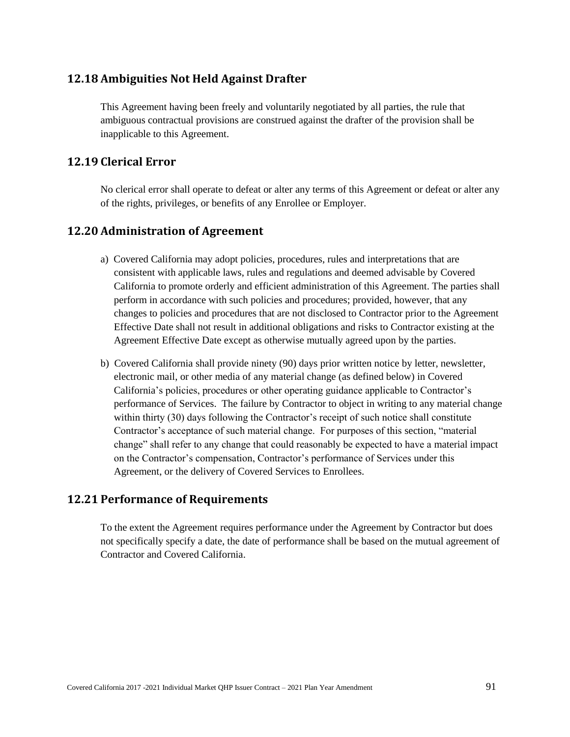# **12.18 Ambiguities Not Held Against Drafter**

This Agreement having been freely and voluntarily negotiated by all parties, the rule that ambiguous contractual provisions are construed against the drafter of the provision shall be inapplicable to this Agreement.

## **12.19 Clerical Error**

No clerical error shall operate to defeat or alter any terms of this Agreement or defeat or alter any of the rights, privileges, or benefits of any Enrollee or Employer.

## **12.20 Administration of Agreement**

- a) Covered California may adopt policies, procedures, rules and interpretations that are consistent with applicable laws, rules and regulations and deemed advisable by Covered California to promote orderly and efficient administration of this Agreement. The parties shall perform in accordance with such policies and procedures; provided, however, that any changes to policies and procedures that are not disclosed to Contractor prior to the Agreement Effective Date shall not result in additional obligations and risks to Contractor existing at the Agreement Effective Date except as otherwise mutually agreed upon by the parties.
- b) Covered California shall provide ninety (90) days prior written notice by letter, newsletter, electronic mail, or other media of any material change (as defined below) in Covered California's policies, procedures or other operating guidance applicable to Contractor's performance of Services. The failure by Contractor to object in writing to any material change within thirty (30) days following the Contractor's receipt of such notice shall constitute Contractor's acceptance of such material change. For purposes of this section, "material change" shall refer to any change that could reasonably be expected to have a material impact on the Contractor's compensation, Contractor's performance of Services under this Agreement, or the delivery of Covered Services to Enrollees.

## **12.21 Performance of Requirements**

To the extent the Agreement requires performance under the Agreement by Contractor but does not specifically specify a date, the date of performance shall be based on the mutual agreement of Contractor and Covered California.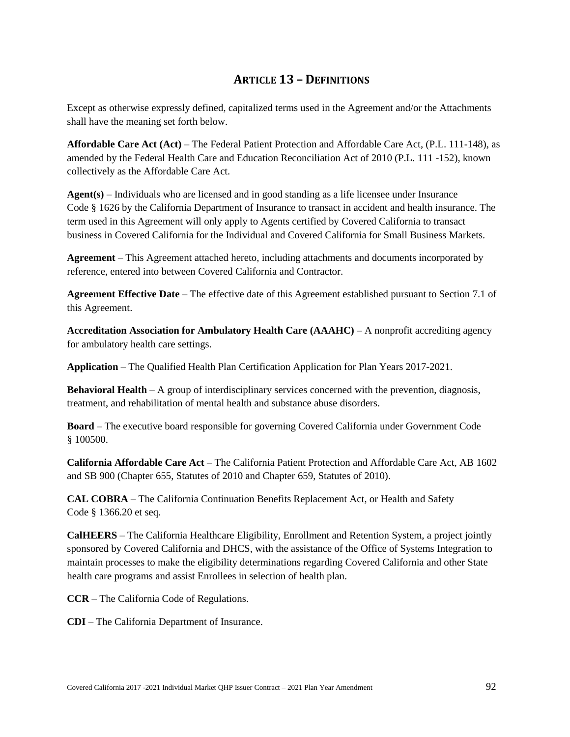# **ARTICLE 13 – DEFINITIONS**

Except as otherwise expressly defined, capitalized terms used in the Agreement and/or the Attachments shall have the meaning set forth below.

**Affordable Care Act (Act)** – The Federal Patient Protection and Affordable Care Act, (P.L. 111-148), as amended by the Federal Health Care and Education Reconciliation Act of 2010 (P.L. 111 -152), known collectively as the Affordable Care Act.

**Agent(s)** – Individuals who are licensed and in good standing as a life licensee under Insurance Code § 1626 by the California Department of Insurance to transact in accident and health insurance. The term used in this Agreement will only apply to Agents certified by Covered California to transact business in Covered California for the Individual and Covered California for Small Business Markets.

**Agreement** – This Agreement attached hereto, including attachments and documents incorporated by reference, entered into between Covered California and Contractor.

**Agreement Effective Date** – The effective date of this Agreement established pursuant to Section 7.1 of this Agreement.

**Accreditation Association for Ambulatory Health Care (AAAHC)** – A nonprofit accrediting agency for ambulatory health care settings.

**Application** – The Qualified Health Plan Certification Application for Plan Years 2017-2021.

**Behavioral Health** – A group of interdisciplinary services concerned with the prevention, diagnosis, treatment, and rehabilitation of mental health and substance abuse disorders.

**Board** – The executive board responsible for governing Covered California under Government Code § 100500.

**California Affordable Care Act** – The California Patient Protection and Affordable Care Act, AB 1602 and SB 900 (Chapter 655, Statutes of 2010 and Chapter 659, Statutes of 2010).

**CAL COBRA** – The California Continuation Benefits Replacement Act, or Health and Safety Code § 1366.20 et seq.

**CalHEERS** – The California Healthcare Eligibility, Enrollment and Retention System, a project jointly sponsored by Covered California and DHCS, with the assistance of the Office of Systems Integration to maintain processes to make the eligibility determinations regarding Covered California and other State health care programs and assist Enrollees in selection of health plan.

**CCR** – The California Code of Regulations.

**CDI** – The California Department of Insurance.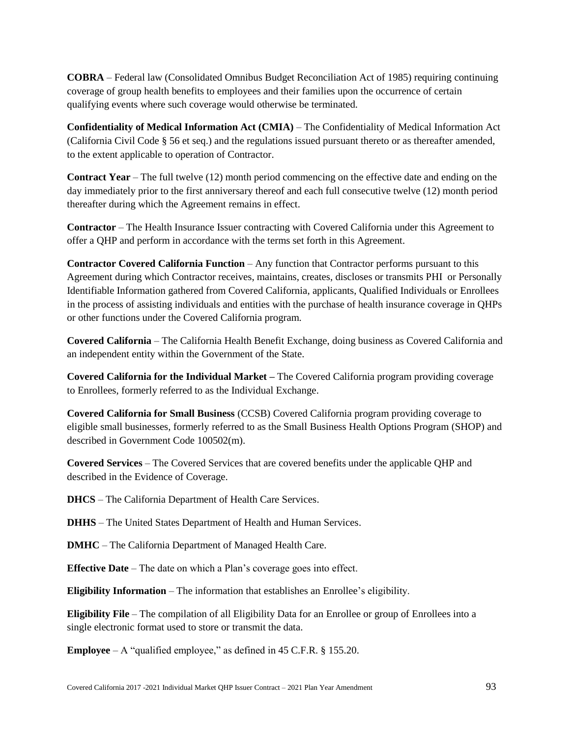**COBRA** – Federal law (Consolidated Omnibus Budget Reconciliation Act of 1985) requiring continuing coverage of group health benefits to employees and their families upon the occurrence of certain qualifying events where such coverage would otherwise be terminated.

**Confidentiality of Medical Information Act (CMIA)** – The Confidentiality of Medical Information Act (California Civil Code § 56 et seq.) and the regulations issued pursuant thereto or as thereafter amended, to the extent applicable to operation of Contractor.

**Contract Year** – The full twelve (12) month period commencing on the effective date and ending on the day immediately prior to the first anniversary thereof and each full consecutive twelve (12) month period thereafter during which the Agreement remains in effect.

**Contractor** – The Health Insurance Issuer contracting with Covered California under this Agreement to offer a QHP and perform in accordance with the terms set forth in this Agreement.

**Contractor Covered California Function** – Any function that Contractor performs pursuant to this Agreement during which Contractor receives, maintains, creates, discloses or transmits PHI or Personally Identifiable Information gathered from Covered California, applicants, Qualified Individuals or Enrollees in the process of assisting individuals and entities with the purchase of health insurance coverage in QHPs or other functions under the Covered California program.

**Covered California** – The California Health Benefit Exchange, doing business as Covered California and an independent entity within the Government of the State.

**Covered California for the Individual Market –** The Covered California program providing coverage to Enrollees, formerly referred to as the Individual Exchange.

**Covered California for Small Business** (CCSB) Covered California program providing coverage to eligible small businesses, formerly referred to as the Small Business Health Options Program (SHOP) and described in Government Code 100502(m).

**Covered Services** – The Covered Services that are covered benefits under the applicable QHP and described in the Evidence of Coverage.

**DHCS** – The California Department of Health Care Services.

**DHHS** – The United States Department of Health and Human Services.

**DMHC** – The California Department of Managed Health Care.

**Effective Date** – The date on which a Plan's coverage goes into effect.

**Eligibility Information** – The information that establishes an Enrollee's eligibility.

**Eligibility File** – The compilation of all Eligibility Data for an Enrollee or group of Enrollees into a single electronic format used to store or transmit the data.

**Employee** – A "qualified employee," as defined in 45 C.F.R. § 155.20.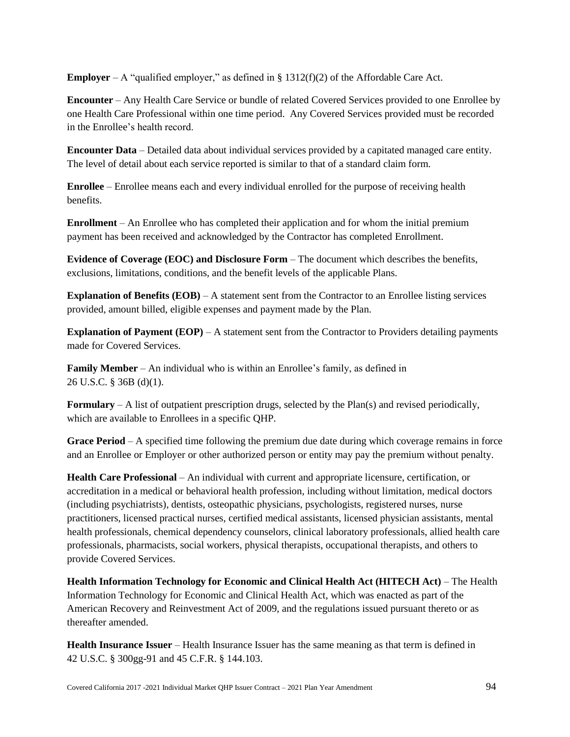**Employer** – A "qualified employer," as defined in  $\S$  1312(f)(2) of the Affordable Care Act.

**Encounter** – Any Health Care Service or bundle of related Covered Services provided to one Enrollee by one Health Care Professional within one time period. Any Covered Services provided must be recorded in the Enrollee's health record.

**Encounter Data** – Detailed data about individual services provided by a capitated managed care entity. The level of detail about each service reported is similar to that of a standard claim form.

**Enrollee** – Enrollee means each and every individual enrolled for the purpose of receiving health benefits.

**Enrollment** – An Enrollee who has completed their application and for whom the initial premium payment has been received and acknowledged by the Contractor has completed Enrollment.

**Evidence of Coverage (EOC) and Disclosure Form** – The document which describes the benefits, exclusions, limitations, conditions, and the benefit levels of the applicable Plans.

**Explanation of Benefits (EOB)** – A statement sent from the Contractor to an Enrollee listing services provided, amount billed, eligible expenses and payment made by the Plan.

**Explanation of Payment (EOP)** – A statement sent from the Contractor to Providers detailing payments made for Covered Services.

**Family Member** – An individual who is within an Enrollee's family, as defined in 26 U.S.C. § 36B (d)(1).

**Formulary** – A list of outpatient prescription drugs, selected by the Plan(s) and revised periodically, which are available to Enrollees in a specific QHP.

**Grace Period** – A specified time following the premium due date during which coverage remains in force and an Enrollee or Employer or other authorized person or entity may pay the premium without penalty.

**Health Care Professional** – An individual with current and appropriate licensure, certification, or accreditation in a medical or behavioral health profession, including without limitation, medical doctors (including psychiatrists), dentists, osteopathic physicians, psychologists, registered nurses, nurse practitioners, licensed practical nurses, certified medical assistants, licensed physician assistants, mental health professionals, chemical dependency counselors, clinical laboratory professionals, allied health care professionals, pharmacists, social workers, physical therapists, occupational therapists, and others to provide Covered Services.

**Health Information Technology for Economic and Clinical Health Act (HITECH Act)** – The Health Information Technology for Economic and Clinical Health Act, which was enacted as part of the American Recovery and Reinvestment Act of 2009, and the regulations issued pursuant thereto or as thereafter amended.

**Health Insurance Issuer** – Health Insurance Issuer has the same meaning as that term is defined in 42 U.S.C. § 300gg-91 and 45 C.F.R. § 144.103.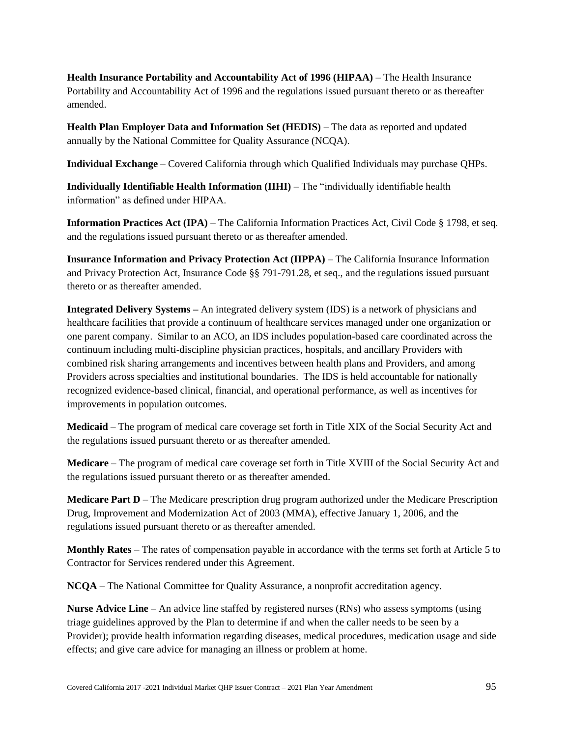**Health Insurance Portability and Accountability Act of 1996 (HIPAA)** – The Health Insurance Portability and Accountability Act of 1996 and the regulations issued pursuant thereto or as thereafter amended.

**Health Plan Employer Data and Information Set (HEDIS)** – The data as reported and updated annually by the National Committee for Quality Assurance (NCQA).

**Individual Exchange** – Covered California through which Qualified Individuals may purchase QHPs.

**Individually Identifiable Health Information (IIHI)** – The "individually identifiable health information" as defined under HIPAA.

**Information Practices Act (IPA)** – The California Information Practices Act, Civil Code § 1798, et seq. and the regulations issued pursuant thereto or as thereafter amended.

**Insurance Information and Privacy Protection Act (IIPPA)** – The California Insurance Information and Privacy Protection Act, Insurance Code §§ 791-791.28, et seq., and the regulations issued pursuant thereto or as thereafter amended.

**Integrated Delivery Systems –** An integrated delivery system (IDS) is a network of physicians and healthcare facilities that provide a continuum of healthcare services managed under one organization or one parent company. Similar to an ACO, an IDS includes population-based care coordinated across the continuum including multi-discipline physician practices, hospitals, and ancillary Providers with combined risk sharing arrangements and incentives between health plans and Providers, and among Providers across specialties and institutional boundaries. The IDS is held accountable for nationally recognized evidence-based clinical, financial, and operational performance, as well as incentives for improvements in population outcomes.

**Medicaid** – The program of medical care coverage set forth in Title XIX of the Social Security Act and the regulations issued pursuant thereto or as thereafter amended.

**Medicare** – The program of medical care coverage set forth in Title XVIII of the Social Security Act and the regulations issued pursuant thereto or as thereafter amended.

**Medicare Part D** – The Medicare prescription drug program authorized under the Medicare Prescription Drug, Improvement and Modernization Act of 2003 (MMA), effective January 1, 2006, and the regulations issued pursuant thereto or as thereafter amended.

**Monthly Rates** – The rates of compensation payable in accordance with the terms set forth at Article 5 to Contractor for Services rendered under this Agreement.

**NCQA** – The National Committee for Quality Assurance, a nonprofit accreditation agency.

**Nurse Advice Line** – An advice line staffed by registered nurses (RNs) who assess symptoms (using triage guidelines approved by the Plan to determine if and when the caller needs to be seen by a Provider); provide health information regarding diseases, medical procedures, medication usage and side effects; and give care advice for managing an illness or problem at home.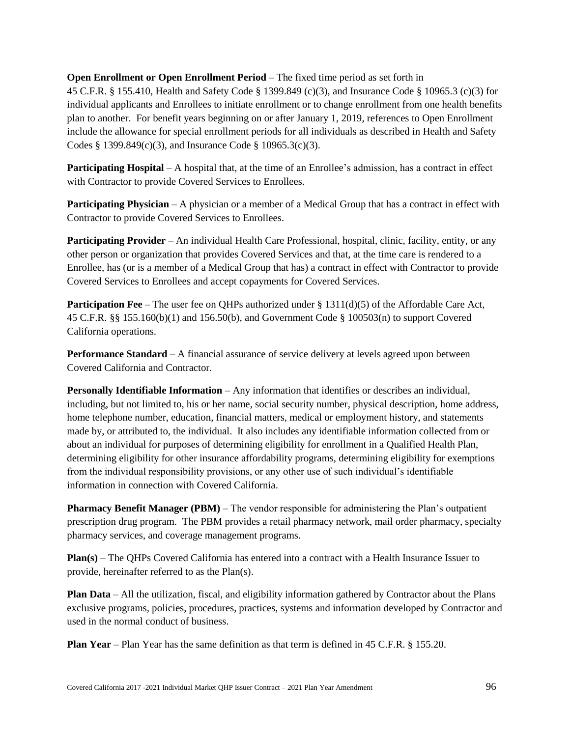### **Open Enrollment or Open Enrollment Period** – The fixed time period as set forth in

45 C.F.R. § 155.410, Health and Safety Code § 1399.849 (c)(3), and Insurance Code § 10965.3 (c)(3) for individual applicants and Enrollees to initiate enrollment or to change enrollment from one health benefits plan to another. For benefit years beginning on or after January 1, 2019, references to Open Enrollment include the allowance for special enrollment periods for all individuals as described in Health and Safety Codes § 1399.849(c)(3), and Insurance Code § 10965.3(c)(3).

**Participating Hospital** – A hospital that, at the time of an Enrollee's admission, has a contract in effect with Contractor to provide Covered Services to Enrollees.

**Participating Physician** – A physician or a member of a Medical Group that has a contract in effect with Contractor to provide Covered Services to Enrollees.

**Participating Provider** – An individual Health Care Professional, hospital, clinic, facility, entity, or any other person or organization that provides Covered Services and that, at the time care is rendered to a Enrollee, has (or is a member of a Medical Group that has) a contract in effect with Contractor to provide Covered Services to Enrollees and accept copayments for Covered Services.

**Participation Fee** – The user fee on QHPs authorized under § 1311(d)(5) of the Affordable Care Act, 45 C.F.R. §§ 155.160(b)(1) and 156.50(b), and Government Code § 100503(n) to support Covered California operations.

**Performance Standard** – A financial assurance of service delivery at levels agreed upon between Covered California and Contractor.

**Personally Identifiable Information** – Any information that identifies or describes an individual, including, but not limited to, his or her name, social security number, physical description, home address, home telephone number, education, financial matters, medical or employment history, and statements made by, or attributed to, the individual. It also includes any identifiable information collected from or about an individual for purposes of determining eligibility for enrollment in a Qualified Health Plan, determining eligibility for other insurance affordability programs, determining eligibility for exemptions from the individual responsibility provisions, or any other use of such individual's identifiable information in connection with Covered California.

**Pharmacy Benefit Manager (PBM)** – The vendor responsible for administering the Plan's outpatient prescription drug program. The PBM provides a retail pharmacy network, mail order pharmacy, specialty pharmacy services, and coverage management programs.

**Plan(s)** – The QHPs Covered California has entered into a contract with a Health Insurance Issuer to provide, hereinafter referred to as the Plan(s).

**Plan Data** – All the utilization, fiscal, and eligibility information gathered by Contractor about the Plans exclusive programs, policies, procedures, practices, systems and information developed by Contractor and used in the normal conduct of business.

**Plan Year** – Plan Year has the same definition as that term is defined in 45 C.F.R. § 155.20.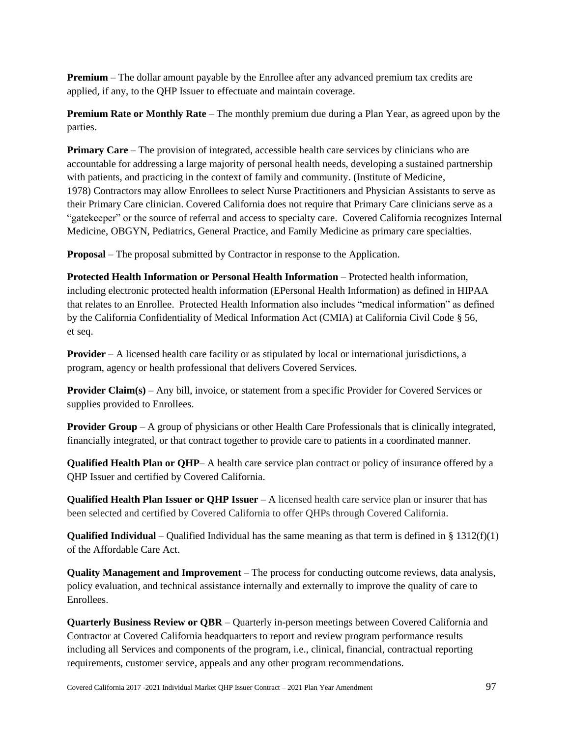**Premium** – The dollar amount payable by the Enrollee after any advanced premium tax credits are applied, if any, to the QHP Issuer to effectuate and maintain coverage.

**Premium Rate or Monthly Rate** – The monthly premium due during a Plan Year, as agreed upon by the parties.

**Primary Care** – The provision of integrated, accessible health care services by clinicians who are accountable for addressing a large majority of personal health needs, developing a sustained partnership with patients, and practicing in the context of family and community. (Institute of Medicine, 1978) Contractors may allow Enrollees to select Nurse Practitioners and Physician Assistants to serve as their Primary Care clinician. Covered California does not require that Primary Care clinicians serve as a "gatekeeper" or the source of referral and access to specialty care. Covered California recognizes Internal Medicine, OBGYN, Pediatrics, General Practice, and Family Medicine as primary care specialties.

**Proposal** – The proposal submitted by Contractor in response to the Application.

**Protected Health Information or Personal Health Information** – Protected health information, including electronic protected health information (EPersonal Health Information) as defined in HIPAA that relates to an Enrollee. Protected Health Information also includes "medical information" as defined by the California Confidentiality of Medical Information Act (CMIA) at California Civil Code § 56, et seq.

**Provider** – A licensed health care facility or as stipulated by local or international jurisdictions, a program, agency or health professional that delivers Covered Services.

**Provider Claim(s)** – Any bill, invoice, or statement from a specific Provider for Covered Services or supplies provided to Enrollees.

**Provider Group** – A group of physicians or other Health Care Professionals that is clinically integrated, financially integrated, or that contract together to provide care to patients in a coordinated manner.

**Qualified Health Plan or QHP**– A health care service plan contract or policy of insurance offered by a QHP Issuer and certified by Covered California.

**Qualified Health Plan Issuer or QHP Issuer** – A licensed health care service plan or insurer that has been selected and certified by Covered California to offer QHPs through Covered California.

**Qualified Individual** – Qualified Individual has the same meaning as that term is defined in § 1312(f)(1) of the Affordable Care Act.

**Quality Management and Improvement** – The process for conducting outcome reviews, data analysis, policy evaluation, and technical assistance internally and externally to improve the quality of care to Enrollees.

**Quarterly Business Review or QBR** – Quarterly in-person meetings between Covered California and Contractor at Covered California headquarters to report and review program performance results including all Services and components of the program, i.e., clinical, financial, contractual reporting requirements, customer service, appeals and any other program recommendations.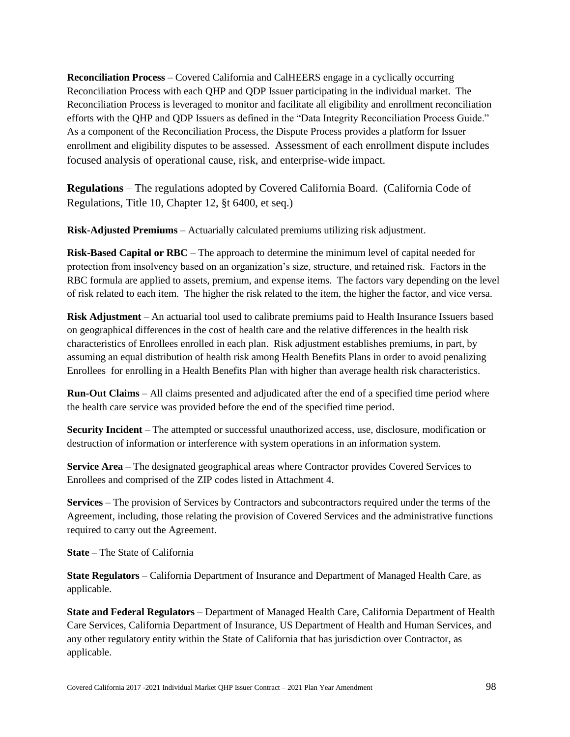**Reconciliation Process** – Covered California and CalHEERS engage in a cyclically occurring Reconciliation Process with each QHP and QDP Issuer participating in the individual market. The Reconciliation Process is leveraged to monitor and facilitate all eligibility and enrollment reconciliation efforts with the QHP and QDP Issuers as defined in the "Data Integrity Reconciliation Process Guide." As a component of the Reconciliation Process, the Dispute Process provides a platform for Issuer enrollment and eligibility disputes to be assessed. Assessment of each enrollment dispute includes focused analysis of operational cause, risk, and enterprise-wide impact.

**Regulations** – The regulations adopted by Covered California Board. (California Code of Regulations, Title 10, Chapter 12, §t 6400, et seq.)

**Risk-Adjusted Premiums** – Actuarially calculated premiums utilizing risk adjustment.

**Risk-Based Capital or RBC** – The approach to determine the minimum level of capital needed for protection from insolvency based on an organization's size, structure, and retained risk. Factors in the RBC formula are applied to assets, premium, and expense items. The factors vary depending on the level of risk related to each item. The higher the risk related to the item, the higher the factor, and vice versa.

**Risk Adjustment** – An actuarial tool used to calibrate premiums paid to Health Insurance Issuers based on geographical differences in the cost of health care and the relative differences in the health risk characteristics of Enrollees enrolled in each plan. Risk adjustment establishes premiums, in part, by assuming an equal distribution of health risk among Health Benefits Plans in order to avoid penalizing Enrollees for enrolling in a Health Benefits Plan with higher than average health risk characteristics.

**Run-Out Claims** – All claims presented and adjudicated after the end of a specified time period where the health care service was provided before the end of the specified time period.

**Security Incident** – The attempted or successful unauthorized access, use, disclosure, modification or destruction of information or interference with system operations in an information system.

**Service Area** – The designated geographical areas where Contractor provides Covered Services to Enrollees and comprised of the ZIP codes listed in Attachment 4.

**Services** – The provision of Services by Contractors and subcontractors required under the terms of the Agreement, including, those relating the provision of Covered Services and the administrative functions required to carry out the Agreement.

**State** – The State of California

**State Regulators** – California Department of Insurance and Department of Managed Health Care, as applicable.

**State and Federal Regulators** – Department of Managed Health Care, California Department of Health Care Services, California Department of Insurance, US Department of Health and Human Services, and any other regulatory entity within the State of California that has jurisdiction over Contractor, as applicable.